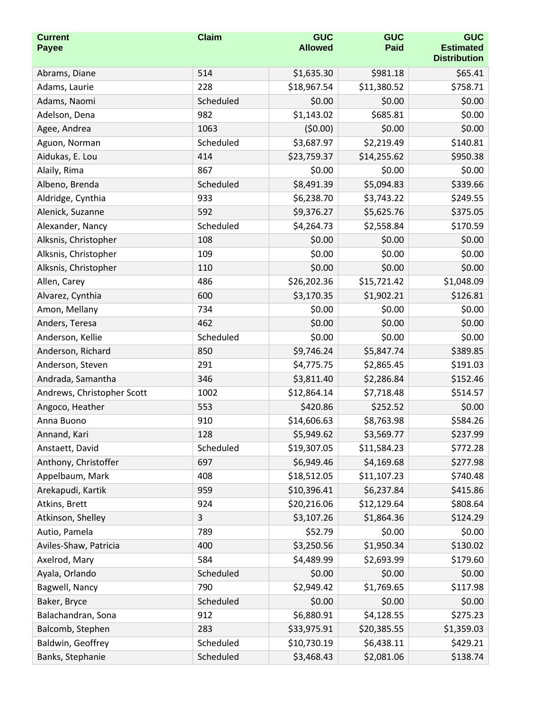| <b>Current</b><br><b>Payee</b> | <b>Claim</b> | <b>GUC</b><br><b>Allowed</b> | <b>GUC</b><br><b>Paid</b> | <b>GUC</b><br><b>Estimated</b><br><b>Distribution</b> |
|--------------------------------|--------------|------------------------------|---------------------------|-------------------------------------------------------|
| Abrams, Diane                  | 514          | \$1,635.30                   | \$981.18                  | \$65.41                                               |
| Adams, Laurie                  | 228          | \$18,967.54                  | \$11,380.52               | \$758.71                                              |
| Adams, Naomi                   | Scheduled    | \$0.00                       | \$0.00                    | \$0.00                                                |
| Adelson, Dena                  | 982          | \$1,143.02                   | \$685.81                  | \$0.00                                                |
| Agee, Andrea                   | 1063         | (50.00)                      | \$0.00                    | \$0.00                                                |
| Aguon, Norman                  | Scheduled    | \$3,687.97                   | \$2,219.49                | \$140.81                                              |
| Aidukas, E. Lou                | 414          | \$23,759.37                  | \$14,255.62               | \$950.38                                              |
| Alaily, Rima                   | 867          | \$0.00                       | \$0.00                    | \$0.00                                                |
| Albeno, Brenda                 | Scheduled    | \$8,491.39                   | \$5,094.83                | \$339.66                                              |
| Aldridge, Cynthia              | 933          | \$6,238.70                   | \$3,743.22                | \$249.55                                              |
| Alenick, Suzanne               | 592          | \$9,376.27                   | \$5,625.76                | \$375.05                                              |
| Alexander, Nancy               | Scheduled    | \$4,264.73                   | \$2,558.84                | \$170.59                                              |
| Alksnis, Christopher           | 108          | \$0.00                       | \$0.00                    | \$0.00                                                |
| Alksnis, Christopher           | 109          | \$0.00                       | \$0.00                    | \$0.00                                                |
| Alksnis, Christopher           | 110          | \$0.00                       | \$0.00                    | \$0.00                                                |
| Allen, Carey                   | 486          | \$26,202.36                  | \$15,721.42               | \$1,048.09                                            |
| Alvarez, Cynthia               | 600          | \$3,170.35                   | \$1,902.21                | \$126.81                                              |
| Amon, Mellany                  | 734          | \$0.00                       | \$0.00                    | \$0.00                                                |
| Anders, Teresa                 | 462          | \$0.00                       | \$0.00                    | \$0.00                                                |
| Anderson, Kellie               | Scheduled    | \$0.00                       | \$0.00                    | \$0.00                                                |
| Anderson, Richard              | 850          | \$9,746.24                   | \$5,847.74                | \$389.85                                              |
| Anderson, Steven               | 291          | \$4,775.75                   | \$2,865.45                | \$191.03                                              |
| Andrada, Samantha              | 346          | \$3,811.40                   | \$2,286.84                | \$152.46                                              |
| Andrews, Christopher Scott     | 1002         | \$12,864.14                  | \$7,718.48                | \$514.57                                              |
| Angoco, Heather                | 553          | \$420.86                     | \$252.52                  | \$0.00                                                |
| Anna Buono                     | 910          | \$14,606.63                  | \$8,763.98                | \$584.26                                              |
| Annand, Kari                   | 128          | \$5,949.62                   | \$3,569.77                | \$237.99                                              |
| Anstaett, David                | Scheduled    | \$19,307.05                  | \$11,584.23               | \$772.28                                              |
| Anthony, Christoffer           | 697          | \$6,949.46                   | \$4,169.68                | \$277.98                                              |
| Appelbaum, Mark                | 408          | \$18,512.05                  | \$11,107.23               | \$740.48                                              |
| Arekapudi, Kartik              | 959          | \$10,396.41                  | \$6,237.84                | \$415.86                                              |
| Atkins, Brett                  | 924          | \$20,216.06                  | \$12,129.64               | \$808.64                                              |
| Atkinson, Shelley              | 3            | \$3,107.26                   | \$1,864.36                | \$124.29                                              |
| Autio, Pamela                  | 789          | \$52.79                      | \$0.00                    | \$0.00                                                |
| Aviles-Shaw, Patricia          | 400          | \$3,250.56                   | \$1,950.34                | \$130.02                                              |
| Axelrod, Mary                  | 584          | \$4,489.99                   | \$2,693.99                | \$179.60                                              |
| Ayala, Orlando                 | Scheduled    | \$0.00                       | \$0.00                    | \$0.00                                                |
| Bagwell, Nancy                 | 790          | \$2,949.42                   | \$1,769.65                | \$117.98                                              |
| Baker, Bryce                   | Scheduled    | \$0.00                       | \$0.00                    | \$0.00                                                |
| Balachandran, Sona             | 912          | \$6,880.91                   | \$4,128.55                | \$275.23                                              |
| Balcomb, Stephen               | 283          | \$33,975.91                  | \$20,385.55               | \$1,359.03                                            |
| Baldwin, Geoffrey              | Scheduled    | \$10,730.19                  | \$6,438.11                | \$429.21                                              |
| Banks, Stephanie               | Scheduled    | \$3,468.43                   | \$2,081.06                | \$138.74                                              |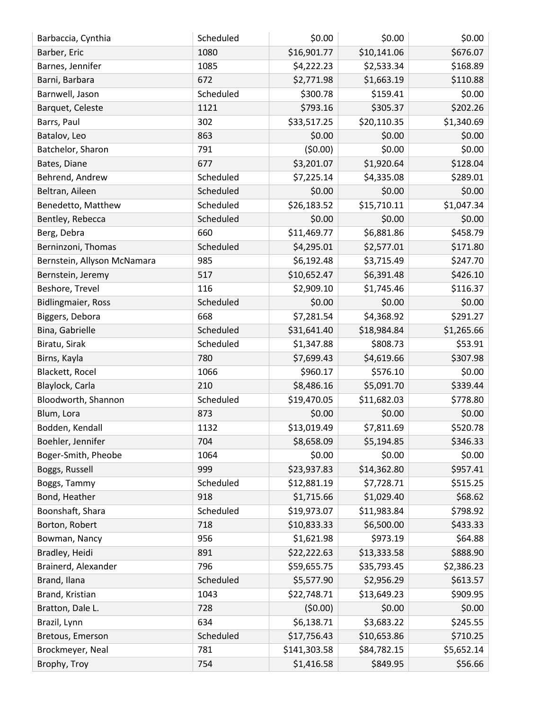| Barbaccia, Cynthia          | Scheduled | \$0.00       | \$0.00      | \$0.00     |
|-----------------------------|-----------|--------------|-------------|------------|
| Barber, Eric                | 1080      | \$16,901.77  | \$10,141.06 | \$676.07   |
| Barnes, Jennifer            | 1085      | \$4,222.23   | \$2,533.34  | \$168.89   |
| Barni, Barbara              | 672       | \$2,771.98   | \$1,663.19  | \$110.88   |
| Barnwell, Jason             | Scheduled | \$300.78     | \$159.41    | \$0.00     |
| Barquet, Celeste            | 1121      | \$793.16     | \$305.37    | \$202.26   |
| Barrs, Paul                 | 302       | \$33,517.25  | \$20,110.35 | \$1,340.69 |
| Batalov, Leo                | 863       | \$0.00       | \$0.00      | \$0.00     |
| Batchelor, Sharon           | 791       | (50.00)      | \$0.00      | \$0.00     |
| Bates, Diane                | 677       | \$3,201.07   | \$1,920.64  | \$128.04   |
| Behrend, Andrew             | Scheduled | \$7,225.14   | \$4,335.08  | \$289.01   |
| Beltran, Aileen             | Scheduled | \$0.00       | \$0.00      | \$0.00     |
| Benedetto, Matthew          | Scheduled | \$26,183.52  | \$15,710.11 | \$1,047.34 |
| Bentley, Rebecca            | Scheduled | \$0.00       | \$0.00      | \$0.00     |
| Berg, Debra                 | 660       | \$11,469.77  | \$6,881.86  | \$458.79   |
| Berninzoni, Thomas          | Scheduled | \$4,295.01   | \$2,577.01  | \$171.80   |
| Bernstein, Allyson McNamara | 985       | \$6,192.48   | \$3,715.49  | \$247.70   |
| Bernstein, Jeremy           | 517       | \$10,652.47  | \$6,391.48  | \$426.10   |
| Beshore, Trevel             | 116       | \$2,909.10   | \$1,745.46  | \$116.37   |
| <b>Bidlingmaier, Ross</b>   | Scheduled | \$0.00       | \$0.00      | \$0.00     |
| Biggers, Debora             | 668       | \$7,281.54   | \$4,368.92  | \$291.27   |
| Bina, Gabrielle             | Scheduled | \$31,641.40  | \$18,984.84 | \$1,265.66 |
| Biratu, Sirak               | Scheduled | \$1,347.88   | \$808.73    | \$53.91    |
| Birns, Kayla                | 780       | \$7,699.43   | \$4,619.66  | \$307.98   |
| Blackett, Rocel             | 1066      | \$960.17     | \$576.10    | \$0.00     |
| Blaylock, Carla             | 210       | \$8,486.16   | \$5,091.70  | \$339.44   |
| Bloodworth, Shannon         | Scheduled | \$19,470.05  | \$11,682.03 | \$778.80   |
| Blum, Lora                  | 873       | \$0.00       | \$0.00      | \$0.00     |
| Bodden, Kendall             | 1132      | \$13,019.49  | \$7,811.69  | \$520.78   |
| Boehler, Jennifer           | 704       | \$8,658.09   | \$5,194.85  | \$346.33   |
| Boger-Smith, Pheobe         | 1064      | \$0.00       | \$0.00      | \$0.00     |
| Boggs, Russell              | 999       | \$23,937.83  | \$14,362.80 | \$957.41   |
| Boggs, Tammy                | Scheduled | \$12,881.19  | \$7,728.71  | \$515.25   |
| Bond, Heather               | 918       | \$1,715.66   | \$1,029.40  | \$68.62    |
| Boonshaft, Shara            | Scheduled | \$19,973.07  | \$11,983.84 | \$798.92   |
| Borton, Robert              | 718       | \$10,833.33  | \$6,500.00  | \$433.33   |
| Bowman, Nancy               | 956       | \$1,621.98   | \$973.19    | \$64.88    |
| Bradley, Heidi              | 891       | \$22,222.63  | \$13,333.58 | \$888.90   |
| Brainerd, Alexander         | 796       | \$59,655.75  | \$35,793.45 | \$2,386.23 |
| Brand, Ilana                | Scheduled | \$5,577.90   | \$2,956.29  | \$613.57   |
| Brand, Kristian             | 1043      | \$22,748.71  | \$13,649.23 | \$909.95   |
| Bratton, Dale L.            | 728       | (50.00)      | \$0.00      | \$0.00     |
| Brazil, Lynn                | 634       | \$6,138.71   | \$3,683.22  | \$245.55   |
| Bretous, Emerson            | Scheduled | \$17,756.43  | \$10,653.86 | \$710.25   |
| Brockmeyer, Neal            | 781       | \$141,303.58 | \$84,782.15 | \$5,652.14 |
| Brophy, Troy                | 754       | \$1,416.58   | \$849.95    | \$56.66    |
|                             |           |              |             |            |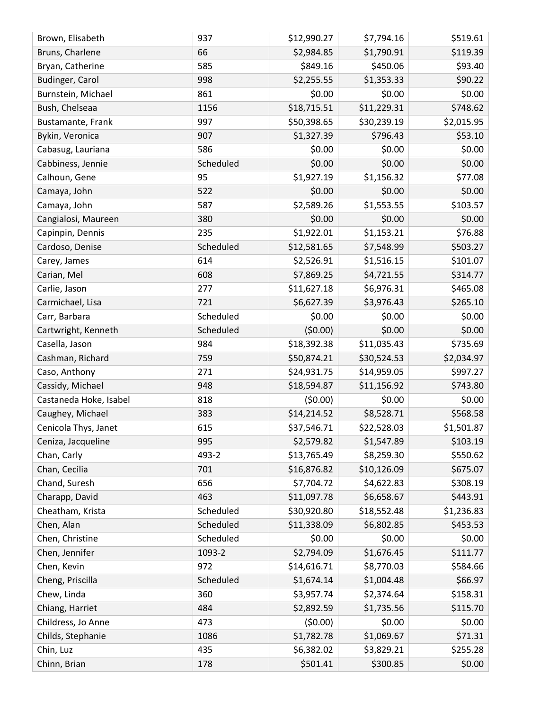| Brown, Elisabeth       | 937       | \$12,990.27 | \$7,794.16  | \$519.61   |
|------------------------|-----------|-------------|-------------|------------|
| Bruns, Charlene        | 66        | \$2,984.85  | \$1,790.91  | \$119.39   |
| Bryan, Catherine       | 585       | \$849.16    | \$450.06    | \$93.40    |
| Budinger, Carol        | 998       | \$2,255.55  | \$1,353.33  | \$90.22    |
| Burnstein, Michael     | 861       | \$0.00      | \$0.00      | \$0.00     |
| Bush, Chelseaa         | 1156      | \$18,715.51 | \$11,229.31 | \$748.62   |
| Bustamante, Frank      | 997       | \$50,398.65 | \$30,239.19 | \$2,015.95 |
| Bykin, Veronica        | 907       | \$1,327.39  | \$796.43    | \$53.10    |
| Cabasug, Lauriana      | 586       | \$0.00      | \$0.00      | \$0.00     |
| Cabbiness, Jennie      | Scheduled | \$0.00      | \$0.00      | \$0.00     |
| Calhoun, Gene          | 95        | \$1,927.19  | \$1,156.32  | \$77.08    |
| Camaya, John           | 522       | \$0.00      | \$0.00      | \$0.00     |
| Camaya, John           | 587       | \$2,589.26  | \$1,553.55  | \$103.57   |
| Cangialosi, Maureen    | 380       | \$0.00      | \$0.00      | \$0.00     |
| Capinpin, Dennis       | 235       | \$1,922.01  | \$1,153.21  | \$76.88    |
| Cardoso, Denise        | Scheduled | \$12,581.65 | \$7,548.99  | \$503.27   |
| Carey, James           | 614       | \$2,526.91  | \$1,516.15  | \$101.07   |
| Carian, Mel            | 608       | \$7,869.25  | \$4,721.55  | \$314.77   |
| Carlie, Jason          | 277       | \$11,627.18 | \$6,976.31  | \$465.08   |
| Carmichael, Lisa       | 721       | \$6,627.39  | \$3,976.43  | \$265.10   |
| Carr, Barbara          | Scheduled | \$0.00      | \$0.00      | \$0.00     |
| Cartwright, Kenneth    | Scheduled | (50.00)     | \$0.00      | \$0.00     |
| Casella, Jason         | 984       | \$18,392.38 | \$11,035.43 | \$735.69   |
| Cashman, Richard       | 759       | \$50,874.21 | \$30,524.53 | \$2,034.97 |
| Caso, Anthony          | 271       | \$24,931.75 | \$14,959.05 | \$997.27   |
| Cassidy, Michael       | 948       | \$18,594.87 | \$11,156.92 | \$743.80   |
| Castaneda Hoke, Isabel | 818       | (50.00)     | \$0.00      | \$0.00     |
| Caughey, Michael       | 383       | \$14,214.52 | \$8,528.71  | \$568.58   |
| Cenicola Thys, Janet   | 615       | \$37,546.71 | \$22,528.03 | \$1,501.87 |
| Ceniza, Jacqueline     | 995       | \$2,579.82  | \$1,547.89  | \$103.19   |
| Chan, Carly            | 493-2     | \$13,765.49 | \$8,259.30  | \$550.62   |
| Chan, Cecilia          | 701       | \$16,876.82 | \$10,126.09 | \$675.07   |
| Chand, Suresh          | 656       | \$7,704.72  | \$4,622.83  | \$308.19   |
| Charapp, David         | 463       | \$11,097.78 | \$6,658.67  | \$443.91   |
| Cheatham, Krista       | Scheduled | \$30,920.80 | \$18,552.48 | \$1,236.83 |
| Chen, Alan             | Scheduled | \$11,338.09 | \$6,802.85  | \$453.53   |
| Chen, Christine        | Scheduled | \$0.00      | \$0.00      | \$0.00     |
| Chen, Jennifer         | 1093-2    | \$2,794.09  | \$1,676.45  | \$111.77   |
| Chen, Kevin            | 972       | \$14,616.71 | \$8,770.03  | \$584.66   |
| Cheng, Priscilla       | Scheduled | \$1,674.14  | \$1,004.48  | \$66.97    |
| Chew, Linda            | 360       | \$3,957.74  | \$2,374.64  | \$158.31   |
| Chiang, Harriet        | 484       | \$2,892.59  | \$1,735.56  | \$115.70   |
| Childress, Jo Anne     | 473       | (50.00)     | \$0.00      | \$0.00     |
| Childs, Stephanie      | 1086      | \$1,782.78  | \$1,069.67  | \$71.31    |
| Chin, Luz              | 435       | \$6,382.02  | \$3,829.21  | \$255.28   |
| Chinn, Brian           | 178       | \$501.41    | \$300.85    | \$0.00     |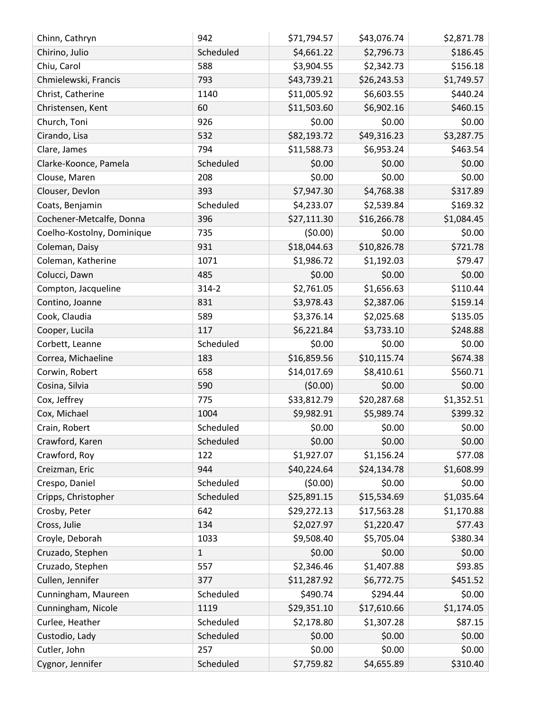| Chinn, Cathryn             | 942         | \$71,794.57 | \$43,076.74 | \$2,871.78 |
|----------------------------|-------------|-------------|-------------|------------|
| Chirino, Julio             | Scheduled   | \$4,661.22  | \$2,796.73  | \$186.45   |
| Chiu, Carol                | 588         | \$3,904.55  | \$2,342.73  | \$156.18   |
| Chmielewski, Francis       | 793         | \$43,739.21 | \$26,243.53 | \$1,749.57 |
| Christ, Catherine          | 1140        | \$11,005.92 | \$6,603.55  | \$440.24   |
| Christensen, Kent          | 60          | \$11,503.60 | \$6,902.16  | \$460.15   |
| Church, Toni               | 926         | \$0.00      | \$0.00      | \$0.00     |
| Cirando, Lisa              | 532         | \$82,193.72 | \$49,316.23 | \$3,287.75 |
| Clare, James               | 794         | \$11,588.73 | \$6,953.24  | \$463.54   |
| Clarke-Koonce, Pamela      | Scheduled   | \$0.00      | \$0.00      | \$0.00     |
| Clouse, Maren              | 208         | \$0.00      | \$0.00      | \$0.00     |
| Clouser, Devlon            | 393         | \$7,947.30  | \$4,768.38  | \$317.89   |
| Coats, Benjamin            | Scheduled   | \$4,233.07  | \$2,539.84  | \$169.32   |
| Cochener-Metcalfe, Donna   | 396         | \$27,111.30 | \$16,266.78 | \$1,084.45 |
| Coelho-Kostolny, Dominique | 735         | (50.00)     | \$0.00      | \$0.00     |
| Coleman, Daisy             | 931         | \$18,044.63 | \$10,826.78 | \$721.78   |
| Coleman, Katherine         | 1071        | \$1,986.72  | \$1,192.03  | \$79.47    |
| Colucci, Dawn              | 485         | \$0.00      | \$0.00      | \$0.00     |
| Compton, Jacqueline        | $314 - 2$   | \$2,761.05  | \$1,656.63  | \$110.44   |
| Contino, Joanne            | 831         | \$3,978.43  | \$2,387.06  | \$159.14   |
| Cook, Claudia              | 589         | \$3,376.14  | \$2,025.68  | \$135.05   |
| Cooper, Lucila             | 117         | \$6,221.84  | \$3,733.10  | \$248.88   |
| Corbett, Leanne            | Scheduled   | \$0.00      | \$0.00      | \$0.00     |
| Correa, Michaeline         | 183         | \$16,859.56 | \$10,115.74 | \$674.38   |
| Corwin, Robert             | 658         | \$14,017.69 | \$8,410.61  | \$560.71   |
| Cosina, Silvia             | 590         | (50.00)     | \$0.00      | \$0.00     |
| Cox, Jeffrey               | 775         | \$33,812.79 | \$20,287.68 | \$1,352.51 |
| Cox, Michael               | 1004        | \$9,982.91  | \$5,989.74  | \$399.32   |
| Crain, Robert              | Scheduled   | \$0.00      | \$0.00      | \$0.00     |
| Crawford, Karen            | Scheduled   | \$0.00      | \$0.00      | \$0.00     |
| Crawford, Roy              | 122         | \$1,927.07  | \$1,156.24  | \$77.08    |
| Creizman, Eric             | 944         | \$40,224.64 | \$24,134.78 | \$1,608.99 |
| Crespo, Daniel             | Scheduled   | (50.00)     | \$0.00      | \$0.00     |
| Cripps, Christopher        | Scheduled   | \$25,891.15 | \$15,534.69 | \$1,035.64 |
| Crosby, Peter              | 642         | \$29,272.13 | \$17,563.28 | \$1,170.88 |
| Cross, Julie               | 134         | \$2,027.97  | \$1,220.47  | \$77.43    |
| Croyle, Deborah            | 1033        | \$9,508.40  | \$5,705.04  | \$380.34   |
| Cruzado, Stephen           | $\mathbf 1$ | \$0.00      | \$0.00      | \$0.00     |
| Cruzado, Stephen           | 557         | \$2,346.46  | \$1,407.88  | \$93.85    |
| Cullen, Jennifer           | 377         | \$11,287.92 | \$6,772.75  | \$451.52   |
| Cunningham, Maureen        | Scheduled   | \$490.74    | \$294.44    | \$0.00     |
| Cunningham, Nicole         | 1119        | \$29,351.10 | \$17,610.66 | \$1,174.05 |
| Curlee, Heather            | Scheduled   | \$2,178.80  | \$1,307.28  | \$87.15    |
| Custodio, Lady             | Scheduled   | \$0.00      | \$0.00      | \$0.00     |
| Cutler, John               | 257         | \$0.00      | \$0.00      | \$0.00     |
| Cygnor, Jennifer           | Scheduled   | \$7,759.82  | \$4,655.89  | \$310.40   |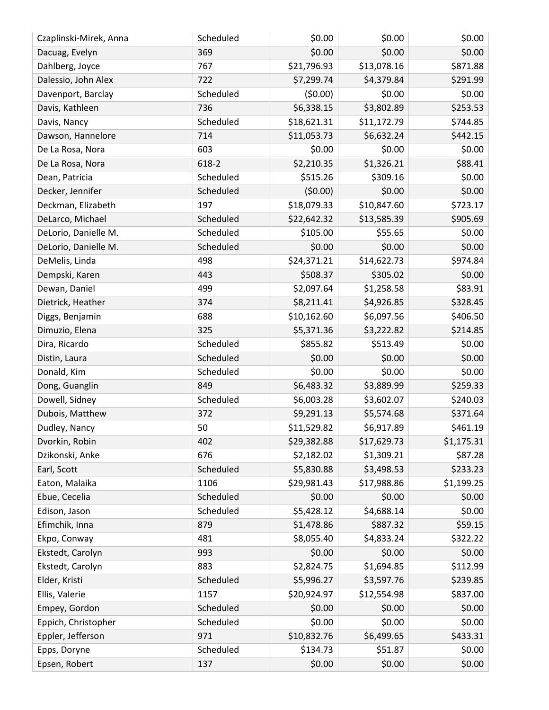| \$0.00<br>369<br>\$0.00<br>\$0.00<br>Dacuag, Evelyn<br>\$21,796.93<br>\$13,078.16<br>\$871.88<br>767<br>Dahlberg, Joyce<br>\$7,299.74<br>\$4,379.84<br>\$291.99<br>Dalessio, John Alex<br>722<br>\$0.00<br>(50.00)<br>\$0.00<br>Scheduled<br>Davenport, Barclay<br>\$253.53<br>736<br>\$6,338.15<br>\$3,802.89<br>Davis, Kathleen<br>\$744.85<br>Scheduled<br>\$18,621.31<br>\$11,172.79<br>Davis, Nancy<br>\$442.15<br>714<br>\$11,053.73<br>\$6,632.24<br>Dawson, Hannelore<br>\$0.00<br>\$0.00<br>603<br>\$0.00<br>De La Rosa, Nora<br>\$2,210.35<br>\$1,326.21<br>\$88.41<br>618-2<br>De La Rosa, Nora<br>\$515.26<br>\$309.16<br>\$0.00<br>Scheduled<br>Dean, Patricia<br>(50.00)<br>\$0.00<br>\$0.00<br>Decker, Jennifer<br>Scheduled<br>\$723.17<br>197<br>\$18,079.33<br>\$10,847.60<br>Deckman, Elizabeth<br>\$905.69<br>Scheduled<br>\$13,585.39<br>DeLarco, Michael<br>\$22,642.32<br>\$105.00<br>DeLorio, Danielle M.<br>Scheduled<br>\$55.65<br>\$0.00<br>DeLorio, Danielle M.<br>Scheduled<br>\$0.00<br>\$0.00<br>\$0.00<br>\$974.84<br>498<br>\$24,371.21<br>\$14,622.73<br>DeMelis, Linda<br>\$508.37<br>\$305.02<br>\$0.00<br>Dempski, Karen<br>443<br>499<br>\$2,097.64<br>\$83.91<br>Dewan, Daniel<br>\$1,258.58<br>\$328.45<br>\$8,211.41<br>\$4,926.85<br>Dietrick, Heather<br>374<br>688<br>\$406.50<br>\$10,162.60<br>\$6,097.56<br>Diggs, Benjamin<br>\$5,371.36<br>\$3,222.82<br>\$214.85<br>Dimuzio, Elena<br>325<br>\$855.82<br>\$513.49<br>\$0.00<br>Scheduled<br>Dira, Ricardo<br>Scheduled<br>\$0.00<br>\$0.00<br>\$0.00<br>Distin, Laura<br>\$0.00<br>\$0.00<br>\$0.00<br>Donald, Kim<br>Scheduled<br>\$259.33<br>Dong, Guanglin<br>849<br>\$6,483.32<br>\$3,889.99<br>\$240.03<br>Dowell, Sidney<br>Scheduled<br>\$6,003.28<br>\$3,602.07<br>Dubois, Matthew<br>\$9,291.13<br>\$371.64<br>372<br>\$5,574.68<br>\$461.19<br>50<br>\$11,529.82<br>\$6,917.89<br>Dudley, Nancy<br>Dvorkin, Robin<br>402<br>\$29,382.88<br>\$17,629.73<br>\$1,175.31<br>\$87.28<br>Dzikonski, Anke<br>676<br>\$2,182.02<br>\$1,309.21<br>\$5,830.88<br>\$3,498.53<br>\$233.23<br>Scheduled<br>Earl, Scott<br>1106<br>\$29,981.43<br>\$17,988.86<br>\$1,199.25<br>Eaton, Malaika<br>\$0.00<br>Scheduled<br>\$0.00<br>\$0.00<br>Ebue, Cecelia<br>\$0.00<br>Scheduled<br>\$5,428.12<br>\$4,688.14<br>Edison, Jason<br>\$59.15<br>879<br>\$1,478.86<br>\$887.32<br>Efimchik, Inna<br>\$8,055.40<br>\$4,833.24<br>\$322.22<br>Ekpo, Conway<br>481<br>\$0.00<br>\$0.00<br>\$0.00<br>Ekstedt, Carolyn<br>993<br>\$2,824.75<br>\$1,694.85<br>\$112.99<br>Ekstedt, Carolyn<br>883<br>Elder, Kristi<br>Scheduled<br>\$5,996.27<br>\$3,597.76<br>\$239.85<br>\$12,554.98<br>\$837.00<br>Ellis, Valerie<br>1157<br>\$20,924.97<br>Empey, Gordon<br>Scheduled<br>\$0.00<br>\$0.00<br>\$0.00<br>\$0.00<br>Scheduled<br>\$0.00<br>\$0.00<br>Eppich, Christopher<br>971<br>\$10,832.76<br>\$6,499.65<br>\$433.31<br>Eppler, Jefferson<br>Scheduled<br>\$134.73<br>\$0.00<br>Epps, Doryne<br>\$51.87<br>\$0.00<br>Epsen, Robert<br>\$0.00<br>137<br>\$0.00 | Czaplinski-Mirek, Anna | Scheduled | \$0.00 | \$0.00 | \$0.00 |
|-------------------------------------------------------------------------------------------------------------------------------------------------------------------------------------------------------------------------------------------------------------------------------------------------------------------------------------------------------------------------------------------------------------------------------------------------------------------------------------------------------------------------------------------------------------------------------------------------------------------------------------------------------------------------------------------------------------------------------------------------------------------------------------------------------------------------------------------------------------------------------------------------------------------------------------------------------------------------------------------------------------------------------------------------------------------------------------------------------------------------------------------------------------------------------------------------------------------------------------------------------------------------------------------------------------------------------------------------------------------------------------------------------------------------------------------------------------------------------------------------------------------------------------------------------------------------------------------------------------------------------------------------------------------------------------------------------------------------------------------------------------------------------------------------------------------------------------------------------------------------------------------------------------------------------------------------------------------------------------------------------------------------------------------------------------------------------------------------------------------------------------------------------------------------------------------------------------------------------------------------------------------------------------------------------------------------------------------------------------------------------------------------------------------------------------------------------------------------------------------------------------------------------------------------------------------------------------------------------------------------------------------------------------------------------------------------------------------------------------------------------------------------------------------------------------------------------------------------------------------------------------------------------------------------------------------------------------------------------------------------------------------------------------------------------|------------------------|-----------|--------|--------|--------|
|                                                                                                                                                                                                                                                                                                                                                                                                                                                                                                                                                                                                                                                                                                                                                                                                                                                                                                                                                                                                                                                                                                                                                                                                                                                                                                                                                                                                                                                                                                                                                                                                                                                                                                                                                                                                                                                                                                                                                                                                                                                                                                                                                                                                                                                                                                                                                                                                                                                                                                                                                                                                                                                                                                                                                                                                                                                                                                                                                                                                                                                       |                        |           |        |        |        |
|                                                                                                                                                                                                                                                                                                                                                                                                                                                                                                                                                                                                                                                                                                                                                                                                                                                                                                                                                                                                                                                                                                                                                                                                                                                                                                                                                                                                                                                                                                                                                                                                                                                                                                                                                                                                                                                                                                                                                                                                                                                                                                                                                                                                                                                                                                                                                                                                                                                                                                                                                                                                                                                                                                                                                                                                                                                                                                                                                                                                                                                       |                        |           |        |        |        |
|                                                                                                                                                                                                                                                                                                                                                                                                                                                                                                                                                                                                                                                                                                                                                                                                                                                                                                                                                                                                                                                                                                                                                                                                                                                                                                                                                                                                                                                                                                                                                                                                                                                                                                                                                                                                                                                                                                                                                                                                                                                                                                                                                                                                                                                                                                                                                                                                                                                                                                                                                                                                                                                                                                                                                                                                                                                                                                                                                                                                                                                       |                        |           |        |        |        |
|                                                                                                                                                                                                                                                                                                                                                                                                                                                                                                                                                                                                                                                                                                                                                                                                                                                                                                                                                                                                                                                                                                                                                                                                                                                                                                                                                                                                                                                                                                                                                                                                                                                                                                                                                                                                                                                                                                                                                                                                                                                                                                                                                                                                                                                                                                                                                                                                                                                                                                                                                                                                                                                                                                                                                                                                                                                                                                                                                                                                                                                       |                        |           |        |        |        |
|                                                                                                                                                                                                                                                                                                                                                                                                                                                                                                                                                                                                                                                                                                                                                                                                                                                                                                                                                                                                                                                                                                                                                                                                                                                                                                                                                                                                                                                                                                                                                                                                                                                                                                                                                                                                                                                                                                                                                                                                                                                                                                                                                                                                                                                                                                                                                                                                                                                                                                                                                                                                                                                                                                                                                                                                                                                                                                                                                                                                                                                       |                        |           |        |        |        |
|                                                                                                                                                                                                                                                                                                                                                                                                                                                                                                                                                                                                                                                                                                                                                                                                                                                                                                                                                                                                                                                                                                                                                                                                                                                                                                                                                                                                                                                                                                                                                                                                                                                                                                                                                                                                                                                                                                                                                                                                                                                                                                                                                                                                                                                                                                                                                                                                                                                                                                                                                                                                                                                                                                                                                                                                                                                                                                                                                                                                                                                       |                        |           |        |        |        |
|                                                                                                                                                                                                                                                                                                                                                                                                                                                                                                                                                                                                                                                                                                                                                                                                                                                                                                                                                                                                                                                                                                                                                                                                                                                                                                                                                                                                                                                                                                                                                                                                                                                                                                                                                                                                                                                                                                                                                                                                                                                                                                                                                                                                                                                                                                                                                                                                                                                                                                                                                                                                                                                                                                                                                                                                                                                                                                                                                                                                                                                       |                        |           |        |        |        |
|                                                                                                                                                                                                                                                                                                                                                                                                                                                                                                                                                                                                                                                                                                                                                                                                                                                                                                                                                                                                                                                                                                                                                                                                                                                                                                                                                                                                                                                                                                                                                                                                                                                                                                                                                                                                                                                                                                                                                                                                                                                                                                                                                                                                                                                                                                                                                                                                                                                                                                                                                                                                                                                                                                                                                                                                                                                                                                                                                                                                                                                       |                        |           |        |        |        |
|                                                                                                                                                                                                                                                                                                                                                                                                                                                                                                                                                                                                                                                                                                                                                                                                                                                                                                                                                                                                                                                                                                                                                                                                                                                                                                                                                                                                                                                                                                                                                                                                                                                                                                                                                                                                                                                                                                                                                                                                                                                                                                                                                                                                                                                                                                                                                                                                                                                                                                                                                                                                                                                                                                                                                                                                                                                                                                                                                                                                                                                       |                        |           |        |        |        |
|                                                                                                                                                                                                                                                                                                                                                                                                                                                                                                                                                                                                                                                                                                                                                                                                                                                                                                                                                                                                                                                                                                                                                                                                                                                                                                                                                                                                                                                                                                                                                                                                                                                                                                                                                                                                                                                                                                                                                                                                                                                                                                                                                                                                                                                                                                                                                                                                                                                                                                                                                                                                                                                                                                                                                                                                                                                                                                                                                                                                                                                       |                        |           |        |        |        |
|                                                                                                                                                                                                                                                                                                                                                                                                                                                                                                                                                                                                                                                                                                                                                                                                                                                                                                                                                                                                                                                                                                                                                                                                                                                                                                                                                                                                                                                                                                                                                                                                                                                                                                                                                                                                                                                                                                                                                                                                                                                                                                                                                                                                                                                                                                                                                                                                                                                                                                                                                                                                                                                                                                                                                                                                                                                                                                                                                                                                                                                       |                        |           |        |        |        |
|                                                                                                                                                                                                                                                                                                                                                                                                                                                                                                                                                                                                                                                                                                                                                                                                                                                                                                                                                                                                                                                                                                                                                                                                                                                                                                                                                                                                                                                                                                                                                                                                                                                                                                                                                                                                                                                                                                                                                                                                                                                                                                                                                                                                                                                                                                                                                                                                                                                                                                                                                                                                                                                                                                                                                                                                                                                                                                                                                                                                                                                       |                        |           |        |        |        |
|                                                                                                                                                                                                                                                                                                                                                                                                                                                                                                                                                                                                                                                                                                                                                                                                                                                                                                                                                                                                                                                                                                                                                                                                                                                                                                                                                                                                                                                                                                                                                                                                                                                                                                                                                                                                                                                                                                                                                                                                                                                                                                                                                                                                                                                                                                                                                                                                                                                                                                                                                                                                                                                                                                                                                                                                                                                                                                                                                                                                                                                       |                        |           |        |        |        |
|                                                                                                                                                                                                                                                                                                                                                                                                                                                                                                                                                                                                                                                                                                                                                                                                                                                                                                                                                                                                                                                                                                                                                                                                                                                                                                                                                                                                                                                                                                                                                                                                                                                                                                                                                                                                                                                                                                                                                                                                                                                                                                                                                                                                                                                                                                                                                                                                                                                                                                                                                                                                                                                                                                                                                                                                                                                                                                                                                                                                                                                       |                        |           |        |        |        |
|                                                                                                                                                                                                                                                                                                                                                                                                                                                                                                                                                                                                                                                                                                                                                                                                                                                                                                                                                                                                                                                                                                                                                                                                                                                                                                                                                                                                                                                                                                                                                                                                                                                                                                                                                                                                                                                                                                                                                                                                                                                                                                                                                                                                                                                                                                                                                                                                                                                                                                                                                                                                                                                                                                                                                                                                                                                                                                                                                                                                                                                       |                        |           |        |        |        |
|                                                                                                                                                                                                                                                                                                                                                                                                                                                                                                                                                                                                                                                                                                                                                                                                                                                                                                                                                                                                                                                                                                                                                                                                                                                                                                                                                                                                                                                                                                                                                                                                                                                                                                                                                                                                                                                                                                                                                                                                                                                                                                                                                                                                                                                                                                                                                                                                                                                                                                                                                                                                                                                                                                                                                                                                                                                                                                                                                                                                                                                       |                        |           |        |        |        |
|                                                                                                                                                                                                                                                                                                                                                                                                                                                                                                                                                                                                                                                                                                                                                                                                                                                                                                                                                                                                                                                                                                                                                                                                                                                                                                                                                                                                                                                                                                                                                                                                                                                                                                                                                                                                                                                                                                                                                                                                                                                                                                                                                                                                                                                                                                                                                                                                                                                                                                                                                                                                                                                                                                                                                                                                                                                                                                                                                                                                                                                       |                        |           |        |        |        |
|                                                                                                                                                                                                                                                                                                                                                                                                                                                                                                                                                                                                                                                                                                                                                                                                                                                                                                                                                                                                                                                                                                                                                                                                                                                                                                                                                                                                                                                                                                                                                                                                                                                                                                                                                                                                                                                                                                                                                                                                                                                                                                                                                                                                                                                                                                                                                                                                                                                                                                                                                                                                                                                                                                                                                                                                                                                                                                                                                                                                                                                       |                        |           |        |        |        |
|                                                                                                                                                                                                                                                                                                                                                                                                                                                                                                                                                                                                                                                                                                                                                                                                                                                                                                                                                                                                                                                                                                                                                                                                                                                                                                                                                                                                                                                                                                                                                                                                                                                                                                                                                                                                                                                                                                                                                                                                                                                                                                                                                                                                                                                                                                                                                                                                                                                                                                                                                                                                                                                                                                                                                                                                                                                                                                                                                                                                                                                       |                        |           |        |        |        |
|                                                                                                                                                                                                                                                                                                                                                                                                                                                                                                                                                                                                                                                                                                                                                                                                                                                                                                                                                                                                                                                                                                                                                                                                                                                                                                                                                                                                                                                                                                                                                                                                                                                                                                                                                                                                                                                                                                                                                                                                                                                                                                                                                                                                                                                                                                                                                                                                                                                                                                                                                                                                                                                                                                                                                                                                                                                                                                                                                                                                                                                       |                        |           |        |        |        |
|                                                                                                                                                                                                                                                                                                                                                                                                                                                                                                                                                                                                                                                                                                                                                                                                                                                                                                                                                                                                                                                                                                                                                                                                                                                                                                                                                                                                                                                                                                                                                                                                                                                                                                                                                                                                                                                                                                                                                                                                                                                                                                                                                                                                                                                                                                                                                                                                                                                                                                                                                                                                                                                                                                                                                                                                                                                                                                                                                                                                                                                       |                        |           |        |        |        |
|                                                                                                                                                                                                                                                                                                                                                                                                                                                                                                                                                                                                                                                                                                                                                                                                                                                                                                                                                                                                                                                                                                                                                                                                                                                                                                                                                                                                                                                                                                                                                                                                                                                                                                                                                                                                                                                                                                                                                                                                                                                                                                                                                                                                                                                                                                                                                                                                                                                                                                                                                                                                                                                                                                                                                                                                                                                                                                                                                                                                                                                       |                        |           |        |        |        |
|                                                                                                                                                                                                                                                                                                                                                                                                                                                                                                                                                                                                                                                                                                                                                                                                                                                                                                                                                                                                                                                                                                                                                                                                                                                                                                                                                                                                                                                                                                                                                                                                                                                                                                                                                                                                                                                                                                                                                                                                                                                                                                                                                                                                                                                                                                                                                                                                                                                                                                                                                                                                                                                                                                                                                                                                                                                                                                                                                                                                                                                       |                        |           |        |        |        |
|                                                                                                                                                                                                                                                                                                                                                                                                                                                                                                                                                                                                                                                                                                                                                                                                                                                                                                                                                                                                                                                                                                                                                                                                                                                                                                                                                                                                                                                                                                                                                                                                                                                                                                                                                                                                                                                                                                                                                                                                                                                                                                                                                                                                                                                                                                                                                                                                                                                                                                                                                                                                                                                                                                                                                                                                                                                                                                                                                                                                                                                       |                        |           |        |        |        |
|                                                                                                                                                                                                                                                                                                                                                                                                                                                                                                                                                                                                                                                                                                                                                                                                                                                                                                                                                                                                                                                                                                                                                                                                                                                                                                                                                                                                                                                                                                                                                                                                                                                                                                                                                                                                                                                                                                                                                                                                                                                                                                                                                                                                                                                                                                                                                                                                                                                                                                                                                                                                                                                                                                                                                                                                                                                                                                                                                                                                                                                       |                        |           |        |        |        |
|                                                                                                                                                                                                                                                                                                                                                                                                                                                                                                                                                                                                                                                                                                                                                                                                                                                                                                                                                                                                                                                                                                                                                                                                                                                                                                                                                                                                                                                                                                                                                                                                                                                                                                                                                                                                                                                                                                                                                                                                                                                                                                                                                                                                                                                                                                                                                                                                                                                                                                                                                                                                                                                                                                                                                                                                                                                                                                                                                                                                                                                       |                        |           |        |        |        |
|                                                                                                                                                                                                                                                                                                                                                                                                                                                                                                                                                                                                                                                                                                                                                                                                                                                                                                                                                                                                                                                                                                                                                                                                                                                                                                                                                                                                                                                                                                                                                                                                                                                                                                                                                                                                                                                                                                                                                                                                                                                                                                                                                                                                                                                                                                                                                                                                                                                                                                                                                                                                                                                                                                                                                                                                                                                                                                                                                                                                                                                       |                        |           |        |        |        |
|                                                                                                                                                                                                                                                                                                                                                                                                                                                                                                                                                                                                                                                                                                                                                                                                                                                                                                                                                                                                                                                                                                                                                                                                                                                                                                                                                                                                                                                                                                                                                                                                                                                                                                                                                                                                                                                                                                                                                                                                                                                                                                                                                                                                                                                                                                                                                                                                                                                                                                                                                                                                                                                                                                                                                                                                                                                                                                                                                                                                                                                       |                        |           |        |        |        |
|                                                                                                                                                                                                                                                                                                                                                                                                                                                                                                                                                                                                                                                                                                                                                                                                                                                                                                                                                                                                                                                                                                                                                                                                                                                                                                                                                                                                                                                                                                                                                                                                                                                                                                                                                                                                                                                                                                                                                                                                                                                                                                                                                                                                                                                                                                                                                                                                                                                                                                                                                                                                                                                                                                                                                                                                                                                                                                                                                                                                                                                       |                        |           |        |        |        |
|                                                                                                                                                                                                                                                                                                                                                                                                                                                                                                                                                                                                                                                                                                                                                                                                                                                                                                                                                                                                                                                                                                                                                                                                                                                                                                                                                                                                                                                                                                                                                                                                                                                                                                                                                                                                                                                                                                                                                                                                                                                                                                                                                                                                                                                                                                                                                                                                                                                                                                                                                                                                                                                                                                                                                                                                                                                                                                                                                                                                                                                       |                        |           |        |        |        |
|                                                                                                                                                                                                                                                                                                                                                                                                                                                                                                                                                                                                                                                                                                                                                                                                                                                                                                                                                                                                                                                                                                                                                                                                                                                                                                                                                                                                                                                                                                                                                                                                                                                                                                                                                                                                                                                                                                                                                                                                                                                                                                                                                                                                                                                                                                                                                                                                                                                                                                                                                                                                                                                                                                                                                                                                                                                                                                                                                                                                                                                       |                        |           |        |        |        |
|                                                                                                                                                                                                                                                                                                                                                                                                                                                                                                                                                                                                                                                                                                                                                                                                                                                                                                                                                                                                                                                                                                                                                                                                                                                                                                                                                                                                                                                                                                                                                                                                                                                                                                                                                                                                                                                                                                                                                                                                                                                                                                                                                                                                                                                                                                                                                                                                                                                                                                                                                                                                                                                                                                                                                                                                                                                                                                                                                                                                                                                       |                        |           |        |        |        |
|                                                                                                                                                                                                                                                                                                                                                                                                                                                                                                                                                                                                                                                                                                                                                                                                                                                                                                                                                                                                                                                                                                                                                                                                                                                                                                                                                                                                                                                                                                                                                                                                                                                                                                                                                                                                                                                                                                                                                                                                                                                                                                                                                                                                                                                                                                                                                                                                                                                                                                                                                                                                                                                                                                                                                                                                                                                                                                                                                                                                                                                       |                        |           |        |        |        |
|                                                                                                                                                                                                                                                                                                                                                                                                                                                                                                                                                                                                                                                                                                                                                                                                                                                                                                                                                                                                                                                                                                                                                                                                                                                                                                                                                                                                                                                                                                                                                                                                                                                                                                                                                                                                                                                                                                                                                                                                                                                                                                                                                                                                                                                                                                                                                                                                                                                                                                                                                                                                                                                                                                                                                                                                                                                                                                                                                                                                                                                       |                        |           |        |        |        |
|                                                                                                                                                                                                                                                                                                                                                                                                                                                                                                                                                                                                                                                                                                                                                                                                                                                                                                                                                                                                                                                                                                                                                                                                                                                                                                                                                                                                                                                                                                                                                                                                                                                                                                                                                                                                                                                                                                                                                                                                                                                                                                                                                                                                                                                                                                                                                                                                                                                                                                                                                                                                                                                                                                                                                                                                                                                                                                                                                                                                                                                       |                        |           |        |        |        |
|                                                                                                                                                                                                                                                                                                                                                                                                                                                                                                                                                                                                                                                                                                                                                                                                                                                                                                                                                                                                                                                                                                                                                                                                                                                                                                                                                                                                                                                                                                                                                                                                                                                                                                                                                                                                                                                                                                                                                                                                                                                                                                                                                                                                                                                                                                                                                                                                                                                                                                                                                                                                                                                                                                                                                                                                                                                                                                                                                                                                                                                       |                        |           |        |        |        |
|                                                                                                                                                                                                                                                                                                                                                                                                                                                                                                                                                                                                                                                                                                                                                                                                                                                                                                                                                                                                                                                                                                                                                                                                                                                                                                                                                                                                                                                                                                                                                                                                                                                                                                                                                                                                                                                                                                                                                                                                                                                                                                                                                                                                                                                                                                                                                                                                                                                                                                                                                                                                                                                                                                                                                                                                                                                                                                                                                                                                                                                       |                        |           |        |        |        |
|                                                                                                                                                                                                                                                                                                                                                                                                                                                                                                                                                                                                                                                                                                                                                                                                                                                                                                                                                                                                                                                                                                                                                                                                                                                                                                                                                                                                                                                                                                                                                                                                                                                                                                                                                                                                                                                                                                                                                                                                                                                                                                                                                                                                                                                                                                                                                                                                                                                                                                                                                                                                                                                                                                                                                                                                                                                                                                                                                                                                                                                       |                        |           |        |        |        |
|                                                                                                                                                                                                                                                                                                                                                                                                                                                                                                                                                                                                                                                                                                                                                                                                                                                                                                                                                                                                                                                                                                                                                                                                                                                                                                                                                                                                                                                                                                                                                                                                                                                                                                                                                                                                                                                                                                                                                                                                                                                                                                                                                                                                                                                                                                                                                                                                                                                                                                                                                                                                                                                                                                                                                                                                                                                                                                                                                                                                                                                       |                        |           |        |        |        |
|                                                                                                                                                                                                                                                                                                                                                                                                                                                                                                                                                                                                                                                                                                                                                                                                                                                                                                                                                                                                                                                                                                                                                                                                                                                                                                                                                                                                                                                                                                                                                                                                                                                                                                                                                                                                                                                                                                                                                                                                                                                                                                                                                                                                                                                                                                                                                                                                                                                                                                                                                                                                                                                                                                                                                                                                                                                                                                                                                                                                                                                       |                        |           |        |        |        |
|                                                                                                                                                                                                                                                                                                                                                                                                                                                                                                                                                                                                                                                                                                                                                                                                                                                                                                                                                                                                                                                                                                                                                                                                                                                                                                                                                                                                                                                                                                                                                                                                                                                                                                                                                                                                                                                                                                                                                                                                                                                                                                                                                                                                                                                                                                                                                                                                                                                                                                                                                                                                                                                                                                                                                                                                                                                                                                                                                                                                                                                       |                        |           |        |        |        |
|                                                                                                                                                                                                                                                                                                                                                                                                                                                                                                                                                                                                                                                                                                                                                                                                                                                                                                                                                                                                                                                                                                                                                                                                                                                                                                                                                                                                                                                                                                                                                                                                                                                                                                                                                                                                                                                                                                                                                                                                                                                                                                                                                                                                                                                                                                                                                                                                                                                                                                                                                                                                                                                                                                                                                                                                                                                                                                                                                                                                                                                       |                        |           |        |        |        |
|                                                                                                                                                                                                                                                                                                                                                                                                                                                                                                                                                                                                                                                                                                                                                                                                                                                                                                                                                                                                                                                                                                                                                                                                                                                                                                                                                                                                                                                                                                                                                                                                                                                                                                                                                                                                                                                                                                                                                                                                                                                                                                                                                                                                                                                                                                                                                                                                                                                                                                                                                                                                                                                                                                                                                                                                                                                                                                                                                                                                                                                       |                        |           |        |        |        |
|                                                                                                                                                                                                                                                                                                                                                                                                                                                                                                                                                                                                                                                                                                                                                                                                                                                                                                                                                                                                                                                                                                                                                                                                                                                                                                                                                                                                                                                                                                                                                                                                                                                                                                                                                                                                                                                                                                                                                                                                                                                                                                                                                                                                                                                                                                                                                                                                                                                                                                                                                                                                                                                                                                                                                                                                                                                                                                                                                                                                                                                       |                        |           |        |        |        |
|                                                                                                                                                                                                                                                                                                                                                                                                                                                                                                                                                                                                                                                                                                                                                                                                                                                                                                                                                                                                                                                                                                                                                                                                                                                                                                                                                                                                                                                                                                                                                                                                                                                                                                                                                                                                                                                                                                                                                                                                                                                                                                                                                                                                                                                                                                                                                                                                                                                                                                                                                                                                                                                                                                                                                                                                                                                                                                                                                                                                                                                       |                        |           |        |        |        |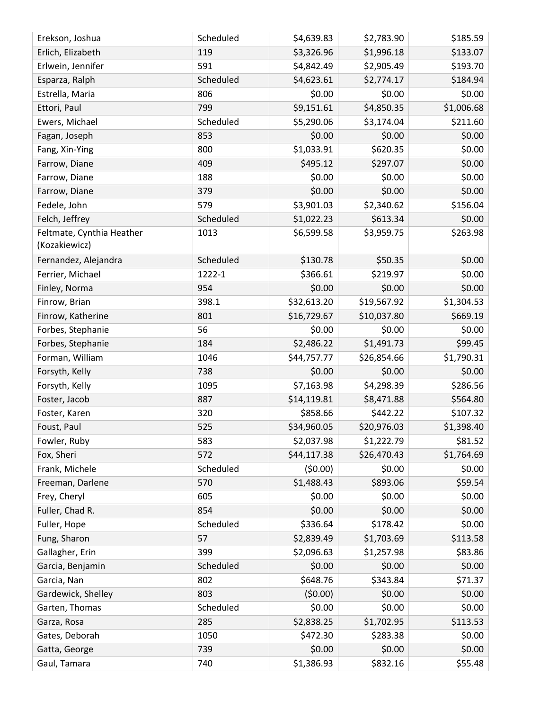| Erekson, Joshua                            | Scheduled | \$4,639.83  | \$2,783.90  | \$185.59   |
|--------------------------------------------|-----------|-------------|-------------|------------|
| Erlich, Elizabeth                          | 119       | \$3,326.96  | \$1,996.18  | \$133.07   |
| Erlwein, Jennifer                          | 591       | \$4,842.49  | \$2,905.49  | \$193.70   |
| Esparza, Ralph                             | Scheduled | \$4,623.61  | \$2,774.17  | \$184.94   |
| Estrella, Maria                            | 806       | \$0.00      | \$0.00      | \$0.00     |
| Ettori, Paul                               | 799       | \$9,151.61  | \$4,850.35  | \$1,006.68 |
| Ewers, Michael                             | Scheduled | \$5,290.06  | \$3,174.04  | \$211.60   |
| Fagan, Joseph                              | 853       | \$0.00      | \$0.00      | \$0.00     |
| Fang, Xin-Ying                             | 800       | \$1,033.91  | \$620.35    | \$0.00     |
| Farrow, Diane                              | 409       | \$495.12    | \$297.07    | \$0.00     |
| Farrow, Diane                              | 188       | \$0.00      | \$0.00      | \$0.00     |
| Farrow, Diane                              | 379       | \$0.00      | \$0.00      | \$0.00     |
| Fedele, John                               | 579       | \$3,901.03  | \$2,340.62  | \$156.04   |
| Felch, Jeffrey                             | Scheduled | \$1,022.23  | \$613.34    | \$0.00     |
| Feltmate, Cynthia Heather<br>(Kozakiewicz) | 1013      | \$6,599.58  | \$3,959.75  | \$263.98   |
| Fernandez, Alejandra                       | Scheduled | \$130.78    | \$50.35     | \$0.00     |
| Ferrier, Michael                           | 1222-1    | \$366.61    | \$219.97    | \$0.00     |
| Finley, Norma                              | 954       | \$0.00      | \$0.00      | \$0.00     |
| Finrow, Brian                              | 398.1     | \$32,613.20 | \$19,567.92 | \$1,304.53 |
| Finrow, Katherine                          | 801       | \$16,729.67 | \$10,037.80 | \$669.19   |
| Forbes, Stephanie                          | 56        | \$0.00      | \$0.00      | \$0.00     |
| Forbes, Stephanie                          | 184       | \$2,486.22  | \$1,491.73  | \$99.45    |
| Forman, William                            | 1046      | \$44,757.77 | \$26,854.66 | \$1,790.31 |
| Forsyth, Kelly                             | 738       | \$0.00      | \$0.00      | \$0.00     |
| Forsyth, Kelly                             | 1095      | \$7,163.98  | \$4,298.39  | \$286.56   |
| Foster, Jacob                              | 887       | \$14,119.81 | \$8,471.88  | \$564.80   |
| Foster, Karen                              | 320       | \$858.66    | \$442.22    | \$107.32   |
| Foust, Paul                                | 525       | \$34,960.05 | \$20,976.03 | \$1,398.40 |
| Fowler, Ruby                               | 583       | \$2,037.98  | \$1,222.79  | \$81.52    |
| Fox, Sheri                                 | 572       | \$44,117.38 | \$26,470.43 | \$1,764.69 |
| Frank, Michele                             | Scheduled | (50.00)     | \$0.00      | \$0.00     |
| Freeman, Darlene                           | 570       | \$1,488.43  | \$893.06    | \$59.54    |
| Frey, Cheryl                               | 605       | \$0.00      | \$0.00      | \$0.00     |
| Fuller, Chad R.                            | 854       | \$0.00      | \$0.00      | \$0.00     |
| Fuller, Hope                               | Scheduled | \$336.64    | \$178.42    | \$0.00     |
| Fung, Sharon                               | 57        | \$2,839.49  | \$1,703.69  | \$113.58   |
| Gallagher, Erin                            | 399       | \$2,096.63  | \$1,257.98  | \$83.86    |
| Garcia, Benjamin                           | Scheduled | \$0.00      | \$0.00      | \$0.00     |
| Garcia, Nan                                | 802       | \$648.76    | \$343.84    | \$71.37    |
| Gardewick, Shelley                         | 803       | (50.00)     | \$0.00      | \$0.00     |
| Garten, Thomas                             | Scheduled | \$0.00      | \$0.00      | \$0.00     |
| Garza, Rosa                                | 285       | \$2,838.25  | \$1,702.95  | \$113.53   |
| Gates, Deborah                             | 1050      | \$472.30    | \$283.38    | \$0.00     |
| Gatta, George                              | 739       | \$0.00      | \$0.00      | \$0.00     |
| Gaul, Tamara                               | 740       | \$1,386.93  | \$832.16    | \$55.48    |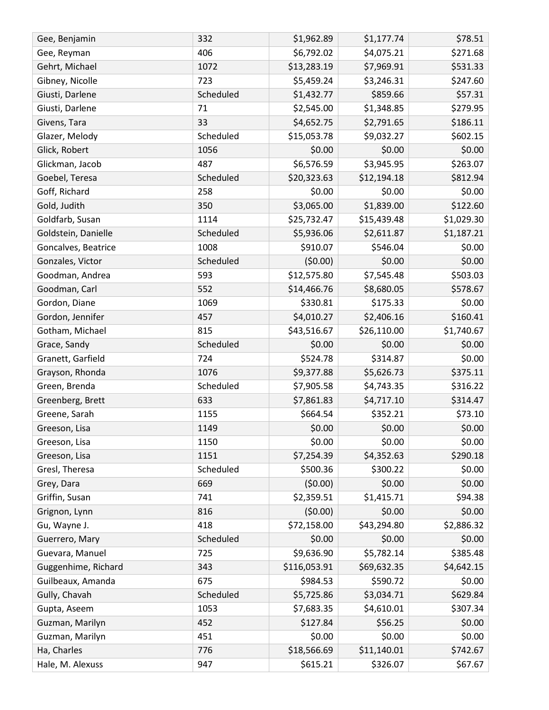| Gee, Benjamin       | 332       | \$1,962.89   | \$1,177.74  | \$78.51    |
|---------------------|-----------|--------------|-------------|------------|
| Gee, Reyman         | 406       | \$6,792.02   | \$4,075.21  | \$271.68   |
| Gehrt, Michael      | 1072      | \$13,283.19  | \$7,969.91  | \$531.33   |
| Gibney, Nicolle     | 723       | \$5,459.24   | \$3,246.31  | \$247.60   |
| Giusti, Darlene     | Scheduled | \$1,432.77   | \$859.66    | \$57.31    |
| Giusti, Darlene     | 71        | \$2,545.00   | \$1,348.85  | \$279.95   |
| Givens, Tara        | 33        | \$4,652.75   | \$2,791.65  | \$186.11   |
| Glazer, Melody      | Scheduled | \$15,053.78  | \$9,032.27  | \$602.15   |
| Glick, Robert       | 1056      | \$0.00       | \$0.00      | \$0.00     |
| Glickman, Jacob     | 487       | \$6,576.59   | \$3,945.95  | \$263.07   |
| Goebel, Teresa      | Scheduled | \$20,323.63  | \$12,194.18 | \$812.94   |
| Goff, Richard       | 258       | \$0.00       | \$0.00      | \$0.00     |
| Gold, Judith        | 350       | \$3,065.00   | \$1,839.00  | \$122.60   |
| Goldfarb, Susan     | 1114      | \$25,732.47  | \$15,439.48 | \$1,029.30 |
| Goldstein, Danielle | Scheduled | \$5,936.06   | \$2,611.87  | \$1,187.21 |
| Goncalves, Beatrice | 1008      | \$910.07     | \$546.04    | \$0.00     |
| Gonzales, Victor    | Scheduled | (50.00)      | \$0.00      | \$0.00     |
| Goodman, Andrea     | 593       | \$12,575.80  | \$7,545.48  | \$503.03   |
| Goodman, Carl       | 552       | \$14,466.76  | \$8,680.05  | \$578.67   |
| Gordon, Diane       | 1069      | \$330.81     | \$175.33    | \$0.00     |
| Gordon, Jennifer    | 457       | \$4,010.27   | \$2,406.16  | \$160.41   |
| Gotham, Michael     | 815       | \$43,516.67  | \$26,110.00 | \$1,740.67 |
| Grace, Sandy        | Scheduled | \$0.00       | \$0.00      | \$0.00     |
| Granett, Garfield   | 724       | \$524.78     | \$314.87    | \$0.00     |
| Grayson, Rhonda     | 1076      | \$9,377.88   | \$5,626.73  | \$375.11   |
| Green, Brenda       | Scheduled | \$7,905.58   | \$4,743.35  | \$316.22   |
| Greenberg, Brett    | 633       | \$7,861.83   | \$4,717.10  | \$314.47   |
| Greene, Sarah       | 1155      | \$664.54     | \$352.21    | \$73.10    |
| Greeson, Lisa       | 1149      | \$0.00       | \$0.00      | \$0.00     |
| Greeson, Lisa       | 1150      | \$0.00       | \$0.00      | \$0.00     |
| Greeson, Lisa       | 1151      | \$7,254.39   | \$4,352.63  | \$290.18   |
| Gresl, Theresa      | Scheduled | \$500.36     | \$300.22    | \$0.00     |
| Grey, Dara          | 669       | (50.00)      | \$0.00      | \$0.00     |
| Griffin, Susan      | 741       | \$2,359.51   | \$1,415.71  | \$94.38    |
| Grignon, Lynn       | 816       | (50.00)      | \$0.00      | \$0.00     |
| Gu, Wayne J.        | 418       | \$72,158.00  | \$43,294.80 | \$2,886.32 |
| Guerrero, Mary      | Scheduled | \$0.00       | \$0.00      | \$0.00     |
| Guevara, Manuel     | 725       | \$9,636.90   | \$5,782.14  | \$385.48   |
| Guggenhime, Richard | 343       | \$116,053.91 | \$69,632.35 | \$4,642.15 |
| Guilbeaux, Amanda   | 675       | \$984.53     | \$590.72    | \$0.00     |
| Gully, Chavah       | Scheduled | \$5,725.86   | \$3,034.71  | \$629.84   |
| Gupta, Aseem        | 1053      | \$7,683.35   | \$4,610.01  | \$307.34   |
| Guzman, Marilyn     | 452       | \$127.84     | \$56.25     | \$0.00     |
| Guzman, Marilyn     | 451       | \$0.00       | \$0.00      | \$0.00     |
| Ha, Charles         | 776       | \$18,566.69  | \$11,140.01 | \$742.67   |
| Hale, M. Alexuss    | 947       | \$615.21     | \$326.07    | \$67.67    |
|                     |           |              |             |            |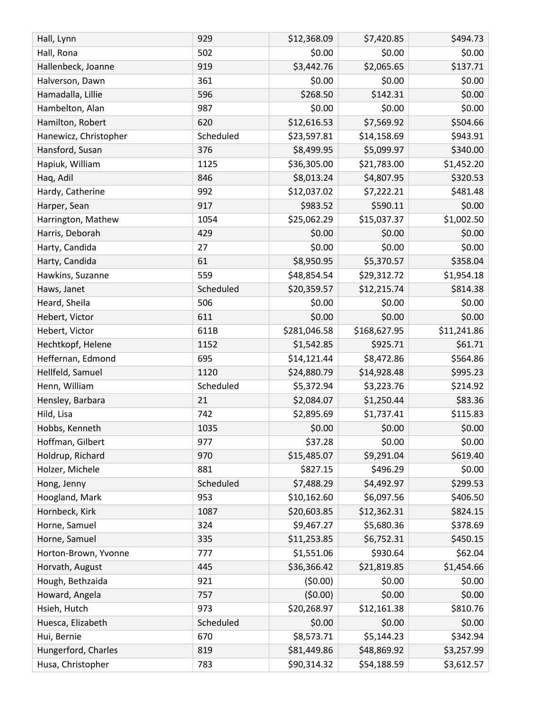| \$0.00<br>\$0.00<br>\$0.00<br>Hall, Rona<br>502<br>\$137.71<br>\$3,442.76<br>\$2,065.65<br>Hallenbeck, Joanne<br>919<br>361<br>\$0.00<br>\$0.00<br>\$0.00<br>Halverson, Dawn<br>\$268.50<br>\$142.31<br>\$0.00<br>Hamadalla, Lillie<br>596<br>\$0.00<br>Hambelton, Alan<br>987<br>\$0.00<br>\$0.00<br>\$12,616.53<br>\$7,569.92<br>\$504.66<br>Hamilton, Robert<br>620<br>Scheduled<br>\$23,597.81<br>\$943.91<br>Hanewicz, Christopher<br>\$14,158.69<br>\$340.00<br>Hansford, Susan<br>376<br>\$8,499.95<br>\$5,099.97<br>\$1,452.20<br>Hapiuk, William<br>\$36,305.00<br>\$21,783.00<br>1125<br>\$320.53<br>846<br>\$8,013.24<br>\$4,807.95<br>Haq, Adil<br>\$481.48<br>992<br>Hardy, Catherine<br>\$12,037.02<br>\$7,222.21<br>\$590.11<br>\$0.00<br>917<br>\$983.52<br>Harper, Sean<br>\$1,002.50<br>1054<br>\$25,062.29<br>\$15,037.37<br>Harrington, Mathew |
|--------------------------------------------------------------------------------------------------------------------------------------------------------------------------------------------------------------------------------------------------------------------------------------------------------------------------------------------------------------------------------------------------------------------------------------------------------------------------------------------------------------------------------------------------------------------------------------------------------------------------------------------------------------------------------------------------------------------------------------------------------------------------------------------------------------------------------------------------------------------|
|                                                                                                                                                                                                                                                                                                                                                                                                                                                                                                                                                                                                                                                                                                                                                                                                                                                                    |
|                                                                                                                                                                                                                                                                                                                                                                                                                                                                                                                                                                                                                                                                                                                                                                                                                                                                    |
|                                                                                                                                                                                                                                                                                                                                                                                                                                                                                                                                                                                                                                                                                                                                                                                                                                                                    |
|                                                                                                                                                                                                                                                                                                                                                                                                                                                                                                                                                                                                                                                                                                                                                                                                                                                                    |
|                                                                                                                                                                                                                                                                                                                                                                                                                                                                                                                                                                                                                                                                                                                                                                                                                                                                    |
|                                                                                                                                                                                                                                                                                                                                                                                                                                                                                                                                                                                                                                                                                                                                                                                                                                                                    |
|                                                                                                                                                                                                                                                                                                                                                                                                                                                                                                                                                                                                                                                                                                                                                                                                                                                                    |
|                                                                                                                                                                                                                                                                                                                                                                                                                                                                                                                                                                                                                                                                                                                                                                                                                                                                    |
|                                                                                                                                                                                                                                                                                                                                                                                                                                                                                                                                                                                                                                                                                                                                                                                                                                                                    |
|                                                                                                                                                                                                                                                                                                                                                                                                                                                                                                                                                                                                                                                                                                                                                                                                                                                                    |
|                                                                                                                                                                                                                                                                                                                                                                                                                                                                                                                                                                                                                                                                                                                                                                                                                                                                    |
|                                                                                                                                                                                                                                                                                                                                                                                                                                                                                                                                                                                                                                                                                                                                                                                                                                                                    |
|                                                                                                                                                                                                                                                                                                                                                                                                                                                                                                                                                                                                                                                                                                                                                                                                                                                                    |
| \$0.00<br>Harris, Deborah<br>429<br>\$0.00<br>\$0.00                                                                                                                                                                                                                                                                                                                                                                                                                                                                                                                                                                                                                                                                                                                                                                                                               |
| \$0.00<br>\$0.00<br>\$0.00<br>Harty, Candida<br>27                                                                                                                                                                                                                                                                                                                                                                                                                                                                                                                                                                                                                                                                                                                                                                                                                 |
| \$8,950.95<br>\$5,370.57<br>\$358.04<br>Harty, Candida<br>61                                                                                                                                                                                                                                                                                                                                                                                                                                                                                                                                                                                                                                                                                                                                                                                                       |
| 559<br>\$48,854.54<br>Hawkins, Suzanne<br>\$29,312.72<br>\$1,954.18                                                                                                                                                                                                                                                                                                                                                                                                                                                                                                                                                                                                                                                                                                                                                                                                |
| \$814.38<br>Scheduled<br>\$20,359.57<br>\$12,215.74<br>Haws, Janet                                                                                                                                                                                                                                                                                                                                                                                                                                                                                                                                                                                                                                                                                                                                                                                                 |
| Heard, Sheila<br>506<br>\$0.00<br>\$0.00<br>\$0.00                                                                                                                                                                                                                                                                                                                                                                                                                                                                                                                                                                                                                                                                                                                                                                                                                 |
| \$0.00<br>611<br>\$0.00<br>\$0.00<br>Hebert, Victor                                                                                                                                                                                                                                                                                                                                                                                                                                                                                                                                                                                                                                                                                                                                                                                                                |
| \$281,046.58<br>\$168,627.95<br>\$11,241.86<br>611B<br>Hebert, Victor                                                                                                                                                                                                                                                                                                                                                                                                                                                                                                                                                                                                                                                                                                                                                                                              |
| \$61.71<br>\$1,542.85<br>\$925.71<br>Hechtkopf, Helene<br>1152                                                                                                                                                                                                                                                                                                                                                                                                                                                                                                                                                                                                                                                                                                                                                                                                     |
| \$564.86<br>Heffernan, Edmond<br>695<br>\$8,472.86<br>\$14,121.44                                                                                                                                                                                                                                                                                                                                                                                                                                                                                                                                                                                                                                                                                                                                                                                                  |
| Hellfeld, Samuel<br>1120<br>\$24,880.79<br>\$14,928.48<br>\$995.23                                                                                                                                                                                                                                                                                                                                                                                                                                                                                                                                                                                                                                                                                                                                                                                                 |
| \$214.92<br>Henn, William<br>Scheduled<br>\$3,223.76<br>\$5,372.94                                                                                                                                                                                                                                                                                                                                                                                                                                                                                                                                                                                                                                                                                                                                                                                                 |
| \$83.36<br>Hensley, Barbara<br>21<br>\$2,084.07<br>\$1,250.44                                                                                                                                                                                                                                                                                                                                                                                                                                                                                                                                                                                                                                                                                                                                                                                                      |
| 742<br>\$2,895.69<br>\$1,737.41<br>\$115.83<br>Hild, Lisa                                                                                                                                                                                                                                                                                                                                                                                                                                                                                                                                                                                                                                                                                                                                                                                                          |
| \$0.00<br>\$0.00<br>\$0.00<br>Hobbs, Kenneth<br>1035                                                                                                                                                                                                                                                                                                                                                                                                                                                                                                                                                                                                                                                                                                                                                                                                               |
| Hoffman, Gilbert<br>977<br>\$37.28<br>\$0.00<br>\$0.00                                                                                                                                                                                                                                                                                                                                                                                                                                                                                                                                                                                                                                                                                                                                                                                                             |
| \$15,485.07<br>\$9,291.04<br>\$619.40<br>Holdrup, Richard<br>970                                                                                                                                                                                                                                                                                                                                                                                                                                                                                                                                                                                                                                                                                                                                                                                                   |
| \$827.15<br>\$496.29<br>\$0.00<br>Holzer, Michele<br>881                                                                                                                                                                                                                                                                                                                                                                                                                                                                                                                                                                                                                                                                                                                                                                                                           |
| \$299.53<br>Scheduled<br>\$7,488.29<br>\$4,492.97<br>Hong, Jenny                                                                                                                                                                                                                                                                                                                                                                                                                                                                                                                                                                                                                                                                                                                                                                                                   |
| \$6,097.56<br>\$406.50<br>Hoogland, Mark<br>953<br>\$10,162.60                                                                                                                                                                                                                                                                                                                                                                                                                                                                                                                                                                                                                                                                                                                                                                                                     |
| \$20,603.85<br>\$824.15<br>Hornbeck, Kirk<br>\$12,362.31<br>1087                                                                                                                                                                                                                                                                                                                                                                                                                                                                                                                                                                                                                                                                                                                                                                                                   |
| \$378.69<br>\$9,467.27<br>\$5,680.36<br>Horne, Samuel<br>324                                                                                                                                                                                                                                                                                                                                                                                                                                                                                                                                                                                                                                                                                                                                                                                                       |
| Horne, Samuel<br>335<br>\$6,752.31<br>\$450.15<br>\$11,253.85                                                                                                                                                                                                                                                                                                                                                                                                                                                                                                                                                                                                                                                                                                                                                                                                      |
| \$62.04<br>Horton-Brown, Yvonne<br>\$1,551.06<br>\$930.64<br>777                                                                                                                                                                                                                                                                                                                                                                                                                                                                                                                                                                                                                                                                                                                                                                                                   |
| \$36,366.42<br>\$1,454.66<br>Horvath, August<br>\$21,819.85<br>445                                                                                                                                                                                                                                                                                                                                                                                                                                                                                                                                                                                                                                                                                                                                                                                                 |
| Hough, Bethzaida<br>921<br>(50.00)<br>\$0.00<br>\$0.00                                                                                                                                                                                                                                                                                                                                                                                                                                                                                                                                                                                                                                                                                                                                                                                                             |
| (50.00)<br>\$0.00<br>\$0.00<br>Howard, Angela<br>757                                                                                                                                                                                                                                                                                                                                                                                                                                                                                                                                                                                                                                                                                                                                                                                                               |
| \$810.76<br>Hsieh, Hutch<br>\$20,268.97<br>\$12,161.38<br>973                                                                                                                                                                                                                                                                                                                                                                                                                                                                                                                                                                                                                                                                                                                                                                                                      |
| \$0.00<br>Scheduled<br>\$0.00<br>\$0.00<br>Huesca, Elizabeth                                                                                                                                                                                                                                                                                                                                                                                                                                                                                                                                                                                                                                                                                                                                                                                                       |
| \$8,573.71<br>Hui, Bernie<br>670<br>\$5,144.23<br>\$342.94                                                                                                                                                                                                                                                                                                                                                                                                                                                                                                                                                                                                                                                                                                                                                                                                         |
| \$3,257.99<br>Hungerford, Charles<br>\$81,449.86<br>\$48,869.92<br>819                                                                                                                                                                                                                                                                                                                                                                                                                                                                                                                                                                                                                                                                                                                                                                                             |
| \$90,314.32<br>\$54,188.59<br>\$3,612.57<br>Husa, Christopher<br>783                                                                                                                                                                                                                                                                                                                                                                                                                                                                                                                                                                                                                                                                                                                                                                                               |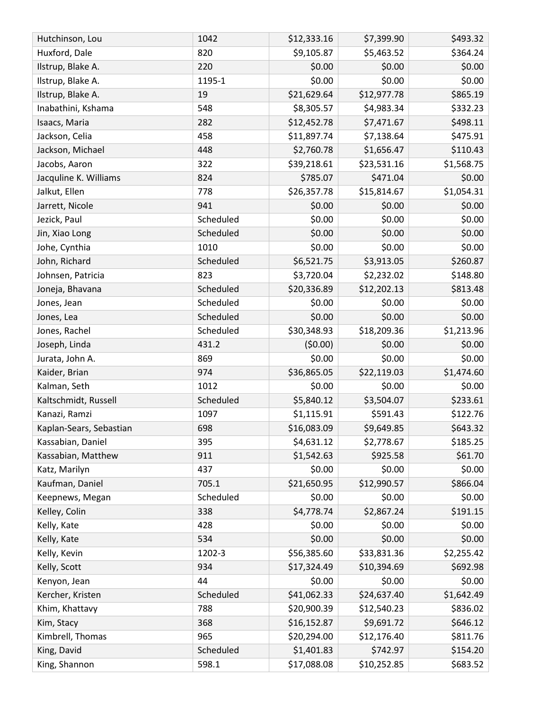| Hutchinson, Lou         | 1042      | \$12,333.16 | \$7,399.90  | \$493.32   |
|-------------------------|-----------|-------------|-------------|------------|
| Huxford, Dale           | 820       | \$9,105.87  | \$5,463.52  | \$364.24   |
| Ilstrup, Blake A.       | 220       | \$0.00      | \$0.00      | \$0.00     |
| Ilstrup, Blake A.       | 1195-1    | \$0.00      | \$0.00      | \$0.00     |
| Ilstrup, Blake A.       | 19        | \$21,629.64 | \$12,977.78 | \$865.19   |
| Inabathini, Kshama      | 548       | \$8,305.57  | \$4,983.34  | \$332.23   |
| Isaacs, Maria           | 282       | \$12,452.78 | \$7,471.67  | \$498.11   |
| Jackson, Celia          | 458       | \$11,897.74 | \$7,138.64  | \$475.91   |
| Jackson, Michael        | 448       | \$2,760.78  | \$1,656.47  | \$110.43   |
| Jacobs, Aaron           | 322       | \$39,218.61 | \$23,531.16 | \$1,568.75 |
| Jacquline K. Williams   | 824       | \$785.07    | \$471.04    | \$0.00     |
| Jalkut, Ellen           | 778       | \$26,357.78 | \$15,814.67 | \$1,054.31 |
| Jarrett, Nicole         | 941       | \$0.00      | \$0.00      | \$0.00     |
| Jezick, Paul            | Scheduled | \$0.00      | \$0.00      | \$0.00     |
| Jin, Xiao Long          | Scheduled | \$0.00      | \$0.00      | \$0.00     |
| Johe, Cynthia           | 1010      | \$0.00      | \$0.00      | \$0.00     |
| John, Richard           | Scheduled | \$6,521.75  | \$3,913.05  | \$260.87   |
| Johnsen, Patricia       | 823       | \$3,720.04  | \$2,232.02  | \$148.80   |
| Joneja, Bhavana         | Scheduled | \$20,336.89 | \$12,202.13 | \$813.48   |
| Jones, Jean             | Scheduled | \$0.00      | \$0.00      | \$0.00     |
| Jones, Lea              | Scheduled | \$0.00      | \$0.00      | \$0.00     |
| Jones, Rachel           | Scheduled | \$30,348.93 | \$18,209.36 | \$1,213.96 |
| Joseph, Linda           | 431.2     | (50.00)     | \$0.00      | \$0.00     |
| Jurata, John A.         | 869       | \$0.00      | \$0.00      | \$0.00     |
| Kaider, Brian           | 974       | \$36,865.05 | \$22,119.03 | \$1,474.60 |
| Kalman, Seth            | 1012      | \$0.00      | \$0.00      | \$0.00     |
| Kaltschmidt, Russell    | Scheduled | \$5,840.12  | \$3,504.07  | \$233.61   |
| Kanazi, Ramzi           | 1097      | \$1,115.91  | \$591.43    | \$122.76   |
| Kaplan-Sears, Sebastian | 698       | \$16,083.09 | \$9,649.85  | \$643.32   |
| Kassabian, Daniel       | 395       | \$4,631.12  | \$2,778.67  | \$185.25   |
| Kassabian, Matthew      | 911       | \$1,542.63  | \$925.58    | \$61.70    |
| Katz, Marilyn           | 437       | \$0.00      | \$0.00      | \$0.00     |
| Kaufman, Daniel         | 705.1     | \$21,650.95 | \$12,990.57 | \$866.04   |
| Keepnews, Megan         | Scheduled | \$0.00      | \$0.00      | \$0.00     |
| Kelley, Colin           | 338       | \$4,778.74  | \$2,867.24  | \$191.15   |
| Kelly, Kate             | 428       | \$0.00      | \$0.00      | \$0.00     |
| Kelly, Kate             | 534       | \$0.00      | \$0.00      | \$0.00     |
| Kelly, Kevin            | 1202-3    | \$56,385.60 | \$33,831.36 | \$2,255.42 |
| Kelly, Scott            | 934       | \$17,324.49 | \$10,394.69 | \$692.98   |
| Kenyon, Jean            | 44        | \$0.00      | \$0.00      | \$0.00     |
| Kercher, Kristen        | Scheduled | \$41,062.33 | \$24,637.40 | \$1,642.49 |
| Khim, Khattavy          | 788       | \$20,900.39 | \$12,540.23 | \$836.02   |
| Kim, Stacy              | 368       | \$16,152.87 | \$9,691.72  | \$646.12   |
| Kimbrell, Thomas        | 965       | \$20,294.00 | \$12,176.40 | \$811.76   |
| King, David             | Scheduled | \$1,401.83  | \$742.97    | \$154.20   |
| King, Shannon           | 598.1     | \$17,088.08 | \$10,252.85 | \$683.52   |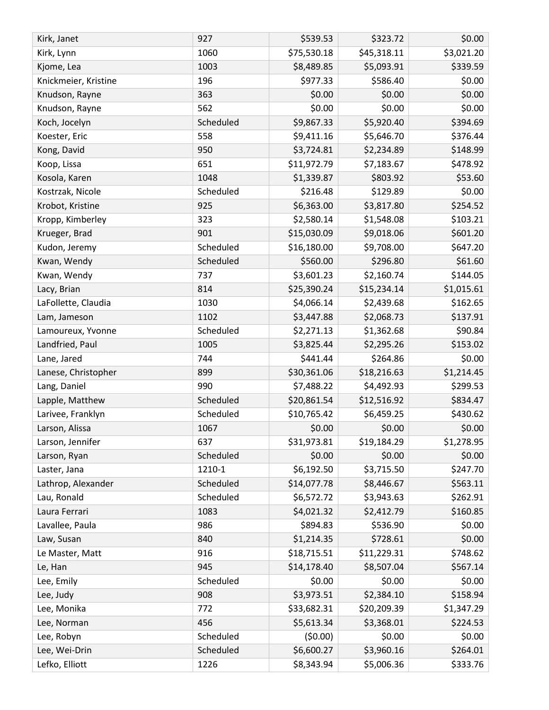| \$75,530.18<br>1060<br>\$45,318.11<br>\$3,021.20<br>Kirk, Lynn<br>\$339.59<br>\$8,489.85<br>\$5,093.91<br>1003<br>Kjome, Lea<br>196<br>\$977.33<br>\$586.40<br>\$0.00<br>Knickmeier, Kristine<br>\$0.00<br>363<br>\$0.00<br>\$0.00<br>Knudson, Rayne<br>\$0.00<br>562<br>\$0.00<br>\$0.00<br>Knudson, Rayne<br>\$9,867.33<br>\$5,920.40<br>\$394.69<br>Koch, Jocelyn<br>Scheduled<br>558<br>\$9,411.16<br>\$5,646.70<br>\$376.44<br>Koester, Eric<br>Kong, David<br>950<br>\$3,724.81<br>\$2,234.89<br>\$148.99<br>\$478.92<br>651<br>\$11,972.79<br>\$7,183.67<br>Koop, Lissa<br>1048<br>\$1,339.87<br>\$803.92<br>\$53.60<br>Kosola, Karen<br>\$0.00<br>\$216.48<br>\$129.89<br>Kostrzak, Nicole<br>Scheduled<br>\$254.52<br>Krobot, Kristine<br>925<br>\$6,363.00<br>\$3,817.80<br>323<br>\$2,580.14<br>\$103.21<br>Kropp, Kimberley<br>\$1,548.08<br>\$15,030.09<br>\$601.20<br>Krueger, Brad<br>901<br>\$9,018.06<br>\$647.20<br>Scheduled<br>\$16,180.00<br>\$9,708.00<br>Kudon, Jeremy<br>\$560.00<br>\$61.60<br>Kwan, Wendy<br>Scheduled<br>\$296.80<br>\$144.05<br>\$3,601.23<br>\$2,160.74<br>Kwan, Wendy<br>737<br>814<br>\$25,390.24<br>\$15,234.14<br>\$1,015.61<br>Lacy, Brian<br>\$162.65<br>\$4,066.14<br>LaFollette, Claudia<br>1030<br>\$2,439.68<br>1102<br>\$3,447.88<br>\$137.91<br>\$2,068.73<br>Lam, Jameson<br>\$90.84<br>Scheduled<br>\$2,271.13<br>\$1,362.68<br>Lamoureux, Yvonne<br>\$153.02<br>Landfried, Paul<br>1005<br>\$3,825.44<br>\$2,295.26<br>\$441.44<br>\$264.86<br>\$0.00<br>Lane, Jared<br>744<br>\$30,361.06<br>\$18,216.63<br>Lanese, Christopher<br>899<br>\$1,214.45<br>\$299.53<br>990<br>\$7,488.22<br>\$4,492.93<br>Lang, Daniel<br>\$834.47<br>Scheduled<br>\$20,861.54<br>\$12,516.92<br>Lapple, Matthew<br>Scheduled<br>\$10,765.42<br>\$6,459.25<br>\$430.62<br>Larivee, Franklyn<br>\$0.00<br>\$0.00<br>\$0.00<br>Larson, Alissa<br>1067<br>\$31,973.81<br>\$19,184.29<br>\$1,278.95<br>Larson, Jennifer<br>637<br>\$0.00<br>\$0.00<br>\$0.00<br>Scheduled<br>Larson, Ryan<br>\$247.70<br>1210-1<br>\$6,192.50<br>\$3,715.50<br>Laster, Jana<br>Lathrop, Alexander<br>Scheduled<br>\$14,077.78<br>\$8,446.67<br>\$563.11<br>\$6,572.72<br>Lau, Ronald<br>Scheduled<br>\$3,943.63<br>\$262.91<br>Laura Ferrari<br>\$4,021.32<br>\$2,412.79<br>\$160.85<br>1083<br>\$894.83<br>\$0.00<br>Lavallee, Paula<br>986<br>\$536.90<br>\$1,214.35<br>\$0.00<br>Law, Susan<br>840<br>\$728.61<br>\$748.62<br>916<br>\$11,229.31<br>Le Master, Matt<br>\$18,715.51<br>\$8,507.04<br>\$567.14<br>945<br>\$14,178.40<br>Le, Han<br>Scheduled<br>\$0.00<br>\$0.00<br>\$0.00<br>Lee, Emily<br>\$3,973.51<br>908<br>\$2,384.10<br>\$158.94<br>Lee, Judy<br>\$33,682.31<br>\$20,209.39<br>\$1,347.29<br>Lee, Monika<br>772<br>\$224.53<br>456<br>\$5,613.34<br>\$3,368.01<br>Lee, Norman<br>(50.00)<br>\$0.00<br>\$0.00<br>Lee, Robyn<br>Scheduled<br>\$6,600.27<br>\$3,960.16<br>\$264.01<br>Lee, Wei-Drin<br>Scheduled<br>\$8,343.94<br>\$5,006.36<br>\$333.76<br>Lefko, Elliott<br>1226 | Kirk, Janet | 927 | \$539.53 | \$323.72 | \$0.00 |
|-------------------------------------------------------------------------------------------------------------------------------------------------------------------------------------------------------------------------------------------------------------------------------------------------------------------------------------------------------------------------------------------------------------------------------------------------------------------------------------------------------------------------------------------------------------------------------------------------------------------------------------------------------------------------------------------------------------------------------------------------------------------------------------------------------------------------------------------------------------------------------------------------------------------------------------------------------------------------------------------------------------------------------------------------------------------------------------------------------------------------------------------------------------------------------------------------------------------------------------------------------------------------------------------------------------------------------------------------------------------------------------------------------------------------------------------------------------------------------------------------------------------------------------------------------------------------------------------------------------------------------------------------------------------------------------------------------------------------------------------------------------------------------------------------------------------------------------------------------------------------------------------------------------------------------------------------------------------------------------------------------------------------------------------------------------------------------------------------------------------------------------------------------------------------------------------------------------------------------------------------------------------------------------------------------------------------------------------------------------------------------------------------------------------------------------------------------------------------------------------------------------------------------------------------------------------------------------------------------------------------------------------------------------------------------------------------------------------------------------------------------------------------------------------------------------------------------------------------------------------------------------------------------------------------------------------------------------------------------------------------------------------------------|-------------|-----|----------|----------|--------|
|                                                                                                                                                                                                                                                                                                                                                                                                                                                                                                                                                                                                                                                                                                                                                                                                                                                                                                                                                                                                                                                                                                                                                                                                                                                                                                                                                                                                                                                                                                                                                                                                                                                                                                                                                                                                                                                                                                                                                                                                                                                                                                                                                                                                                                                                                                                                                                                                                                                                                                                                                                                                                                                                                                                                                                                                                                                                                                                                                                                                                               |             |     |          |          |        |
|                                                                                                                                                                                                                                                                                                                                                                                                                                                                                                                                                                                                                                                                                                                                                                                                                                                                                                                                                                                                                                                                                                                                                                                                                                                                                                                                                                                                                                                                                                                                                                                                                                                                                                                                                                                                                                                                                                                                                                                                                                                                                                                                                                                                                                                                                                                                                                                                                                                                                                                                                                                                                                                                                                                                                                                                                                                                                                                                                                                                                               |             |     |          |          |        |
|                                                                                                                                                                                                                                                                                                                                                                                                                                                                                                                                                                                                                                                                                                                                                                                                                                                                                                                                                                                                                                                                                                                                                                                                                                                                                                                                                                                                                                                                                                                                                                                                                                                                                                                                                                                                                                                                                                                                                                                                                                                                                                                                                                                                                                                                                                                                                                                                                                                                                                                                                                                                                                                                                                                                                                                                                                                                                                                                                                                                                               |             |     |          |          |        |
|                                                                                                                                                                                                                                                                                                                                                                                                                                                                                                                                                                                                                                                                                                                                                                                                                                                                                                                                                                                                                                                                                                                                                                                                                                                                                                                                                                                                                                                                                                                                                                                                                                                                                                                                                                                                                                                                                                                                                                                                                                                                                                                                                                                                                                                                                                                                                                                                                                                                                                                                                                                                                                                                                                                                                                                                                                                                                                                                                                                                                               |             |     |          |          |        |
|                                                                                                                                                                                                                                                                                                                                                                                                                                                                                                                                                                                                                                                                                                                                                                                                                                                                                                                                                                                                                                                                                                                                                                                                                                                                                                                                                                                                                                                                                                                                                                                                                                                                                                                                                                                                                                                                                                                                                                                                                                                                                                                                                                                                                                                                                                                                                                                                                                                                                                                                                                                                                                                                                                                                                                                                                                                                                                                                                                                                                               |             |     |          |          |        |
|                                                                                                                                                                                                                                                                                                                                                                                                                                                                                                                                                                                                                                                                                                                                                                                                                                                                                                                                                                                                                                                                                                                                                                                                                                                                                                                                                                                                                                                                                                                                                                                                                                                                                                                                                                                                                                                                                                                                                                                                                                                                                                                                                                                                                                                                                                                                                                                                                                                                                                                                                                                                                                                                                                                                                                                                                                                                                                                                                                                                                               |             |     |          |          |        |
|                                                                                                                                                                                                                                                                                                                                                                                                                                                                                                                                                                                                                                                                                                                                                                                                                                                                                                                                                                                                                                                                                                                                                                                                                                                                                                                                                                                                                                                                                                                                                                                                                                                                                                                                                                                                                                                                                                                                                                                                                                                                                                                                                                                                                                                                                                                                                                                                                                                                                                                                                                                                                                                                                                                                                                                                                                                                                                                                                                                                                               |             |     |          |          |        |
|                                                                                                                                                                                                                                                                                                                                                                                                                                                                                                                                                                                                                                                                                                                                                                                                                                                                                                                                                                                                                                                                                                                                                                                                                                                                                                                                                                                                                                                                                                                                                                                                                                                                                                                                                                                                                                                                                                                                                                                                                                                                                                                                                                                                                                                                                                                                                                                                                                                                                                                                                                                                                                                                                                                                                                                                                                                                                                                                                                                                                               |             |     |          |          |        |
|                                                                                                                                                                                                                                                                                                                                                                                                                                                                                                                                                                                                                                                                                                                                                                                                                                                                                                                                                                                                                                                                                                                                                                                                                                                                                                                                                                                                                                                                                                                                                                                                                                                                                                                                                                                                                                                                                                                                                                                                                                                                                                                                                                                                                                                                                                                                                                                                                                                                                                                                                                                                                                                                                                                                                                                                                                                                                                                                                                                                                               |             |     |          |          |        |
|                                                                                                                                                                                                                                                                                                                                                                                                                                                                                                                                                                                                                                                                                                                                                                                                                                                                                                                                                                                                                                                                                                                                                                                                                                                                                                                                                                                                                                                                                                                                                                                                                                                                                                                                                                                                                                                                                                                                                                                                                                                                                                                                                                                                                                                                                                                                                                                                                                                                                                                                                                                                                                                                                                                                                                                                                                                                                                                                                                                                                               |             |     |          |          |        |
|                                                                                                                                                                                                                                                                                                                                                                                                                                                                                                                                                                                                                                                                                                                                                                                                                                                                                                                                                                                                                                                                                                                                                                                                                                                                                                                                                                                                                                                                                                                                                                                                                                                                                                                                                                                                                                                                                                                                                                                                                                                                                                                                                                                                                                                                                                                                                                                                                                                                                                                                                                                                                                                                                                                                                                                                                                                                                                                                                                                                                               |             |     |          |          |        |
|                                                                                                                                                                                                                                                                                                                                                                                                                                                                                                                                                                                                                                                                                                                                                                                                                                                                                                                                                                                                                                                                                                                                                                                                                                                                                                                                                                                                                                                                                                                                                                                                                                                                                                                                                                                                                                                                                                                                                                                                                                                                                                                                                                                                                                                                                                                                                                                                                                                                                                                                                                                                                                                                                                                                                                                                                                                                                                                                                                                                                               |             |     |          |          |        |
|                                                                                                                                                                                                                                                                                                                                                                                                                                                                                                                                                                                                                                                                                                                                                                                                                                                                                                                                                                                                                                                                                                                                                                                                                                                                                                                                                                                                                                                                                                                                                                                                                                                                                                                                                                                                                                                                                                                                                                                                                                                                                                                                                                                                                                                                                                                                                                                                                                                                                                                                                                                                                                                                                                                                                                                                                                                                                                                                                                                                                               |             |     |          |          |        |
|                                                                                                                                                                                                                                                                                                                                                                                                                                                                                                                                                                                                                                                                                                                                                                                                                                                                                                                                                                                                                                                                                                                                                                                                                                                                                                                                                                                                                                                                                                                                                                                                                                                                                                                                                                                                                                                                                                                                                                                                                                                                                                                                                                                                                                                                                                                                                                                                                                                                                                                                                                                                                                                                                                                                                                                                                                                                                                                                                                                                                               |             |     |          |          |        |
|                                                                                                                                                                                                                                                                                                                                                                                                                                                                                                                                                                                                                                                                                                                                                                                                                                                                                                                                                                                                                                                                                                                                                                                                                                                                                                                                                                                                                                                                                                                                                                                                                                                                                                                                                                                                                                                                                                                                                                                                                                                                                                                                                                                                                                                                                                                                                                                                                                                                                                                                                                                                                                                                                                                                                                                                                                                                                                                                                                                                                               |             |     |          |          |        |
|                                                                                                                                                                                                                                                                                                                                                                                                                                                                                                                                                                                                                                                                                                                                                                                                                                                                                                                                                                                                                                                                                                                                                                                                                                                                                                                                                                                                                                                                                                                                                                                                                                                                                                                                                                                                                                                                                                                                                                                                                                                                                                                                                                                                                                                                                                                                                                                                                                                                                                                                                                                                                                                                                                                                                                                                                                                                                                                                                                                                                               |             |     |          |          |        |
|                                                                                                                                                                                                                                                                                                                                                                                                                                                                                                                                                                                                                                                                                                                                                                                                                                                                                                                                                                                                                                                                                                                                                                                                                                                                                                                                                                                                                                                                                                                                                                                                                                                                                                                                                                                                                                                                                                                                                                                                                                                                                                                                                                                                                                                                                                                                                                                                                                                                                                                                                                                                                                                                                                                                                                                                                                                                                                                                                                                                                               |             |     |          |          |        |
|                                                                                                                                                                                                                                                                                                                                                                                                                                                                                                                                                                                                                                                                                                                                                                                                                                                                                                                                                                                                                                                                                                                                                                                                                                                                                                                                                                                                                                                                                                                                                                                                                                                                                                                                                                                                                                                                                                                                                                                                                                                                                                                                                                                                                                                                                                                                                                                                                                                                                                                                                                                                                                                                                                                                                                                                                                                                                                                                                                                                                               |             |     |          |          |        |
|                                                                                                                                                                                                                                                                                                                                                                                                                                                                                                                                                                                                                                                                                                                                                                                                                                                                                                                                                                                                                                                                                                                                                                                                                                                                                                                                                                                                                                                                                                                                                                                                                                                                                                                                                                                                                                                                                                                                                                                                                                                                                                                                                                                                                                                                                                                                                                                                                                                                                                                                                                                                                                                                                                                                                                                                                                                                                                                                                                                                                               |             |     |          |          |        |
|                                                                                                                                                                                                                                                                                                                                                                                                                                                                                                                                                                                                                                                                                                                                                                                                                                                                                                                                                                                                                                                                                                                                                                                                                                                                                                                                                                                                                                                                                                                                                                                                                                                                                                                                                                                                                                                                                                                                                                                                                                                                                                                                                                                                                                                                                                                                                                                                                                                                                                                                                                                                                                                                                                                                                                                                                                                                                                                                                                                                                               |             |     |          |          |        |
|                                                                                                                                                                                                                                                                                                                                                                                                                                                                                                                                                                                                                                                                                                                                                                                                                                                                                                                                                                                                                                                                                                                                                                                                                                                                                                                                                                                                                                                                                                                                                                                                                                                                                                                                                                                                                                                                                                                                                                                                                                                                                                                                                                                                                                                                                                                                                                                                                                                                                                                                                                                                                                                                                                                                                                                                                                                                                                                                                                                                                               |             |     |          |          |        |
|                                                                                                                                                                                                                                                                                                                                                                                                                                                                                                                                                                                                                                                                                                                                                                                                                                                                                                                                                                                                                                                                                                                                                                                                                                                                                                                                                                                                                                                                                                                                                                                                                                                                                                                                                                                                                                                                                                                                                                                                                                                                                                                                                                                                                                                                                                                                                                                                                                                                                                                                                                                                                                                                                                                                                                                                                                                                                                                                                                                                                               |             |     |          |          |        |
|                                                                                                                                                                                                                                                                                                                                                                                                                                                                                                                                                                                                                                                                                                                                                                                                                                                                                                                                                                                                                                                                                                                                                                                                                                                                                                                                                                                                                                                                                                                                                                                                                                                                                                                                                                                                                                                                                                                                                                                                                                                                                                                                                                                                                                                                                                                                                                                                                                                                                                                                                                                                                                                                                                                                                                                                                                                                                                                                                                                                                               |             |     |          |          |        |
|                                                                                                                                                                                                                                                                                                                                                                                                                                                                                                                                                                                                                                                                                                                                                                                                                                                                                                                                                                                                                                                                                                                                                                                                                                                                                                                                                                                                                                                                                                                                                                                                                                                                                                                                                                                                                                                                                                                                                                                                                                                                                                                                                                                                                                                                                                                                                                                                                                                                                                                                                                                                                                                                                                                                                                                                                                                                                                                                                                                                                               |             |     |          |          |        |
|                                                                                                                                                                                                                                                                                                                                                                                                                                                                                                                                                                                                                                                                                                                                                                                                                                                                                                                                                                                                                                                                                                                                                                                                                                                                                                                                                                                                                                                                                                                                                                                                                                                                                                                                                                                                                                                                                                                                                                                                                                                                                                                                                                                                                                                                                                                                                                                                                                                                                                                                                                                                                                                                                                                                                                                                                                                                                                                                                                                                                               |             |     |          |          |        |
|                                                                                                                                                                                                                                                                                                                                                                                                                                                                                                                                                                                                                                                                                                                                                                                                                                                                                                                                                                                                                                                                                                                                                                                                                                                                                                                                                                                                                                                                                                                                                                                                                                                                                                                                                                                                                                                                                                                                                                                                                                                                                                                                                                                                                                                                                                                                                                                                                                                                                                                                                                                                                                                                                                                                                                                                                                                                                                                                                                                                                               |             |     |          |          |        |
|                                                                                                                                                                                                                                                                                                                                                                                                                                                                                                                                                                                                                                                                                                                                                                                                                                                                                                                                                                                                                                                                                                                                                                                                                                                                                                                                                                                                                                                                                                                                                                                                                                                                                                                                                                                                                                                                                                                                                                                                                                                                                                                                                                                                                                                                                                                                                                                                                                                                                                                                                                                                                                                                                                                                                                                                                                                                                                                                                                                                                               |             |     |          |          |        |
|                                                                                                                                                                                                                                                                                                                                                                                                                                                                                                                                                                                                                                                                                                                                                                                                                                                                                                                                                                                                                                                                                                                                                                                                                                                                                                                                                                                                                                                                                                                                                                                                                                                                                                                                                                                                                                                                                                                                                                                                                                                                                                                                                                                                                                                                                                                                                                                                                                                                                                                                                                                                                                                                                                                                                                                                                                                                                                                                                                                                                               |             |     |          |          |        |
|                                                                                                                                                                                                                                                                                                                                                                                                                                                                                                                                                                                                                                                                                                                                                                                                                                                                                                                                                                                                                                                                                                                                                                                                                                                                                                                                                                                                                                                                                                                                                                                                                                                                                                                                                                                                                                                                                                                                                                                                                                                                                                                                                                                                                                                                                                                                                                                                                                                                                                                                                                                                                                                                                                                                                                                                                                                                                                                                                                                                                               |             |     |          |          |        |
|                                                                                                                                                                                                                                                                                                                                                                                                                                                                                                                                                                                                                                                                                                                                                                                                                                                                                                                                                                                                                                                                                                                                                                                                                                                                                                                                                                                                                                                                                                                                                                                                                                                                                                                                                                                                                                                                                                                                                                                                                                                                                                                                                                                                                                                                                                                                                                                                                                                                                                                                                                                                                                                                                                                                                                                                                                                                                                                                                                                                                               |             |     |          |          |        |
|                                                                                                                                                                                                                                                                                                                                                                                                                                                                                                                                                                                                                                                                                                                                                                                                                                                                                                                                                                                                                                                                                                                                                                                                                                                                                                                                                                                                                                                                                                                                                                                                                                                                                                                                                                                                                                                                                                                                                                                                                                                                                                                                                                                                                                                                                                                                                                                                                                                                                                                                                                                                                                                                                                                                                                                                                                                                                                                                                                                                                               |             |     |          |          |        |
|                                                                                                                                                                                                                                                                                                                                                                                                                                                                                                                                                                                                                                                                                                                                                                                                                                                                                                                                                                                                                                                                                                                                                                                                                                                                                                                                                                                                                                                                                                                                                                                                                                                                                                                                                                                                                                                                                                                                                                                                                                                                                                                                                                                                                                                                                                                                                                                                                                                                                                                                                                                                                                                                                                                                                                                                                                                                                                                                                                                                                               |             |     |          |          |        |
|                                                                                                                                                                                                                                                                                                                                                                                                                                                                                                                                                                                                                                                                                                                                                                                                                                                                                                                                                                                                                                                                                                                                                                                                                                                                                                                                                                                                                                                                                                                                                                                                                                                                                                                                                                                                                                                                                                                                                                                                                                                                                                                                                                                                                                                                                                                                                                                                                                                                                                                                                                                                                                                                                                                                                                                                                                                                                                                                                                                                                               |             |     |          |          |        |
|                                                                                                                                                                                                                                                                                                                                                                                                                                                                                                                                                                                                                                                                                                                                                                                                                                                                                                                                                                                                                                                                                                                                                                                                                                                                                                                                                                                                                                                                                                                                                                                                                                                                                                                                                                                                                                                                                                                                                                                                                                                                                                                                                                                                                                                                                                                                                                                                                                                                                                                                                                                                                                                                                                                                                                                                                                                                                                                                                                                                                               |             |     |          |          |        |
|                                                                                                                                                                                                                                                                                                                                                                                                                                                                                                                                                                                                                                                                                                                                                                                                                                                                                                                                                                                                                                                                                                                                                                                                                                                                                                                                                                                                                                                                                                                                                                                                                                                                                                                                                                                                                                                                                                                                                                                                                                                                                                                                                                                                                                                                                                                                                                                                                                                                                                                                                                                                                                                                                                                                                                                                                                                                                                                                                                                                                               |             |     |          |          |        |
|                                                                                                                                                                                                                                                                                                                                                                                                                                                                                                                                                                                                                                                                                                                                                                                                                                                                                                                                                                                                                                                                                                                                                                                                                                                                                                                                                                                                                                                                                                                                                                                                                                                                                                                                                                                                                                                                                                                                                                                                                                                                                                                                                                                                                                                                                                                                                                                                                                                                                                                                                                                                                                                                                                                                                                                                                                                                                                                                                                                                                               |             |     |          |          |        |
|                                                                                                                                                                                                                                                                                                                                                                                                                                                                                                                                                                                                                                                                                                                                                                                                                                                                                                                                                                                                                                                                                                                                                                                                                                                                                                                                                                                                                                                                                                                                                                                                                                                                                                                                                                                                                                                                                                                                                                                                                                                                                                                                                                                                                                                                                                                                                                                                                                                                                                                                                                                                                                                                                                                                                                                                                                                                                                                                                                                                                               |             |     |          |          |        |
|                                                                                                                                                                                                                                                                                                                                                                                                                                                                                                                                                                                                                                                                                                                                                                                                                                                                                                                                                                                                                                                                                                                                                                                                                                                                                                                                                                                                                                                                                                                                                                                                                                                                                                                                                                                                                                                                                                                                                                                                                                                                                                                                                                                                                                                                                                                                                                                                                                                                                                                                                                                                                                                                                                                                                                                                                                                                                                                                                                                                                               |             |     |          |          |        |
|                                                                                                                                                                                                                                                                                                                                                                                                                                                                                                                                                                                                                                                                                                                                                                                                                                                                                                                                                                                                                                                                                                                                                                                                                                                                                                                                                                                                                                                                                                                                                                                                                                                                                                                                                                                                                                                                                                                                                                                                                                                                                                                                                                                                                                                                                                                                                                                                                                                                                                                                                                                                                                                                                                                                                                                                                                                                                                                                                                                                                               |             |     |          |          |        |
|                                                                                                                                                                                                                                                                                                                                                                                                                                                                                                                                                                                                                                                                                                                                                                                                                                                                                                                                                                                                                                                                                                                                                                                                                                                                                                                                                                                                                                                                                                                                                                                                                                                                                                                                                                                                                                                                                                                                                                                                                                                                                                                                                                                                                                                                                                                                                                                                                                                                                                                                                                                                                                                                                                                                                                                                                                                                                                                                                                                                                               |             |     |          |          |        |
|                                                                                                                                                                                                                                                                                                                                                                                                                                                                                                                                                                                                                                                                                                                                                                                                                                                                                                                                                                                                                                                                                                                                                                                                                                                                                                                                                                                                                                                                                                                                                                                                                                                                                                                                                                                                                                                                                                                                                                                                                                                                                                                                                                                                                                                                                                                                                                                                                                                                                                                                                                                                                                                                                                                                                                                                                                                                                                                                                                                                                               |             |     |          |          |        |
|                                                                                                                                                                                                                                                                                                                                                                                                                                                                                                                                                                                                                                                                                                                                                                                                                                                                                                                                                                                                                                                                                                                                                                                                                                                                                                                                                                                                                                                                                                                                                                                                                                                                                                                                                                                                                                                                                                                                                                                                                                                                                                                                                                                                                                                                                                                                                                                                                                                                                                                                                                                                                                                                                                                                                                                                                                                                                                                                                                                                                               |             |     |          |          |        |
|                                                                                                                                                                                                                                                                                                                                                                                                                                                                                                                                                                                                                                                                                                                                                                                                                                                                                                                                                                                                                                                                                                                                                                                                                                                                                                                                                                                                                                                                                                                                                                                                                                                                                                                                                                                                                                                                                                                                                                                                                                                                                                                                                                                                                                                                                                                                                                                                                                                                                                                                                                                                                                                                                                                                                                                                                                                                                                                                                                                                                               |             |     |          |          |        |
|                                                                                                                                                                                                                                                                                                                                                                                                                                                                                                                                                                                                                                                                                                                                                                                                                                                                                                                                                                                                                                                                                                                                                                                                                                                                                                                                                                                                                                                                                                                                                                                                                                                                                                                                                                                                                                                                                                                                                                                                                                                                                                                                                                                                                                                                                                                                                                                                                                                                                                                                                                                                                                                                                                                                                                                                                                                                                                                                                                                                                               |             |     |          |          |        |
|                                                                                                                                                                                                                                                                                                                                                                                                                                                                                                                                                                                                                                                                                                                                                                                                                                                                                                                                                                                                                                                                                                                                                                                                                                                                                                                                                                                                                                                                                                                                                                                                                                                                                                                                                                                                                                                                                                                                                                                                                                                                                                                                                                                                                                                                                                                                                                                                                                                                                                                                                                                                                                                                                                                                                                                                                                                                                                                                                                                                                               |             |     |          |          |        |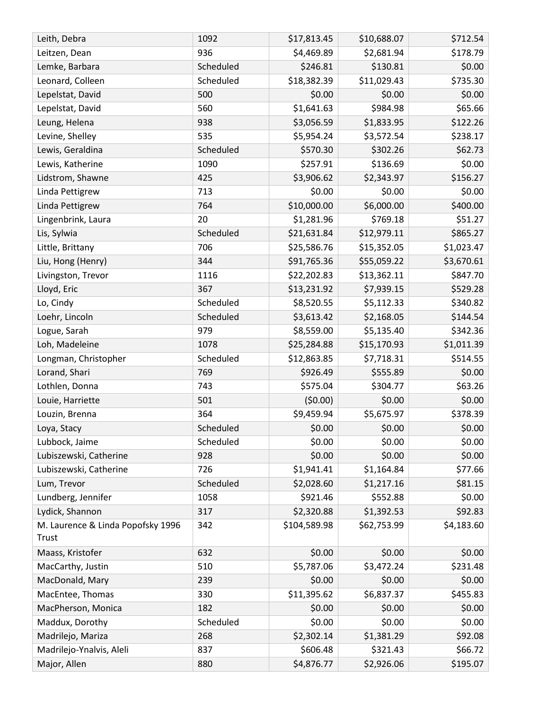| Leith, Debra                      | 1092      | \$17,813.45  | \$10,688.07 | \$712.54   |
|-----------------------------------|-----------|--------------|-------------|------------|
| Leitzen, Dean                     | 936       | \$4,469.89   | \$2,681.94  | \$178.79   |
| Lemke, Barbara                    | Scheduled | \$246.81     | \$130.81    | \$0.00     |
| Leonard, Colleen                  | Scheduled | \$18,382.39  | \$11,029.43 | \$735.30   |
| Lepelstat, David                  | 500       | \$0.00       | \$0.00      | \$0.00     |
| Lepelstat, David                  | 560       | \$1,641.63   | \$984.98    | \$65.66    |
| Leung, Helena                     | 938       | \$3,056.59   | \$1,833.95  | \$122.26   |
| Levine, Shelley                   | 535       | \$5,954.24   | \$3,572.54  | \$238.17   |
| Lewis, Geraldina                  | Scheduled | \$570.30     | \$302.26    | \$62.73    |
| Lewis, Katherine                  | 1090      | \$257.91     | \$136.69    | \$0.00     |
| Lidstrom, Shawne                  | 425       | \$3,906.62   | \$2,343.97  | \$156.27   |
| Linda Pettigrew                   | 713       | \$0.00       | \$0.00      | \$0.00     |
| Linda Pettigrew                   | 764       | \$10,000.00  | \$6,000.00  | \$400.00   |
| Lingenbrink, Laura                | 20        | \$1,281.96   | \$769.18    | \$51.27    |
| Lis, Sylwia                       | Scheduled | \$21,631.84  | \$12,979.11 | \$865.27   |
| Little, Brittany                  | 706       | \$25,586.76  | \$15,352.05 | \$1,023.47 |
| Liu, Hong (Henry)                 | 344       | \$91,765.36  | \$55,059.22 | \$3,670.61 |
| Livingston, Trevor                | 1116      | \$22,202.83  | \$13,362.11 | \$847.70   |
| Lloyd, Eric                       | 367       | \$13,231.92  | \$7,939.15  | \$529.28   |
| Lo, Cindy                         | Scheduled | \$8,520.55   | \$5,112.33  | \$340.82   |
| Loehr, Lincoln                    | Scheduled | \$3,613.42   | \$2,168.05  | \$144.54   |
| Logue, Sarah                      | 979       | \$8,559.00   | \$5,135.40  | \$342.36   |
| Loh, Madeleine                    | 1078      | \$25,284.88  | \$15,170.93 | \$1,011.39 |
| Longman, Christopher              | Scheduled | \$12,863.85  | \$7,718.31  | \$514.55   |
| Lorand, Shari                     | 769       | \$926.49     | \$555.89    | \$0.00     |
| Lothlen, Donna                    | 743       | \$575.04     | \$304.77    | \$63.26    |
| Louie, Harriette                  | 501       | (50.00)      | \$0.00      | \$0.00     |
| Louzin, Brenna                    | 364       | \$9,459.94   | \$5,675.97  | \$378.39   |
| Loya, Stacy                       | Scheduled | \$0.00       | \$0.00      | \$0.00     |
| Lubbock, Jaime                    | Scheduled | \$0.00       | \$0.00      | \$0.00     |
| Lubiszewski, Catherine            | 928       | \$0.00       | \$0.00      | \$0.00     |
| Lubiszewski, Catherine            | 726       | \$1,941.41   | \$1,164.84  | \$77.66    |
| Lum, Trevor                       | Scheduled | \$2,028.60   | \$1,217.16  | \$81.15    |
| Lundberg, Jennifer                | 1058      | \$921.46     | \$552.88    | \$0.00     |
| Lydick, Shannon                   | 317       | \$2,320.88   | \$1,392.53  | \$92.83    |
| M. Laurence & Linda Popofsky 1996 | 342       | \$104,589.98 | \$62,753.99 | \$4,183.60 |
| Trust                             |           |              |             |            |
| Maass, Kristofer                  | 632       | \$0.00       | \$0.00      | \$0.00     |
| MacCarthy, Justin                 | 510       | \$5,787.06   | \$3,472.24  | \$231.48   |
| MacDonald, Mary                   | 239       | \$0.00       | \$0.00      | \$0.00     |
| MacEntee, Thomas                  | 330       | \$11,395.62  | \$6,837.37  | \$455.83   |
| MacPherson, Monica                | 182       | \$0.00       | \$0.00      | \$0.00     |
| Maddux, Dorothy                   | Scheduled | \$0.00       | \$0.00      | \$0.00     |
| Madrilejo, Mariza                 | 268       | \$2,302.14   | \$1,381.29  | \$92.08    |
| Madrilejo-Ynalvis, Aleli          | 837       | \$606.48     | \$321.43    | \$66.72    |
| Major, Allen                      | 880       | \$4,876.77   | \$2,926.06  | \$195.07   |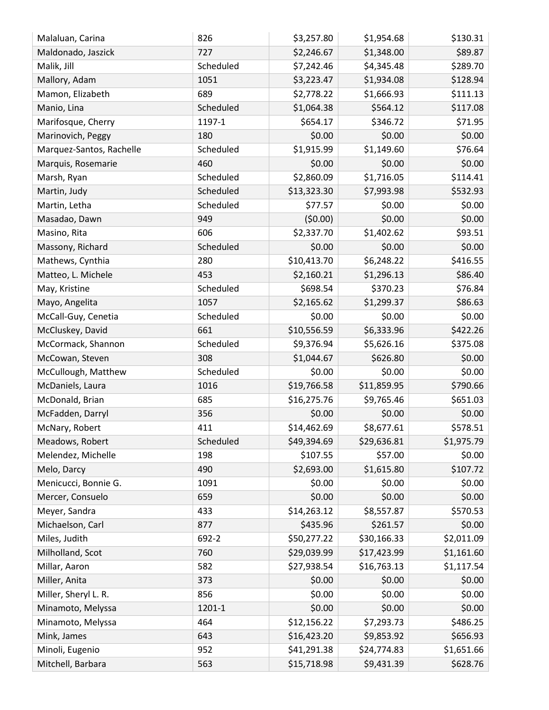| \$2,246.67<br>\$1,348.00<br>\$89.87<br>Maldonado, Jaszick<br>727<br>\$289.70<br>Malik, Jill<br>Scheduled<br>\$4,345.48<br>\$7,242.46<br>1051<br>\$3,223.47<br>\$1,934.08<br>\$128.94<br>Mallory, Adam<br>689<br>\$1,666.93<br>\$111.13<br>Mamon, Elizabeth<br>\$2,778.22<br>Scheduled<br>\$564.12<br>\$117.08<br>Manio, Lina<br>\$1,064.38<br>\$654.17<br>\$346.72<br>\$71.95<br>Marifosque, Cherry<br>1197-1<br>\$0.00<br>\$0.00<br>\$0.00<br>Marinovich, Peggy<br>180<br>\$1,915.99<br>\$1,149.60<br>\$76.64<br>Scheduled<br>Marquez-Santos, Rachelle<br>\$0.00<br>\$0.00<br>460<br>\$0.00<br>Marquis, Rosemarie<br>\$2,860.09<br>\$114.41<br>\$1,716.05<br>Scheduled<br>Marsh, Ryan<br>\$13,323.30<br>\$532.93<br>Scheduled<br>\$7,993.98<br>Martin, Judy<br>\$0.00<br>Scheduled<br>\$77.57<br>\$0.00<br>Martin, Letha<br>(50.00)<br>\$0.00<br>949<br>\$0.00<br>Masadao, Dawn<br>\$1,402.62<br>\$2,337.70<br>\$93.51<br>Masino, Rita<br>606<br>\$0.00<br>\$0.00<br>Scheduled<br>\$0.00<br>Massony, Richard<br>\$416.55<br>\$10,413.70<br>\$6,248.22<br>280<br>Mathews, Cynthia<br>453<br>\$2,160.21<br>\$86.40<br>Matteo, L. Michele<br>\$1,296.13<br>\$370.23<br>\$76.84<br>\$698.54<br>May, Kristine<br>Scheduled<br>\$86.63<br>1057<br>\$2,165.62<br>\$1,299.37<br>Mayo, Angelita<br>Scheduled<br>\$0.00<br>\$0.00<br>\$0.00<br>McCall-Guy, Cenetia<br>661<br>\$10,556.59<br>\$6,333.96<br>\$422.26<br>McCluskey, David<br>\$375.08<br>\$9,376.94<br>\$5,626.16<br>McCormack, Shannon<br>Scheduled<br>308<br>\$0.00<br>\$1,044.67<br>\$626.80<br>McCowan, Steven<br>\$0.00<br>McCullough, Matthew<br>Scheduled<br>\$0.00<br>\$0.00<br>\$790.66<br>\$19,766.58<br>\$11,859.95<br>1016<br>McDaniels, Laura<br>\$651.03<br>McDonald, Brian<br>685<br>\$16,275.76<br>\$9,765.46<br>356<br>\$0.00<br>\$0.00<br>\$0.00<br>McFadden, Darryl<br>\$14,462.69<br>\$8,677.61<br>\$578.51<br>McNary, Robert<br>411<br>Meadows, Robert<br>Scheduled<br>\$1,975.79<br>\$49,394.69<br>\$29,636.81<br>\$0.00<br>\$107.55<br>\$57.00<br>Melendez, Michelle<br>198<br>\$107.72<br>\$2,693.00<br>\$1,615.80<br>Melo, Darcy<br>490<br>Menicucci, Bonnie G.<br>1091<br>\$0.00<br>\$0.00<br>\$0.00<br>\$0.00<br>\$0.00<br>Mercer, Consuelo<br>659<br>\$0.00<br>\$14,263.12<br>\$570.53<br>Meyer, Sandra<br>\$8,557.87<br>433<br>\$0.00<br>\$435.96<br>\$261.57<br>Michaelson, Carl<br>877<br>\$30,166.33<br>\$50,277.22<br>\$2,011.09<br>Miles, Judith<br>692-2<br>\$17,423.99<br>\$1,161.60<br>Milholland, Scot<br>760<br>\$29,039.99<br>\$1,117.54<br>Millar, Aaron<br>582<br>\$27,938.54<br>\$16,763.13<br>\$0.00<br>\$0.00<br>\$0.00<br>Miller, Anita<br>373<br>\$0.00<br>Miller, Sheryl L. R.<br>\$0.00<br>\$0.00<br>856<br>\$0.00<br>Minamoto, Melyssa<br>\$0.00<br>\$0.00<br>1201-1<br>\$12,156.22<br>\$7,293.73<br>\$486.25<br>464<br>Minamoto, Melyssa<br>\$656.93<br>Mink, James<br>\$16,423.20<br>\$9,853.92<br>643<br>Minoli, Eugenio<br>952<br>\$41,291.38<br>\$24,774.83<br>\$1,651.66<br>\$628.76<br>Mitchell, Barbara<br>\$15,718.98<br>\$9,431.39<br>563 | Malaluan, Carina | 826 | \$3,257.80 | \$1,954.68 | \$130.31 |
|-----------------------------------------------------------------------------------------------------------------------------------------------------------------------------------------------------------------------------------------------------------------------------------------------------------------------------------------------------------------------------------------------------------------------------------------------------------------------------------------------------------------------------------------------------------------------------------------------------------------------------------------------------------------------------------------------------------------------------------------------------------------------------------------------------------------------------------------------------------------------------------------------------------------------------------------------------------------------------------------------------------------------------------------------------------------------------------------------------------------------------------------------------------------------------------------------------------------------------------------------------------------------------------------------------------------------------------------------------------------------------------------------------------------------------------------------------------------------------------------------------------------------------------------------------------------------------------------------------------------------------------------------------------------------------------------------------------------------------------------------------------------------------------------------------------------------------------------------------------------------------------------------------------------------------------------------------------------------------------------------------------------------------------------------------------------------------------------------------------------------------------------------------------------------------------------------------------------------------------------------------------------------------------------------------------------------------------------------------------------------------------------------------------------------------------------------------------------------------------------------------------------------------------------------------------------------------------------------------------------------------------------------------------------------------------------------------------------------------------------------------------------------------------------------------------------------------------------------------------------------------------------------------------------------------------------------------------------------------------------------------------------------------------------------------------|------------------|-----|------------|------------|----------|
|                                                                                                                                                                                                                                                                                                                                                                                                                                                                                                                                                                                                                                                                                                                                                                                                                                                                                                                                                                                                                                                                                                                                                                                                                                                                                                                                                                                                                                                                                                                                                                                                                                                                                                                                                                                                                                                                                                                                                                                                                                                                                                                                                                                                                                                                                                                                                                                                                                                                                                                                                                                                                                                                                                                                                                                                                                                                                                                                                                                                                                                           |                  |     |            |            |          |
|                                                                                                                                                                                                                                                                                                                                                                                                                                                                                                                                                                                                                                                                                                                                                                                                                                                                                                                                                                                                                                                                                                                                                                                                                                                                                                                                                                                                                                                                                                                                                                                                                                                                                                                                                                                                                                                                                                                                                                                                                                                                                                                                                                                                                                                                                                                                                                                                                                                                                                                                                                                                                                                                                                                                                                                                                                                                                                                                                                                                                                                           |                  |     |            |            |          |
|                                                                                                                                                                                                                                                                                                                                                                                                                                                                                                                                                                                                                                                                                                                                                                                                                                                                                                                                                                                                                                                                                                                                                                                                                                                                                                                                                                                                                                                                                                                                                                                                                                                                                                                                                                                                                                                                                                                                                                                                                                                                                                                                                                                                                                                                                                                                                                                                                                                                                                                                                                                                                                                                                                                                                                                                                                                                                                                                                                                                                                                           |                  |     |            |            |          |
|                                                                                                                                                                                                                                                                                                                                                                                                                                                                                                                                                                                                                                                                                                                                                                                                                                                                                                                                                                                                                                                                                                                                                                                                                                                                                                                                                                                                                                                                                                                                                                                                                                                                                                                                                                                                                                                                                                                                                                                                                                                                                                                                                                                                                                                                                                                                                                                                                                                                                                                                                                                                                                                                                                                                                                                                                                                                                                                                                                                                                                                           |                  |     |            |            |          |
|                                                                                                                                                                                                                                                                                                                                                                                                                                                                                                                                                                                                                                                                                                                                                                                                                                                                                                                                                                                                                                                                                                                                                                                                                                                                                                                                                                                                                                                                                                                                                                                                                                                                                                                                                                                                                                                                                                                                                                                                                                                                                                                                                                                                                                                                                                                                                                                                                                                                                                                                                                                                                                                                                                                                                                                                                                                                                                                                                                                                                                                           |                  |     |            |            |          |
|                                                                                                                                                                                                                                                                                                                                                                                                                                                                                                                                                                                                                                                                                                                                                                                                                                                                                                                                                                                                                                                                                                                                                                                                                                                                                                                                                                                                                                                                                                                                                                                                                                                                                                                                                                                                                                                                                                                                                                                                                                                                                                                                                                                                                                                                                                                                                                                                                                                                                                                                                                                                                                                                                                                                                                                                                                                                                                                                                                                                                                                           |                  |     |            |            |          |
|                                                                                                                                                                                                                                                                                                                                                                                                                                                                                                                                                                                                                                                                                                                                                                                                                                                                                                                                                                                                                                                                                                                                                                                                                                                                                                                                                                                                                                                                                                                                                                                                                                                                                                                                                                                                                                                                                                                                                                                                                                                                                                                                                                                                                                                                                                                                                                                                                                                                                                                                                                                                                                                                                                                                                                                                                                                                                                                                                                                                                                                           |                  |     |            |            |          |
|                                                                                                                                                                                                                                                                                                                                                                                                                                                                                                                                                                                                                                                                                                                                                                                                                                                                                                                                                                                                                                                                                                                                                                                                                                                                                                                                                                                                                                                                                                                                                                                                                                                                                                                                                                                                                                                                                                                                                                                                                                                                                                                                                                                                                                                                                                                                                                                                                                                                                                                                                                                                                                                                                                                                                                                                                                                                                                                                                                                                                                                           |                  |     |            |            |          |
|                                                                                                                                                                                                                                                                                                                                                                                                                                                                                                                                                                                                                                                                                                                                                                                                                                                                                                                                                                                                                                                                                                                                                                                                                                                                                                                                                                                                                                                                                                                                                                                                                                                                                                                                                                                                                                                                                                                                                                                                                                                                                                                                                                                                                                                                                                                                                                                                                                                                                                                                                                                                                                                                                                                                                                                                                                                                                                                                                                                                                                                           |                  |     |            |            |          |
|                                                                                                                                                                                                                                                                                                                                                                                                                                                                                                                                                                                                                                                                                                                                                                                                                                                                                                                                                                                                                                                                                                                                                                                                                                                                                                                                                                                                                                                                                                                                                                                                                                                                                                                                                                                                                                                                                                                                                                                                                                                                                                                                                                                                                                                                                                                                                                                                                                                                                                                                                                                                                                                                                                                                                                                                                                                                                                                                                                                                                                                           |                  |     |            |            |          |
|                                                                                                                                                                                                                                                                                                                                                                                                                                                                                                                                                                                                                                                                                                                                                                                                                                                                                                                                                                                                                                                                                                                                                                                                                                                                                                                                                                                                                                                                                                                                                                                                                                                                                                                                                                                                                                                                                                                                                                                                                                                                                                                                                                                                                                                                                                                                                                                                                                                                                                                                                                                                                                                                                                                                                                                                                                                                                                                                                                                                                                                           |                  |     |            |            |          |
|                                                                                                                                                                                                                                                                                                                                                                                                                                                                                                                                                                                                                                                                                                                                                                                                                                                                                                                                                                                                                                                                                                                                                                                                                                                                                                                                                                                                                                                                                                                                                                                                                                                                                                                                                                                                                                                                                                                                                                                                                                                                                                                                                                                                                                                                                                                                                                                                                                                                                                                                                                                                                                                                                                                                                                                                                                                                                                                                                                                                                                                           |                  |     |            |            |          |
|                                                                                                                                                                                                                                                                                                                                                                                                                                                                                                                                                                                                                                                                                                                                                                                                                                                                                                                                                                                                                                                                                                                                                                                                                                                                                                                                                                                                                                                                                                                                                                                                                                                                                                                                                                                                                                                                                                                                                                                                                                                                                                                                                                                                                                                                                                                                                                                                                                                                                                                                                                                                                                                                                                                                                                                                                                                                                                                                                                                                                                                           |                  |     |            |            |          |
|                                                                                                                                                                                                                                                                                                                                                                                                                                                                                                                                                                                                                                                                                                                                                                                                                                                                                                                                                                                                                                                                                                                                                                                                                                                                                                                                                                                                                                                                                                                                                                                                                                                                                                                                                                                                                                                                                                                                                                                                                                                                                                                                                                                                                                                                                                                                                                                                                                                                                                                                                                                                                                                                                                                                                                                                                                                                                                                                                                                                                                                           |                  |     |            |            |          |
|                                                                                                                                                                                                                                                                                                                                                                                                                                                                                                                                                                                                                                                                                                                                                                                                                                                                                                                                                                                                                                                                                                                                                                                                                                                                                                                                                                                                                                                                                                                                                                                                                                                                                                                                                                                                                                                                                                                                                                                                                                                                                                                                                                                                                                                                                                                                                                                                                                                                                                                                                                                                                                                                                                                                                                                                                                                                                                                                                                                                                                                           |                  |     |            |            |          |
|                                                                                                                                                                                                                                                                                                                                                                                                                                                                                                                                                                                                                                                                                                                                                                                                                                                                                                                                                                                                                                                                                                                                                                                                                                                                                                                                                                                                                                                                                                                                                                                                                                                                                                                                                                                                                                                                                                                                                                                                                                                                                                                                                                                                                                                                                                                                                                                                                                                                                                                                                                                                                                                                                                                                                                                                                                                                                                                                                                                                                                                           |                  |     |            |            |          |
|                                                                                                                                                                                                                                                                                                                                                                                                                                                                                                                                                                                                                                                                                                                                                                                                                                                                                                                                                                                                                                                                                                                                                                                                                                                                                                                                                                                                                                                                                                                                                                                                                                                                                                                                                                                                                                                                                                                                                                                                                                                                                                                                                                                                                                                                                                                                                                                                                                                                                                                                                                                                                                                                                                                                                                                                                                                                                                                                                                                                                                                           |                  |     |            |            |          |
|                                                                                                                                                                                                                                                                                                                                                                                                                                                                                                                                                                                                                                                                                                                                                                                                                                                                                                                                                                                                                                                                                                                                                                                                                                                                                                                                                                                                                                                                                                                                                                                                                                                                                                                                                                                                                                                                                                                                                                                                                                                                                                                                                                                                                                                                                                                                                                                                                                                                                                                                                                                                                                                                                                                                                                                                                                                                                                                                                                                                                                                           |                  |     |            |            |          |
|                                                                                                                                                                                                                                                                                                                                                                                                                                                                                                                                                                                                                                                                                                                                                                                                                                                                                                                                                                                                                                                                                                                                                                                                                                                                                                                                                                                                                                                                                                                                                                                                                                                                                                                                                                                                                                                                                                                                                                                                                                                                                                                                                                                                                                                                                                                                                                                                                                                                                                                                                                                                                                                                                                                                                                                                                                                                                                                                                                                                                                                           |                  |     |            |            |          |
|                                                                                                                                                                                                                                                                                                                                                                                                                                                                                                                                                                                                                                                                                                                                                                                                                                                                                                                                                                                                                                                                                                                                                                                                                                                                                                                                                                                                                                                                                                                                                                                                                                                                                                                                                                                                                                                                                                                                                                                                                                                                                                                                                                                                                                                                                                                                                                                                                                                                                                                                                                                                                                                                                                                                                                                                                                                                                                                                                                                                                                                           |                  |     |            |            |          |
|                                                                                                                                                                                                                                                                                                                                                                                                                                                                                                                                                                                                                                                                                                                                                                                                                                                                                                                                                                                                                                                                                                                                                                                                                                                                                                                                                                                                                                                                                                                                                                                                                                                                                                                                                                                                                                                                                                                                                                                                                                                                                                                                                                                                                                                                                                                                                                                                                                                                                                                                                                                                                                                                                                                                                                                                                                                                                                                                                                                                                                                           |                  |     |            |            |          |
|                                                                                                                                                                                                                                                                                                                                                                                                                                                                                                                                                                                                                                                                                                                                                                                                                                                                                                                                                                                                                                                                                                                                                                                                                                                                                                                                                                                                                                                                                                                                                                                                                                                                                                                                                                                                                                                                                                                                                                                                                                                                                                                                                                                                                                                                                                                                                                                                                                                                                                                                                                                                                                                                                                                                                                                                                                                                                                                                                                                                                                                           |                  |     |            |            |          |
|                                                                                                                                                                                                                                                                                                                                                                                                                                                                                                                                                                                                                                                                                                                                                                                                                                                                                                                                                                                                                                                                                                                                                                                                                                                                                                                                                                                                                                                                                                                                                                                                                                                                                                                                                                                                                                                                                                                                                                                                                                                                                                                                                                                                                                                                                                                                                                                                                                                                                                                                                                                                                                                                                                                                                                                                                                                                                                                                                                                                                                                           |                  |     |            |            |          |
|                                                                                                                                                                                                                                                                                                                                                                                                                                                                                                                                                                                                                                                                                                                                                                                                                                                                                                                                                                                                                                                                                                                                                                                                                                                                                                                                                                                                                                                                                                                                                                                                                                                                                                                                                                                                                                                                                                                                                                                                                                                                                                                                                                                                                                                                                                                                                                                                                                                                                                                                                                                                                                                                                                                                                                                                                                                                                                                                                                                                                                                           |                  |     |            |            |          |
|                                                                                                                                                                                                                                                                                                                                                                                                                                                                                                                                                                                                                                                                                                                                                                                                                                                                                                                                                                                                                                                                                                                                                                                                                                                                                                                                                                                                                                                                                                                                                                                                                                                                                                                                                                                                                                                                                                                                                                                                                                                                                                                                                                                                                                                                                                                                                                                                                                                                                                                                                                                                                                                                                                                                                                                                                                                                                                                                                                                                                                                           |                  |     |            |            |          |
|                                                                                                                                                                                                                                                                                                                                                                                                                                                                                                                                                                                                                                                                                                                                                                                                                                                                                                                                                                                                                                                                                                                                                                                                                                                                                                                                                                                                                                                                                                                                                                                                                                                                                                                                                                                                                                                                                                                                                                                                                                                                                                                                                                                                                                                                                                                                                                                                                                                                                                                                                                                                                                                                                                                                                                                                                                                                                                                                                                                                                                                           |                  |     |            |            |          |
|                                                                                                                                                                                                                                                                                                                                                                                                                                                                                                                                                                                                                                                                                                                                                                                                                                                                                                                                                                                                                                                                                                                                                                                                                                                                                                                                                                                                                                                                                                                                                                                                                                                                                                                                                                                                                                                                                                                                                                                                                                                                                                                                                                                                                                                                                                                                                                                                                                                                                                                                                                                                                                                                                                                                                                                                                                                                                                                                                                                                                                                           |                  |     |            |            |          |
|                                                                                                                                                                                                                                                                                                                                                                                                                                                                                                                                                                                                                                                                                                                                                                                                                                                                                                                                                                                                                                                                                                                                                                                                                                                                                                                                                                                                                                                                                                                                                                                                                                                                                                                                                                                                                                                                                                                                                                                                                                                                                                                                                                                                                                                                                                                                                                                                                                                                                                                                                                                                                                                                                                                                                                                                                                                                                                                                                                                                                                                           |                  |     |            |            |          |
|                                                                                                                                                                                                                                                                                                                                                                                                                                                                                                                                                                                                                                                                                                                                                                                                                                                                                                                                                                                                                                                                                                                                                                                                                                                                                                                                                                                                                                                                                                                                                                                                                                                                                                                                                                                                                                                                                                                                                                                                                                                                                                                                                                                                                                                                                                                                                                                                                                                                                                                                                                                                                                                                                                                                                                                                                                                                                                                                                                                                                                                           |                  |     |            |            |          |
|                                                                                                                                                                                                                                                                                                                                                                                                                                                                                                                                                                                                                                                                                                                                                                                                                                                                                                                                                                                                                                                                                                                                                                                                                                                                                                                                                                                                                                                                                                                                                                                                                                                                                                                                                                                                                                                                                                                                                                                                                                                                                                                                                                                                                                                                                                                                                                                                                                                                                                                                                                                                                                                                                                                                                                                                                                                                                                                                                                                                                                                           |                  |     |            |            |          |
|                                                                                                                                                                                                                                                                                                                                                                                                                                                                                                                                                                                                                                                                                                                                                                                                                                                                                                                                                                                                                                                                                                                                                                                                                                                                                                                                                                                                                                                                                                                                                                                                                                                                                                                                                                                                                                                                                                                                                                                                                                                                                                                                                                                                                                                                                                                                                                                                                                                                                                                                                                                                                                                                                                                                                                                                                                                                                                                                                                                                                                                           |                  |     |            |            |          |
|                                                                                                                                                                                                                                                                                                                                                                                                                                                                                                                                                                                                                                                                                                                                                                                                                                                                                                                                                                                                                                                                                                                                                                                                                                                                                                                                                                                                                                                                                                                                                                                                                                                                                                                                                                                                                                                                                                                                                                                                                                                                                                                                                                                                                                                                                                                                                                                                                                                                                                                                                                                                                                                                                                                                                                                                                                                                                                                                                                                                                                                           |                  |     |            |            |          |
|                                                                                                                                                                                                                                                                                                                                                                                                                                                                                                                                                                                                                                                                                                                                                                                                                                                                                                                                                                                                                                                                                                                                                                                                                                                                                                                                                                                                                                                                                                                                                                                                                                                                                                                                                                                                                                                                                                                                                                                                                                                                                                                                                                                                                                                                                                                                                                                                                                                                                                                                                                                                                                                                                                                                                                                                                                                                                                                                                                                                                                                           |                  |     |            |            |          |
|                                                                                                                                                                                                                                                                                                                                                                                                                                                                                                                                                                                                                                                                                                                                                                                                                                                                                                                                                                                                                                                                                                                                                                                                                                                                                                                                                                                                                                                                                                                                                                                                                                                                                                                                                                                                                                                                                                                                                                                                                                                                                                                                                                                                                                                                                                                                                                                                                                                                                                                                                                                                                                                                                                                                                                                                                                                                                                                                                                                                                                                           |                  |     |            |            |          |
|                                                                                                                                                                                                                                                                                                                                                                                                                                                                                                                                                                                                                                                                                                                                                                                                                                                                                                                                                                                                                                                                                                                                                                                                                                                                                                                                                                                                                                                                                                                                                                                                                                                                                                                                                                                                                                                                                                                                                                                                                                                                                                                                                                                                                                                                                                                                                                                                                                                                                                                                                                                                                                                                                                                                                                                                                                                                                                                                                                                                                                                           |                  |     |            |            |          |
|                                                                                                                                                                                                                                                                                                                                                                                                                                                                                                                                                                                                                                                                                                                                                                                                                                                                                                                                                                                                                                                                                                                                                                                                                                                                                                                                                                                                                                                                                                                                                                                                                                                                                                                                                                                                                                                                                                                                                                                                                                                                                                                                                                                                                                                                                                                                                                                                                                                                                                                                                                                                                                                                                                                                                                                                                                                                                                                                                                                                                                                           |                  |     |            |            |          |
|                                                                                                                                                                                                                                                                                                                                                                                                                                                                                                                                                                                                                                                                                                                                                                                                                                                                                                                                                                                                                                                                                                                                                                                                                                                                                                                                                                                                                                                                                                                                                                                                                                                                                                                                                                                                                                                                                                                                                                                                                                                                                                                                                                                                                                                                                                                                                                                                                                                                                                                                                                                                                                                                                                                                                                                                                                                                                                                                                                                                                                                           |                  |     |            |            |          |
|                                                                                                                                                                                                                                                                                                                                                                                                                                                                                                                                                                                                                                                                                                                                                                                                                                                                                                                                                                                                                                                                                                                                                                                                                                                                                                                                                                                                                                                                                                                                                                                                                                                                                                                                                                                                                                                                                                                                                                                                                                                                                                                                                                                                                                                                                                                                                                                                                                                                                                                                                                                                                                                                                                                                                                                                                                                                                                                                                                                                                                                           |                  |     |            |            |          |
|                                                                                                                                                                                                                                                                                                                                                                                                                                                                                                                                                                                                                                                                                                                                                                                                                                                                                                                                                                                                                                                                                                                                                                                                                                                                                                                                                                                                                                                                                                                                                                                                                                                                                                                                                                                                                                                                                                                                                                                                                                                                                                                                                                                                                                                                                                                                                                                                                                                                                                                                                                                                                                                                                                                                                                                                                                                                                                                                                                                                                                                           |                  |     |            |            |          |
|                                                                                                                                                                                                                                                                                                                                                                                                                                                                                                                                                                                                                                                                                                                                                                                                                                                                                                                                                                                                                                                                                                                                                                                                                                                                                                                                                                                                                                                                                                                                                                                                                                                                                                                                                                                                                                                                                                                                                                                                                                                                                                                                                                                                                                                                                                                                                                                                                                                                                                                                                                                                                                                                                                                                                                                                                                                                                                                                                                                                                                                           |                  |     |            |            |          |
|                                                                                                                                                                                                                                                                                                                                                                                                                                                                                                                                                                                                                                                                                                                                                                                                                                                                                                                                                                                                                                                                                                                                                                                                                                                                                                                                                                                                                                                                                                                                                                                                                                                                                                                                                                                                                                                                                                                                                                                                                                                                                                                                                                                                                                                                                                                                                                                                                                                                                                                                                                                                                                                                                                                                                                                                                                                                                                                                                                                                                                                           |                  |     |            |            |          |
|                                                                                                                                                                                                                                                                                                                                                                                                                                                                                                                                                                                                                                                                                                                                                                                                                                                                                                                                                                                                                                                                                                                                                                                                                                                                                                                                                                                                                                                                                                                                                                                                                                                                                                                                                                                                                                                                                                                                                                                                                                                                                                                                                                                                                                                                                                                                                                                                                                                                                                                                                                                                                                                                                                                                                                                                                                                                                                                                                                                                                                                           |                  |     |            |            |          |
|                                                                                                                                                                                                                                                                                                                                                                                                                                                                                                                                                                                                                                                                                                                                                                                                                                                                                                                                                                                                                                                                                                                                                                                                                                                                                                                                                                                                                                                                                                                                                                                                                                                                                                                                                                                                                                                                                                                                                                                                                                                                                                                                                                                                                                                                                                                                                                                                                                                                                                                                                                                                                                                                                                                                                                                                                                                                                                                                                                                                                                                           |                  |     |            |            |          |
|                                                                                                                                                                                                                                                                                                                                                                                                                                                                                                                                                                                                                                                                                                                                                                                                                                                                                                                                                                                                                                                                                                                                                                                                                                                                                                                                                                                                                                                                                                                                                                                                                                                                                                                                                                                                                                                                                                                                                                                                                                                                                                                                                                                                                                                                                                                                                                                                                                                                                                                                                                                                                                                                                                                                                                                                                                                                                                                                                                                                                                                           |                  |     |            |            |          |
|                                                                                                                                                                                                                                                                                                                                                                                                                                                                                                                                                                                                                                                                                                                                                                                                                                                                                                                                                                                                                                                                                                                                                                                                                                                                                                                                                                                                                                                                                                                                                                                                                                                                                                                                                                                                                                                                                                                                                                                                                                                                                                                                                                                                                                                                                                                                                                                                                                                                                                                                                                                                                                                                                                                                                                                                                                                                                                                                                                                                                                                           |                  |     |            |            |          |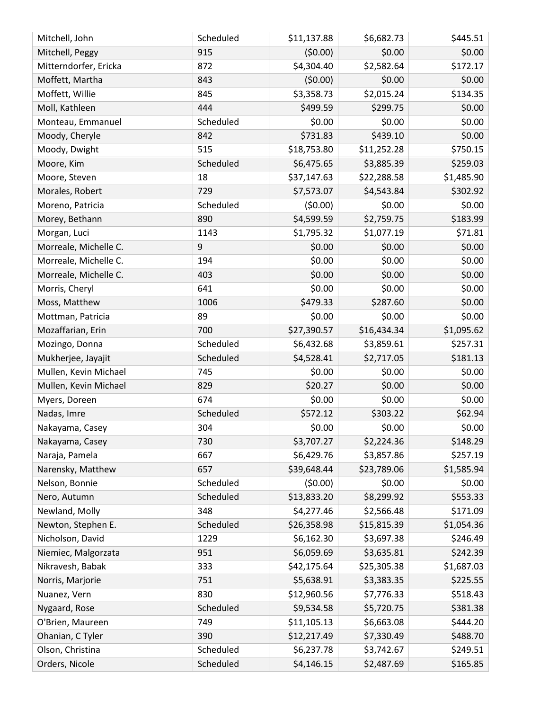| Mitchell, John        | Scheduled | \$11,137.88 | \$6,682.73  | \$445.51   |
|-----------------------|-----------|-------------|-------------|------------|
| Mitchell, Peggy       | 915       | (50.00)     | \$0.00      | \$0.00     |
| Mitterndorfer, Ericka | 872       | \$4,304.40  | \$2,582.64  | \$172.17   |
| Moffett, Martha       | 843       | (50.00)     | \$0.00      | \$0.00     |
| Moffett, Willie       | 845       | \$3,358.73  | \$2,015.24  | \$134.35   |
| Moll, Kathleen        | 444       | \$499.59    | \$299.75    | \$0.00     |
| Monteau, Emmanuel     | Scheduled | \$0.00      | \$0.00      | \$0.00     |
| Moody, Cheryle        | 842       | \$731.83    | \$439.10    | \$0.00     |
| Moody, Dwight         | 515       | \$18,753.80 | \$11,252.28 | \$750.15   |
| Moore, Kim            | Scheduled | \$6,475.65  | \$3,885.39  | \$259.03   |
| Moore, Steven         | 18        | \$37,147.63 | \$22,288.58 | \$1,485.90 |
| Morales, Robert       | 729       | \$7,573.07  | \$4,543.84  | \$302.92   |
| Moreno, Patricia      | Scheduled | (50.00)     | \$0.00      | \$0.00     |
| Morey, Bethann        | 890       | \$4,599.59  | \$2,759.75  | \$183.99   |
| Morgan, Luci          | 1143      | \$1,795.32  | \$1,077.19  | \$71.81    |
| Morreale, Michelle C. | 9         | \$0.00      | \$0.00      | \$0.00     |
| Morreale, Michelle C. | 194       | \$0.00      | \$0.00      | \$0.00     |
| Morreale, Michelle C. | 403       | \$0.00      | \$0.00      | \$0.00     |
| Morris, Cheryl        | 641       | \$0.00      | \$0.00      | \$0.00     |
| Moss, Matthew         | 1006      | \$479.33    | \$287.60    | \$0.00     |
| Mottman, Patricia     | 89        | \$0.00      | \$0.00      | \$0.00     |
| Mozaffarian, Erin     | 700       | \$27,390.57 | \$16,434.34 | \$1,095.62 |
| Mozingo, Donna        | Scheduled | \$6,432.68  | \$3,859.61  | \$257.31   |
| Mukherjee, Jayajit    | Scheduled | \$4,528.41  | \$2,717.05  | \$181.13   |
| Mullen, Kevin Michael | 745       | \$0.00      | \$0.00      | \$0.00     |
| Mullen, Kevin Michael | 829       | \$20.27     | \$0.00      | \$0.00     |
| Myers, Doreen         | 674       | \$0.00      | \$0.00      | \$0.00     |
| Nadas, Imre           | Scheduled | \$572.12    | \$303.22    | \$62.94    |
| Nakayama, Casey       | 304       | \$0.00      | \$0.00      | \$0.00     |
| Nakayama, Casey       | 730       | \$3,707.27  | \$2,224.36  | \$148.29   |
| Naraja, Pamela        | 667       | \$6,429.76  | \$3,857.86  | \$257.19   |
| Narensky, Matthew     | 657       | \$39,648.44 | \$23,789.06 | \$1,585.94 |
| Nelson, Bonnie        | Scheduled | (50.00)     | \$0.00      | \$0.00     |
| Nero, Autumn          | Scheduled | \$13,833.20 | \$8,299.92  | \$553.33   |
| Newland, Molly        | 348       | \$4,277.46  | \$2,566.48  | \$171.09   |
| Newton, Stephen E.    | Scheduled | \$26,358.98 | \$15,815.39 | \$1,054.36 |
| Nicholson, David      | 1229      | \$6,162.30  | \$3,697.38  | \$246.49   |
| Niemiec, Malgorzata   | 951       | \$6,059.69  | \$3,635.81  | \$242.39   |
| Nikravesh, Babak      | 333       | \$42,175.64 | \$25,305.38 | \$1,687.03 |
| Norris, Marjorie      | 751       | \$5,638.91  | \$3,383.35  | \$225.55   |
| Nuanez, Vern          | 830       | \$12,960.56 | \$7,776.33  | \$518.43   |
| Nygaard, Rose         | Scheduled | \$9,534.58  | \$5,720.75  | \$381.38   |
| O'Brien, Maureen      | 749       | \$11,105.13 | \$6,663.08  | \$444.20   |
| Ohanian, C Tyler      | 390       | \$12,217.49 | \$7,330.49  | \$488.70   |
| Olson, Christina      | Scheduled | \$6,237.78  | \$3,742.67  | \$249.51   |
| Orders, Nicole        | Scheduled | \$4,146.15  | \$2,487.69  | \$165.85   |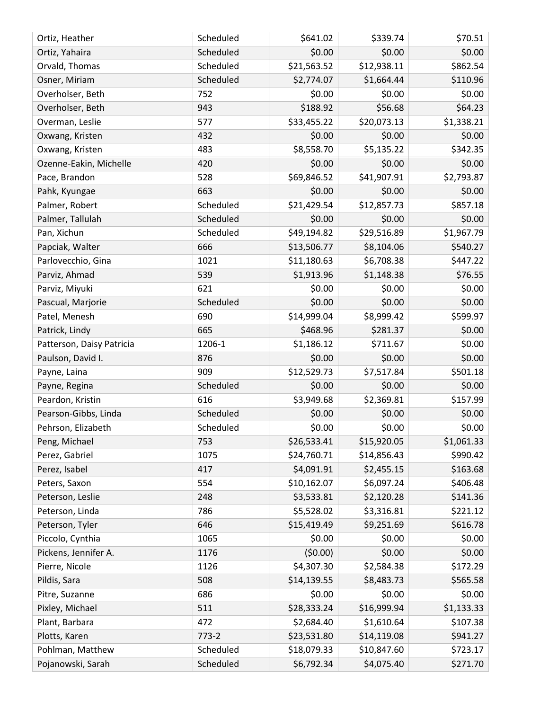| \$0.00<br>\$0.00<br>\$0.00<br>Scheduled<br>Ortiz, Yahaira<br>\$862.54<br>Scheduled<br>\$21,563.52<br>\$12,938.11<br>Orvald, Thomas<br>Scheduled<br>\$2,774.07<br>\$1,664.44<br>\$110.96<br>Osner, Miriam<br>\$0.00<br>Overholser, Beth<br>752<br>\$0.00<br>\$0.00<br>\$188.92<br>\$56.68<br>\$64.23<br>Overholser, Beth<br>943<br>\$1,338.21<br>\$33,455.22<br>\$20,073.13<br>Overman, Leslie<br>577<br>\$0.00<br>432<br>\$0.00<br>\$0.00<br>Oxwang, Kristen<br>\$8,558.70<br>\$5,135.22<br>\$342.35<br>483<br>Oxwang, Kristen<br>\$0.00<br>420<br>\$0.00<br>\$0.00<br>Ozenne-Eakin, Michelle<br>\$69,846.52<br>\$41,907.91<br>\$2,793.87<br>Pace, Brandon<br>528<br>\$0.00<br>663<br>\$0.00<br>\$0.00<br>Pahk, Kyungae<br>\$857.18<br>\$12,857.73<br>Palmer, Robert<br>Scheduled<br>\$21,429.54<br>\$0.00<br>Scheduled<br>\$0.00<br>\$0.00<br>Palmer, Tallulah<br>\$49,194.82<br>\$29,516.89<br>\$1,967.79<br>Pan, Xichun<br>Scheduled<br>\$540.27<br>666<br>\$13,506.77<br>\$8,104.06<br>Papciak, Walter<br>1021<br>\$11,180.63<br>\$6,708.38<br>\$447.22<br>Parlovecchio, Gina<br>539<br>\$1,913.96<br>\$1,148.38<br>\$76.55<br>Parviz, Ahmad<br>\$0.00<br>621<br>\$0.00<br>\$0.00<br>Parviz, Miyuki<br>\$0.00<br>Scheduled<br>\$0.00<br>\$0.00<br>Pascual, Marjorie<br>\$14,999.04<br>\$8,999.42<br>\$599.97<br>690<br>Patel, Menesh<br>665<br>\$468.96<br>Patrick, Lindy<br>\$281.37<br>\$0.00<br>\$0.00<br>Patterson, Daisy Patricia<br>1206-1<br>\$1,186.12<br>\$711.67<br>\$0.00<br>Paulson, David I.<br>876<br>\$0.00<br>\$0.00<br>\$501.18<br>\$12,529.73<br>\$7,517.84<br>909<br>Payne, Laina<br>\$0.00<br>\$0.00<br>Scheduled<br>\$0.00<br>Payne, Regina<br>\$157.99<br>616<br>\$3,949.68<br>\$2,369.81<br>Peardon, Kristin<br>Scheduled<br>\$0.00<br>\$0.00<br>Pearson-Gibbs, Linda<br>\$0.00<br>\$0.00<br>\$0.00<br>\$0.00<br>Pehrson, Elizabeth<br>Scheduled<br>\$15,920.05<br>\$1,061.33<br>Peng, Michael<br>753<br>\$26,533.41<br>\$990.42<br>\$24,760.71<br>Perez, Gabriel<br>1075<br>\$14,856.43<br>Perez, Isabel<br>\$4,091.91<br>\$2,455.15<br>\$163.68<br>417<br>\$10,162.07<br>\$6,097.24<br>\$406.48<br>Peters, Saxon<br>554<br>\$3,533.81<br>Peterson, Leslie<br>\$2,120.28<br>\$141.36<br>248<br>\$5,528.02<br>\$3,316.81<br>\$221.12<br>Peterson, Linda<br>786<br>\$616.78<br>Peterson, Tyler<br>\$15,419.49<br>\$9,251.69<br>646<br>Piccolo, Cynthia<br>\$0.00<br>\$0.00<br>\$0.00<br>1065<br>(50.00)<br>\$0.00<br>\$0.00<br>Pickens, Jennifer A.<br>1176<br>\$4,307.30<br>\$2,584.38<br>\$172.29<br>Pierre, Nicole<br>1126<br>\$8,483.73<br>Pildis, Sara<br>508<br>\$14,139.55<br>\$565.58<br>\$0.00<br>\$0.00<br>\$0.00<br>Pitre, Suzanne<br>686<br>\$28,333.24<br>\$16,999.94<br>\$1,133.33<br>Pixley, Michael<br>511<br>\$107.38<br>\$2,684.40<br>\$1,610.64<br>472<br>Plant, Barbara<br>Plotts, Karen<br>$773-2$<br>\$23,531.80<br>\$14,119.08<br>\$941.27<br>Pohlman, Matthew<br>Scheduled<br>\$18,079.33<br>\$10,847.60<br>\$723.17 | Ortiz, Heather | Scheduled | \$641.02 | \$339.74 | \$70.51 |
|------------------------------------------------------------------------------------------------------------------------------------------------------------------------------------------------------------------------------------------------------------------------------------------------------------------------------------------------------------------------------------------------------------------------------------------------------------------------------------------------------------------------------------------------------------------------------------------------------------------------------------------------------------------------------------------------------------------------------------------------------------------------------------------------------------------------------------------------------------------------------------------------------------------------------------------------------------------------------------------------------------------------------------------------------------------------------------------------------------------------------------------------------------------------------------------------------------------------------------------------------------------------------------------------------------------------------------------------------------------------------------------------------------------------------------------------------------------------------------------------------------------------------------------------------------------------------------------------------------------------------------------------------------------------------------------------------------------------------------------------------------------------------------------------------------------------------------------------------------------------------------------------------------------------------------------------------------------------------------------------------------------------------------------------------------------------------------------------------------------------------------------------------------------------------------------------------------------------------------------------------------------------------------------------------------------------------------------------------------------------------------------------------------------------------------------------------------------------------------------------------------------------------------------------------------------------------------------------------------------------------------------------------------------------------------------------------------------------------------------------------------------------------------------------------------------------------------------------------------------------------------------------------------------------------------------------------------------------|----------------|-----------|----------|----------|---------|
|                                                                                                                                                                                                                                                                                                                                                                                                                                                                                                                                                                                                                                                                                                                                                                                                                                                                                                                                                                                                                                                                                                                                                                                                                                                                                                                                                                                                                                                                                                                                                                                                                                                                                                                                                                                                                                                                                                                                                                                                                                                                                                                                                                                                                                                                                                                                                                                                                                                                                                                                                                                                                                                                                                                                                                                                                                                                                                                                                                        |                |           |          |          |         |
|                                                                                                                                                                                                                                                                                                                                                                                                                                                                                                                                                                                                                                                                                                                                                                                                                                                                                                                                                                                                                                                                                                                                                                                                                                                                                                                                                                                                                                                                                                                                                                                                                                                                                                                                                                                                                                                                                                                                                                                                                                                                                                                                                                                                                                                                                                                                                                                                                                                                                                                                                                                                                                                                                                                                                                                                                                                                                                                                                                        |                |           |          |          |         |
|                                                                                                                                                                                                                                                                                                                                                                                                                                                                                                                                                                                                                                                                                                                                                                                                                                                                                                                                                                                                                                                                                                                                                                                                                                                                                                                                                                                                                                                                                                                                                                                                                                                                                                                                                                                                                                                                                                                                                                                                                                                                                                                                                                                                                                                                                                                                                                                                                                                                                                                                                                                                                                                                                                                                                                                                                                                                                                                                                                        |                |           |          |          |         |
|                                                                                                                                                                                                                                                                                                                                                                                                                                                                                                                                                                                                                                                                                                                                                                                                                                                                                                                                                                                                                                                                                                                                                                                                                                                                                                                                                                                                                                                                                                                                                                                                                                                                                                                                                                                                                                                                                                                                                                                                                                                                                                                                                                                                                                                                                                                                                                                                                                                                                                                                                                                                                                                                                                                                                                                                                                                                                                                                                                        |                |           |          |          |         |
|                                                                                                                                                                                                                                                                                                                                                                                                                                                                                                                                                                                                                                                                                                                                                                                                                                                                                                                                                                                                                                                                                                                                                                                                                                                                                                                                                                                                                                                                                                                                                                                                                                                                                                                                                                                                                                                                                                                                                                                                                                                                                                                                                                                                                                                                                                                                                                                                                                                                                                                                                                                                                                                                                                                                                                                                                                                                                                                                                                        |                |           |          |          |         |
|                                                                                                                                                                                                                                                                                                                                                                                                                                                                                                                                                                                                                                                                                                                                                                                                                                                                                                                                                                                                                                                                                                                                                                                                                                                                                                                                                                                                                                                                                                                                                                                                                                                                                                                                                                                                                                                                                                                                                                                                                                                                                                                                                                                                                                                                                                                                                                                                                                                                                                                                                                                                                                                                                                                                                                                                                                                                                                                                                                        |                |           |          |          |         |
|                                                                                                                                                                                                                                                                                                                                                                                                                                                                                                                                                                                                                                                                                                                                                                                                                                                                                                                                                                                                                                                                                                                                                                                                                                                                                                                                                                                                                                                                                                                                                                                                                                                                                                                                                                                                                                                                                                                                                                                                                                                                                                                                                                                                                                                                                                                                                                                                                                                                                                                                                                                                                                                                                                                                                                                                                                                                                                                                                                        |                |           |          |          |         |
|                                                                                                                                                                                                                                                                                                                                                                                                                                                                                                                                                                                                                                                                                                                                                                                                                                                                                                                                                                                                                                                                                                                                                                                                                                                                                                                                                                                                                                                                                                                                                                                                                                                                                                                                                                                                                                                                                                                                                                                                                                                                                                                                                                                                                                                                                                                                                                                                                                                                                                                                                                                                                                                                                                                                                                                                                                                                                                                                                                        |                |           |          |          |         |
|                                                                                                                                                                                                                                                                                                                                                                                                                                                                                                                                                                                                                                                                                                                                                                                                                                                                                                                                                                                                                                                                                                                                                                                                                                                                                                                                                                                                                                                                                                                                                                                                                                                                                                                                                                                                                                                                                                                                                                                                                                                                                                                                                                                                                                                                                                                                                                                                                                                                                                                                                                                                                                                                                                                                                                                                                                                                                                                                                                        |                |           |          |          |         |
|                                                                                                                                                                                                                                                                                                                                                                                                                                                                                                                                                                                                                                                                                                                                                                                                                                                                                                                                                                                                                                                                                                                                                                                                                                                                                                                                                                                                                                                                                                                                                                                                                                                                                                                                                                                                                                                                                                                                                                                                                                                                                                                                                                                                                                                                                                                                                                                                                                                                                                                                                                                                                                                                                                                                                                                                                                                                                                                                                                        |                |           |          |          |         |
|                                                                                                                                                                                                                                                                                                                                                                                                                                                                                                                                                                                                                                                                                                                                                                                                                                                                                                                                                                                                                                                                                                                                                                                                                                                                                                                                                                                                                                                                                                                                                                                                                                                                                                                                                                                                                                                                                                                                                                                                                                                                                                                                                                                                                                                                                                                                                                                                                                                                                                                                                                                                                                                                                                                                                                                                                                                                                                                                                                        |                |           |          |          |         |
|                                                                                                                                                                                                                                                                                                                                                                                                                                                                                                                                                                                                                                                                                                                                                                                                                                                                                                                                                                                                                                                                                                                                                                                                                                                                                                                                                                                                                                                                                                                                                                                                                                                                                                                                                                                                                                                                                                                                                                                                                                                                                                                                                                                                                                                                                                                                                                                                                                                                                                                                                                                                                                                                                                                                                                                                                                                                                                                                                                        |                |           |          |          |         |
|                                                                                                                                                                                                                                                                                                                                                                                                                                                                                                                                                                                                                                                                                                                                                                                                                                                                                                                                                                                                                                                                                                                                                                                                                                                                                                                                                                                                                                                                                                                                                                                                                                                                                                                                                                                                                                                                                                                                                                                                                                                                                                                                                                                                                                                                                                                                                                                                                                                                                                                                                                                                                                                                                                                                                                                                                                                                                                                                                                        |                |           |          |          |         |
|                                                                                                                                                                                                                                                                                                                                                                                                                                                                                                                                                                                                                                                                                                                                                                                                                                                                                                                                                                                                                                                                                                                                                                                                                                                                                                                                                                                                                                                                                                                                                                                                                                                                                                                                                                                                                                                                                                                                                                                                                                                                                                                                                                                                                                                                                                                                                                                                                                                                                                                                                                                                                                                                                                                                                                                                                                                                                                                                                                        |                |           |          |          |         |
|                                                                                                                                                                                                                                                                                                                                                                                                                                                                                                                                                                                                                                                                                                                                                                                                                                                                                                                                                                                                                                                                                                                                                                                                                                                                                                                                                                                                                                                                                                                                                                                                                                                                                                                                                                                                                                                                                                                                                                                                                                                                                                                                                                                                                                                                                                                                                                                                                                                                                                                                                                                                                                                                                                                                                                                                                                                                                                                                                                        |                |           |          |          |         |
|                                                                                                                                                                                                                                                                                                                                                                                                                                                                                                                                                                                                                                                                                                                                                                                                                                                                                                                                                                                                                                                                                                                                                                                                                                                                                                                                                                                                                                                                                                                                                                                                                                                                                                                                                                                                                                                                                                                                                                                                                                                                                                                                                                                                                                                                                                                                                                                                                                                                                                                                                                                                                                                                                                                                                                                                                                                                                                                                                                        |                |           |          |          |         |
|                                                                                                                                                                                                                                                                                                                                                                                                                                                                                                                                                                                                                                                                                                                                                                                                                                                                                                                                                                                                                                                                                                                                                                                                                                                                                                                                                                                                                                                                                                                                                                                                                                                                                                                                                                                                                                                                                                                                                                                                                                                                                                                                                                                                                                                                                                                                                                                                                                                                                                                                                                                                                                                                                                                                                                                                                                                                                                                                                                        |                |           |          |          |         |
|                                                                                                                                                                                                                                                                                                                                                                                                                                                                                                                                                                                                                                                                                                                                                                                                                                                                                                                                                                                                                                                                                                                                                                                                                                                                                                                                                                                                                                                                                                                                                                                                                                                                                                                                                                                                                                                                                                                                                                                                                                                                                                                                                                                                                                                                                                                                                                                                                                                                                                                                                                                                                                                                                                                                                                                                                                                                                                                                                                        |                |           |          |          |         |
|                                                                                                                                                                                                                                                                                                                                                                                                                                                                                                                                                                                                                                                                                                                                                                                                                                                                                                                                                                                                                                                                                                                                                                                                                                                                                                                                                                                                                                                                                                                                                                                                                                                                                                                                                                                                                                                                                                                                                                                                                                                                                                                                                                                                                                                                                                                                                                                                                                                                                                                                                                                                                                                                                                                                                                                                                                                                                                                                                                        |                |           |          |          |         |
|                                                                                                                                                                                                                                                                                                                                                                                                                                                                                                                                                                                                                                                                                                                                                                                                                                                                                                                                                                                                                                                                                                                                                                                                                                                                                                                                                                                                                                                                                                                                                                                                                                                                                                                                                                                                                                                                                                                                                                                                                                                                                                                                                                                                                                                                                                                                                                                                                                                                                                                                                                                                                                                                                                                                                                                                                                                                                                                                                                        |                |           |          |          |         |
|                                                                                                                                                                                                                                                                                                                                                                                                                                                                                                                                                                                                                                                                                                                                                                                                                                                                                                                                                                                                                                                                                                                                                                                                                                                                                                                                                                                                                                                                                                                                                                                                                                                                                                                                                                                                                                                                                                                                                                                                                                                                                                                                                                                                                                                                                                                                                                                                                                                                                                                                                                                                                                                                                                                                                                                                                                                                                                                                                                        |                |           |          |          |         |
|                                                                                                                                                                                                                                                                                                                                                                                                                                                                                                                                                                                                                                                                                                                                                                                                                                                                                                                                                                                                                                                                                                                                                                                                                                                                                                                                                                                                                                                                                                                                                                                                                                                                                                                                                                                                                                                                                                                                                                                                                                                                                                                                                                                                                                                                                                                                                                                                                                                                                                                                                                                                                                                                                                                                                                                                                                                                                                                                                                        |                |           |          |          |         |
|                                                                                                                                                                                                                                                                                                                                                                                                                                                                                                                                                                                                                                                                                                                                                                                                                                                                                                                                                                                                                                                                                                                                                                                                                                                                                                                                                                                                                                                                                                                                                                                                                                                                                                                                                                                                                                                                                                                                                                                                                                                                                                                                                                                                                                                                                                                                                                                                                                                                                                                                                                                                                                                                                                                                                                                                                                                                                                                                                                        |                |           |          |          |         |
|                                                                                                                                                                                                                                                                                                                                                                                                                                                                                                                                                                                                                                                                                                                                                                                                                                                                                                                                                                                                                                                                                                                                                                                                                                                                                                                                                                                                                                                                                                                                                                                                                                                                                                                                                                                                                                                                                                                                                                                                                                                                                                                                                                                                                                                                                                                                                                                                                                                                                                                                                                                                                                                                                                                                                                                                                                                                                                                                                                        |                |           |          |          |         |
|                                                                                                                                                                                                                                                                                                                                                                                                                                                                                                                                                                                                                                                                                                                                                                                                                                                                                                                                                                                                                                                                                                                                                                                                                                                                                                                                                                                                                                                                                                                                                                                                                                                                                                                                                                                                                                                                                                                                                                                                                                                                                                                                                                                                                                                                                                                                                                                                                                                                                                                                                                                                                                                                                                                                                                                                                                                                                                                                                                        |                |           |          |          |         |
|                                                                                                                                                                                                                                                                                                                                                                                                                                                                                                                                                                                                                                                                                                                                                                                                                                                                                                                                                                                                                                                                                                                                                                                                                                                                                                                                                                                                                                                                                                                                                                                                                                                                                                                                                                                                                                                                                                                                                                                                                                                                                                                                                                                                                                                                                                                                                                                                                                                                                                                                                                                                                                                                                                                                                                                                                                                                                                                                                                        |                |           |          |          |         |
|                                                                                                                                                                                                                                                                                                                                                                                                                                                                                                                                                                                                                                                                                                                                                                                                                                                                                                                                                                                                                                                                                                                                                                                                                                                                                                                                                                                                                                                                                                                                                                                                                                                                                                                                                                                                                                                                                                                                                                                                                                                                                                                                                                                                                                                                                                                                                                                                                                                                                                                                                                                                                                                                                                                                                                                                                                                                                                                                                                        |                |           |          |          |         |
|                                                                                                                                                                                                                                                                                                                                                                                                                                                                                                                                                                                                                                                                                                                                                                                                                                                                                                                                                                                                                                                                                                                                                                                                                                                                                                                                                                                                                                                                                                                                                                                                                                                                                                                                                                                                                                                                                                                                                                                                                                                                                                                                                                                                                                                                                                                                                                                                                                                                                                                                                                                                                                                                                                                                                                                                                                                                                                                                                                        |                |           |          |          |         |
|                                                                                                                                                                                                                                                                                                                                                                                                                                                                                                                                                                                                                                                                                                                                                                                                                                                                                                                                                                                                                                                                                                                                                                                                                                                                                                                                                                                                                                                                                                                                                                                                                                                                                                                                                                                                                                                                                                                                                                                                                                                                                                                                                                                                                                                                                                                                                                                                                                                                                                                                                                                                                                                                                                                                                                                                                                                                                                                                                                        |                |           |          |          |         |
|                                                                                                                                                                                                                                                                                                                                                                                                                                                                                                                                                                                                                                                                                                                                                                                                                                                                                                                                                                                                                                                                                                                                                                                                                                                                                                                                                                                                                                                                                                                                                                                                                                                                                                                                                                                                                                                                                                                                                                                                                                                                                                                                                                                                                                                                                                                                                                                                                                                                                                                                                                                                                                                                                                                                                                                                                                                                                                                                                                        |                |           |          |          |         |
|                                                                                                                                                                                                                                                                                                                                                                                                                                                                                                                                                                                                                                                                                                                                                                                                                                                                                                                                                                                                                                                                                                                                                                                                                                                                                                                                                                                                                                                                                                                                                                                                                                                                                                                                                                                                                                                                                                                                                                                                                                                                                                                                                                                                                                                                                                                                                                                                                                                                                                                                                                                                                                                                                                                                                                                                                                                                                                                                                                        |                |           |          |          |         |
|                                                                                                                                                                                                                                                                                                                                                                                                                                                                                                                                                                                                                                                                                                                                                                                                                                                                                                                                                                                                                                                                                                                                                                                                                                                                                                                                                                                                                                                                                                                                                                                                                                                                                                                                                                                                                                                                                                                                                                                                                                                                                                                                                                                                                                                                                                                                                                                                                                                                                                                                                                                                                                                                                                                                                                                                                                                                                                                                                                        |                |           |          |          |         |
|                                                                                                                                                                                                                                                                                                                                                                                                                                                                                                                                                                                                                                                                                                                                                                                                                                                                                                                                                                                                                                                                                                                                                                                                                                                                                                                                                                                                                                                                                                                                                                                                                                                                                                                                                                                                                                                                                                                                                                                                                                                                                                                                                                                                                                                                                                                                                                                                                                                                                                                                                                                                                                                                                                                                                                                                                                                                                                                                                                        |                |           |          |          |         |
|                                                                                                                                                                                                                                                                                                                                                                                                                                                                                                                                                                                                                                                                                                                                                                                                                                                                                                                                                                                                                                                                                                                                                                                                                                                                                                                                                                                                                                                                                                                                                                                                                                                                                                                                                                                                                                                                                                                                                                                                                                                                                                                                                                                                                                                                                                                                                                                                                                                                                                                                                                                                                                                                                                                                                                                                                                                                                                                                                                        |                |           |          |          |         |
|                                                                                                                                                                                                                                                                                                                                                                                                                                                                                                                                                                                                                                                                                                                                                                                                                                                                                                                                                                                                                                                                                                                                                                                                                                                                                                                                                                                                                                                                                                                                                                                                                                                                                                                                                                                                                                                                                                                                                                                                                                                                                                                                                                                                                                                                                                                                                                                                                                                                                                                                                                                                                                                                                                                                                                                                                                                                                                                                                                        |                |           |          |          |         |
|                                                                                                                                                                                                                                                                                                                                                                                                                                                                                                                                                                                                                                                                                                                                                                                                                                                                                                                                                                                                                                                                                                                                                                                                                                                                                                                                                                                                                                                                                                                                                                                                                                                                                                                                                                                                                                                                                                                                                                                                                                                                                                                                                                                                                                                                                                                                                                                                                                                                                                                                                                                                                                                                                                                                                                                                                                                                                                                                                                        |                |           |          |          |         |
|                                                                                                                                                                                                                                                                                                                                                                                                                                                                                                                                                                                                                                                                                                                                                                                                                                                                                                                                                                                                                                                                                                                                                                                                                                                                                                                                                                                                                                                                                                                                                                                                                                                                                                                                                                                                                                                                                                                                                                                                                                                                                                                                                                                                                                                                                                                                                                                                                                                                                                                                                                                                                                                                                                                                                                                                                                                                                                                                                                        |                |           |          |          |         |
|                                                                                                                                                                                                                                                                                                                                                                                                                                                                                                                                                                                                                                                                                                                                                                                                                                                                                                                                                                                                                                                                                                                                                                                                                                                                                                                                                                                                                                                                                                                                                                                                                                                                                                                                                                                                                                                                                                                                                                                                                                                                                                                                                                                                                                                                                                                                                                                                                                                                                                                                                                                                                                                                                                                                                                                                                                                                                                                                                                        |                |           |          |          |         |
|                                                                                                                                                                                                                                                                                                                                                                                                                                                                                                                                                                                                                                                                                                                                                                                                                                                                                                                                                                                                                                                                                                                                                                                                                                                                                                                                                                                                                                                                                                                                                                                                                                                                                                                                                                                                                                                                                                                                                                                                                                                                                                                                                                                                                                                                                                                                                                                                                                                                                                                                                                                                                                                                                                                                                                                                                                                                                                                                                                        |                |           |          |          |         |
|                                                                                                                                                                                                                                                                                                                                                                                                                                                                                                                                                                                                                                                                                                                                                                                                                                                                                                                                                                                                                                                                                                                                                                                                                                                                                                                                                                                                                                                                                                                                                                                                                                                                                                                                                                                                                                                                                                                                                                                                                                                                                                                                                                                                                                                                                                                                                                                                                                                                                                                                                                                                                                                                                                                                                                                                                                                                                                                                                                        |                |           |          |          |         |
|                                                                                                                                                                                                                                                                                                                                                                                                                                                                                                                                                                                                                                                                                                                                                                                                                                                                                                                                                                                                                                                                                                                                                                                                                                                                                                                                                                                                                                                                                                                                                                                                                                                                                                                                                                                                                                                                                                                                                                                                                                                                                                                                                                                                                                                                                                                                                                                                                                                                                                                                                                                                                                                                                                                                                                                                                                                                                                                                                                        |                |           |          |          |         |
|                                                                                                                                                                                                                                                                                                                                                                                                                                                                                                                                                                                                                                                                                                                                                                                                                                                                                                                                                                                                                                                                                                                                                                                                                                                                                                                                                                                                                                                                                                                                                                                                                                                                                                                                                                                                                                                                                                                                                                                                                                                                                                                                                                                                                                                                                                                                                                                                                                                                                                                                                                                                                                                                                                                                                                                                                                                                                                                                                                        |                |           |          |          |         |
|                                                                                                                                                                                                                                                                                                                                                                                                                                                                                                                                                                                                                                                                                                                                                                                                                                                                                                                                                                                                                                                                                                                                                                                                                                                                                                                                                                                                                                                                                                                                                                                                                                                                                                                                                                                                                                                                                                                                                                                                                                                                                                                                                                                                                                                                                                                                                                                                                                                                                                                                                                                                                                                                                                                                                                                                                                                                                                                                                                        |                |           |          |          |         |
|                                                                                                                                                                                                                                                                                                                                                                                                                                                                                                                                                                                                                                                                                                                                                                                                                                                                                                                                                                                                                                                                                                                                                                                                                                                                                                                                                                                                                                                                                                                                                                                                                                                                                                                                                                                                                                                                                                                                                                                                                                                                                                                                                                                                                                                                                                                                                                                                                                                                                                                                                                                                                                                                                                                                                                                                                                                                                                                                                                        |                |           |          |          |         |
| Scheduled<br>\$6,792.34<br>\$4,075.40<br>\$271.70<br>Pojanowski, Sarah                                                                                                                                                                                                                                                                                                                                                                                                                                                                                                                                                                                                                                                                                                                                                                                                                                                                                                                                                                                                                                                                                                                                                                                                                                                                                                                                                                                                                                                                                                                                                                                                                                                                                                                                                                                                                                                                                                                                                                                                                                                                                                                                                                                                                                                                                                                                                                                                                                                                                                                                                                                                                                                                                                                                                                                                                                                                                                 |                |           |          |          |         |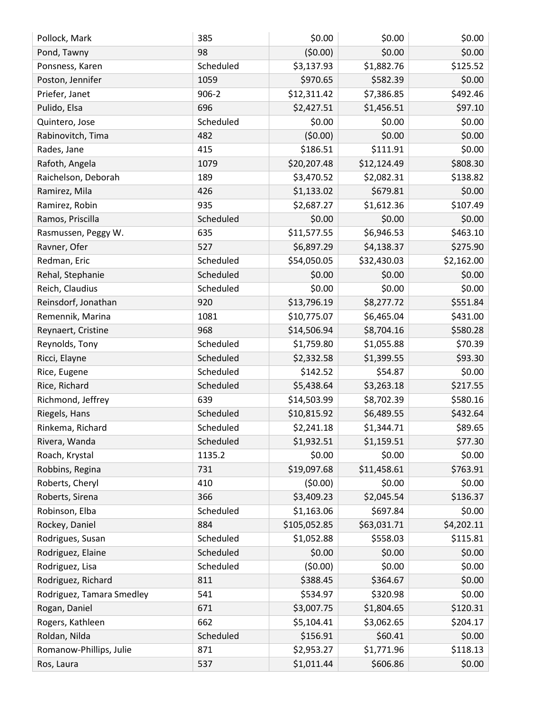| Pollock, Mark             | 385       | \$0.00       | \$0.00      | \$0.00     |
|---------------------------|-----------|--------------|-------------|------------|
| Pond, Tawny               | 98        | (50.00)      | \$0.00      | \$0.00     |
| Ponsness, Karen           | Scheduled | \$3,137.93   | \$1,882.76  | \$125.52   |
| Poston, Jennifer          | 1059      | \$970.65     | \$582.39    | \$0.00     |
| Priefer, Janet            | $906 - 2$ | \$12,311.42  | \$7,386.85  | \$492.46   |
| Pulido, Elsa              | 696       | \$2,427.51   | \$1,456.51  | \$97.10    |
| Quintero, Jose            | Scheduled | \$0.00       | \$0.00      | \$0.00     |
| Rabinovitch, Tima         | 482       | (50.00)      | \$0.00      | \$0.00     |
| Rades, Jane               | 415       | \$186.51     | \$111.91    | \$0.00     |
| Rafoth, Angela            | 1079      | \$20,207.48  | \$12,124.49 | \$808.30   |
| Raichelson, Deborah       | 189       | \$3,470.52   | \$2,082.31  | \$138.82   |
| Ramirez, Mila             | 426       | \$1,133.02   | \$679.81    | \$0.00     |
| Ramirez, Robin            | 935       | \$2,687.27   | \$1,612.36  | \$107.49   |
| Ramos, Priscilla          | Scheduled | \$0.00       | \$0.00      | \$0.00     |
| Rasmussen, Peggy W.       | 635       | \$11,577.55  | \$6,946.53  | \$463.10   |
| Ravner, Ofer              | 527       | \$6,897.29   | \$4,138.37  | \$275.90   |
| Redman, Eric              | Scheduled | \$54,050.05  | \$32,430.03 | \$2,162.00 |
| Rehal, Stephanie          | Scheduled | \$0.00       | \$0.00      | \$0.00     |
| Reich, Claudius           | Scheduled | \$0.00       | \$0.00      | \$0.00     |
| Reinsdorf, Jonathan       | 920       | \$13,796.19  | \$8,277.72  | \$551.84   |
| Remennik, Marina          | 1081      | \$10,775.07  | \$6,465.04  | \$431.00   |
| Reynaert, Cristine        | 968       | \$14,506.94  | \$8,704.16  | \$580.28   |
| Reynolds, Tony            | Scheduled | \$1,759.80   | \$1,055.88  | \$70.39    |
| Ricci, Elayne             | Scheduled | \$2,332.58   | \$1,399.55  | \$93.30    |
| Rice, Eugene              | Scheduled | \$142.52     | \$54.87     | \$0.00     |
| Rice, Richard             | Scheduled | \$5,438.64   | \$3,263.18  | \$217.55   |
| Richmond, Jeffrey         | 639       | \$14,503.99  | \$8,702.39  | \$580.16   |
| Riegels, Hans             | Scheduled | \$10,815.92  | \$6,489.55  | \$432.64   |
| Rinkema, Richard          | Scheduled | \$2,241.18   | \$1,344.71  | \$89.65    |
| Rivera, Wanda             | Scheduled | \$1,932.51   | \$1,159.51  | \$77.30    |
| Roach, Krystal            | 1135.2    | \$0.00       | \$0.00      | \$0.00     |
| Robbins, Regina           | 731       | \$19,097.68  | \$11,458.61 | \$763.91   |
| Roberts, Cheryl           | 410       | (50.00)      | \$0.00      | \$0.00     |
| Roberts, Sirena           | 366       | \$3,409.23   | \$2,045.54  | \$136.37   |
| Robinson, Elba            | Scheduled | \$1,163.06   | \$697.84    | \$0.00     |
| Rockey, Daniel            | 884       | \$105,052.85 | \$63,031.71 | \$4,202.11 |
| Rodrigues, Susan          | Scheduled | \$1,052.88   | \$558.03    | \$115.81   |
| Rodriguez, Elaine         | Scheduled | \$0.00       | \$0.00      | \$0.00     |
| Rodriguez, Lisa           | Scheduled | (50.00)      | \$0.00      | \$0.00     |
| Rodriguez, Richard        | 811       | \$388.45     | \$364.67    | \$0.00     |
| Rodriguez, Tamara Smedley | 541       | \$534.97     | \$320.98    | \$0.00     |
| Rogan, Daniel             | 671       | \$3,007.75   | \$1,804.65  | \$120.31   |
| Rogers, Kathleen          | 662       | \$5,104.41   | \$3,062.65  | \$204.17   |
| Roldan, Nilda             | Scheduled | \$156.91     | \$60.41     | \$0.00     |
| Romanow-Phillips, Julie   | 871       | \$2,953.27   | \$1,771.96  | \$118.13   |
| Ros, Laura                | 537       | \$1,011.44   | \$606.86    | \$0.00     |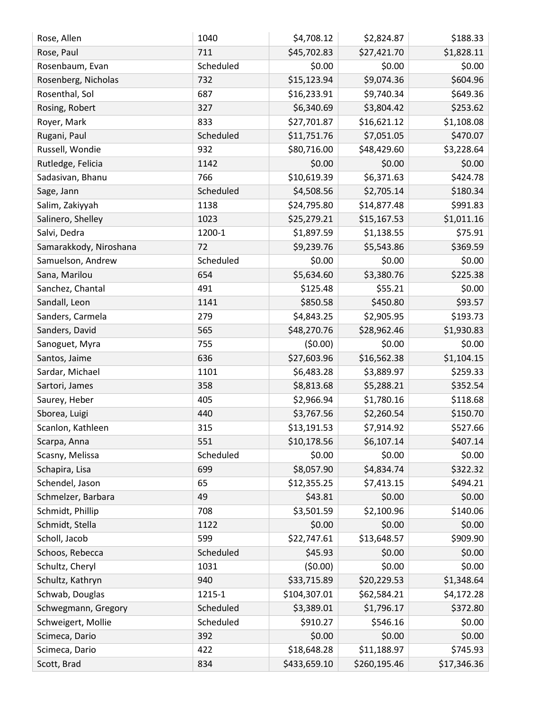| Rose, Allen            | 1040      | \$4,708.12   | \$2,824.87   | \$188.33    |
|------------------------|-----------|--------------|--------------|-------------|
| Rose, Paul             | 711       | \$45,702.83  | \$27,421.70  | \$1,828.11  |
| Rosenbaum, Evan        | Scheduled | \$0.00       | \$0.00       | \$0.00      |
| Rosenberg, Nicholas    | 732       | \$15,123.94  | \$9,074.36   | \$604.96    |
| Rosenthal, Sol         | 687       | \$16,233.91  | \$9,740.34   | \$649.36    |
| Rosing, Robert         | 327       | \$6,340.69   | \$3,804.42   | \$253.62    |
| Royer, Mark            | 833       | \$27,701.87  | \$16,621.12  | \$1,108.08  |
| Rugani, Paul           | Scheduled | \$11,751.76  | \$7,051.05   | \$470.07    |
| Russell, Wondie        | 932       | \$80,716.00  | \$48,429.60  | \$3,228.64  |
| Rutledge, Felicia      | 1142      | \$0.00       | \$0.00       | \$0.00      |
| Sadasivan, Bhanu       | 766       | \$10,619.39  | \$6,371.63   | \$424.78    |
| Sage, Jann             | Scheduled | \$4,508.56   | \$2,705.14   | \$180.34    |
| Salim, Zakiyyah        | 1138      | \$24,795.80  | \$14,877.48  | \$991.83    |
| Salinero, Shelley      | 1023      | \$25,279.21  | \$15,167.53  | \$1,011.16  |
| Salvi, Dedra           | 1200-1    | \$1,897.59   | \$1,138.55   | \$75.91     |
| Samarakkody, Niroshana | 72        | \$9,239.76   | \$5,543.86   | \$369.59    |
| Samuelson, Andrew      | Scheduled | \$0.00       | \$0.00       | \$0.00      |
| Sana, Marilou          | 654       | \$5,634.60   | \$3,380.76   | \$225.38    |
| Sanchez, Chantal       | 491       | \$125.48     | \$55.21      | \$0.00      |
| Sandall, Leon          | 1141      | \$850.58     | \$450.80     | \$93.57     |
| Sanders, Carmela       | 279       | \$4,843.25   | \$2,905.95   | \$193.73    |
| Sanders, David         | 565       | \$48,270.76  | \$28,962.46  | \$1,930.83  |
| Sanoguet, Myra         | 755       | (50.00)      | \$0.00       | \$0.00      |
| Santos, Jaime          | 636       | \$27,603.96  | \$16,562.38  | \$1,104.15  |
| Sardar, Michael        | 1101      | \$6,483.28   | \$3,889.97   | \$259.33    |
| Sartori, James         | 358       | \$8,813.68   | \$5,288.21   | \$352.54    |
| Saurey, Heber          | 405       | \$2,966.94   | \$1,780.16   | \$118.68    |
| Sborea, Luigi          | 440       | \$3,767.56   | \$2,260.54   | \$150.70    |
| Scanlon, Kathleen      | 315       | \$13,191.53  | \$7,914.92   | \$527.66    |
| Scarpa, Anna           | 551       | \$10,178.56  | \$6,107.14   | \$407.14    |
| Scasny, Melissa        | Scheduled | \$0.00       | \$0.00       | \$0.00      |
| Schapira, Lisa         | 699       | \$8,057.90   | \$4,834.74   | \$322.32    |
| Schendel, Jason        | 65        | \$12,355.25  | \$7,413.15   | \$494.21    |
| Schmelzer, Barbara     | 49        | \$43.81      | \$0.00       | \$0.00      |
| Schmidt, Phillip       | 708       | \$3,501.59   | \$2,100.96   | \$140.06    |
| Schmidt, Stella        | 1122      | \$0.00       | \$0.00       | \$0.00      |
| Scholl, Jacob          | 599       | \$22,747.61  | \$13,648.57  | \$909.90    |
| Schoos, Rebecca        | Scheduled | \$45.93      | \$0.00       | \$0.00      |
| Schultz, Cheryl        | 1031      | (50.00)      | \$0.00       | \$0.00      |
| Schultz, Kathryn       | 940       | \$33,715.89  | \$20,229.53  | \$1,348.64  |
| Schwab, Douglas        | 1215-1    | \$104,307.01 | \$62,584.21  | \$4,172.28  |
| Schwegmann, Gregory    | Scheduled | \$3,389.01   | \$1,796.17   | \$372.80    |
| Schweigert, Mollie     | Scheduled | \$910.27     | \$546.16     | \$0.00      |
| Scimeca, Dario         | 392       | \$0.00       | \$0.00       | \$0.00      |
| Scimeca, Dario         | 422       | \$18,648.28  | \$11,188.97  | \$745.93    |
| Scott, Brad            | 834       | \$433,659.10 | \$260,195.46 | \$17,346.36 |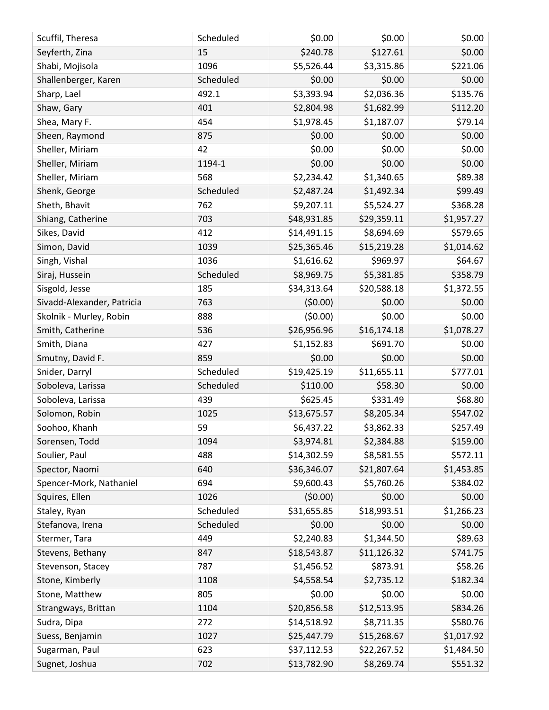| Scuffil, Theresa           | Scheduled | \$0.00      | \$0.00      | \$0.00     |
|----------------------------|-----------|-------------|-------------|------------|
| Seyferth, Zina             | 15        | \$240.78    | \$127.61    | \$0.00     |
| Shabi, Mojisola            | 1096      | \$5,526.44  | \$3,315.86  | \$221.06   |
| Shallenberger, Karen       | Scheduled | \$0.00      | \$0.00      | \$0.00     |
| Sharp, Lael                | 492.1     | \$3,393.94  | \$2,036.36  | \$135.76   |
| Shaw, Gary                 | 401       | \$2,804.98  | \$1,682.99  | \$112.20   |
| Shea, Mary F.              | 454       | \$1,978.45  | \$1,187.07  | \$79.14    |
| Sheen, Raymond             | 875       | \$0.00      | \$0.00      | \$0.00     |
| Sheller, Miriam            | 42        | \$0.00      | \$0.00      | \$0.00     |
| Sheller, Miriam            | 1194-1    | \$0.00      | \$0.00      | \$0.00     |
| Sheller, Miriam            | 568       | \$2,234.42  | \$1,340.65  | \$89.38    |
| Shenk, George              | Scheduled | \$2,487.24  | \$1,492.34  | \$99.49    |
| Sheth, Bhavit              | 762       | \$9,207.11  | \$5,524.27  | \$368.28   |
| Shiang, Catherine          | 703       | \$48,931.85 | \$29,359.11 | \$1,957.27 |
| Sikes, David               | 412       | \$14,491.15 | \$8,694.69  | \$579.65   |
| Simon, David               | 1039      | \$25,365.46 | \$15,219.28 | \$1,014.62 |
| Singh, Vishal              | 1036      | \$1,616.62  | \$969.97    | \$64.67    |
| Siraj, Hussein             | Scheduled | \$8,969.75  | \$5,381.85  | \$358.79   |
| Sisgold, Jesse             | 185       | \$34,313.64 | \$20,588.18 | \$1,372.55 |
| Sivadd-Alexander, Patricia | 763       | (50.00)     | \$0.00      | \$0.00     |
| Skolnik - Murley, Robin    | 888       | (50.00)     | \$0.00      | \$0.00     |
| Smith, Catherine           | 536       | \$26,956.96 | \$16,174.18 | \$1,078.27 |
| Smith, Diana               | 427       | \$1,152.83  | \$691.70    | \$0.00     |
| Smutny, David F.           | 859       | \$0.00      | \$0.00      | \$0.00     |
| Snider, Darryl             | Scheduled | \$19,425.19 | \$11,655.11 | \$777.01   |
| Soboleva, Larissa          | Scheduled | \$110.00    | \$58.30     | \$0.00     |
| Soboleva, Larissa          | 439       | \$625.45    | \$331.49    | \$68.80    |
| Solomon, Robin             | 1025      | \$13,675.57 | \$8,205.34  | \$547.02   |
| Soohoo, Khanh              | 59        | \$6,437.22  | \$3,862.33  | \$257.49   |
| Sorensen, Todd             | 1094      | \$3,974.81  | \$2,384.88  | \$159.00   |
| Soulier, Paul              | 488       | \$14,302.59 | \$8,581.55  | \$572.11   |
| Spector, Naomi             | 640       | \$36,346.07 | \$21,807.64 | \$1,453.85 |
| Spencer-Mork, Nathaniel    | 694       | \$9,600.43  | \$5,760.26  | \$384.02   |
| Squires, Ellen             | 1026      | (50.00)     | \$0.00      | \$0.00     |
| Staley, Ryan               | Scheduled | \$31,655.85 | \$18,993.51 | \$1,266.23 |
| Stefanova, Irena           | Scheduled | \$0.00      | \$0.00      | \$0.00     |
| Stermer, Tara              | 449       | \$2,240.83  | \$1,344.50  | \$89.63    |
| Stevens, Bethany           | 847       | \$18,543.87 | \$11,126.32 | \$741.75   |
| Stevenson, Stacey          | 787       | \$1,456.52  | \$873.91    | \$58.26    |
| Stone, Kimberly            | 1108      | \$4,558.54  | \$2,735.12  | \$182.34   |
| Stone, Matthew             | 805       | \$0.00      | \$0.00      | \$0.00     |
| Strangways, Brittan        | 1104      | \$20,856.58 | \$12,513.95 | \$834.26   |
| Sudra, Dipa                | 272       | \$14,518.92 | \$8,711.35  | \$580.76   |
| Suess, Benjamin            | 1027      | \$25,447.79 | \$15,268.67 | \$1,017.92 |
| Sugarman, Paul             | 623       | \$37,112.53 | \$22,267.52 | \$1,484.50 |
| Sugnet, Joshua             | 702       | \$13,782.90 | \$8,269.74  | \$551.32   |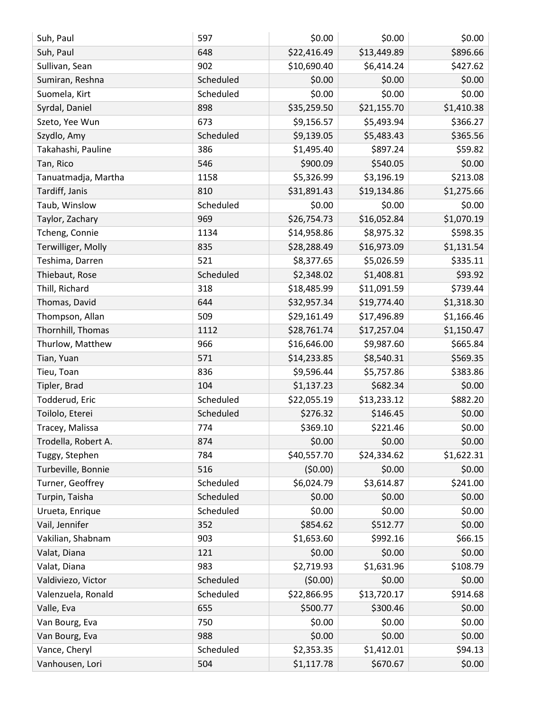| \$22,416.49<br>\$896.66<br>Suh, Paul<br>\$13,449.89<br>648<br>\$10,690.40<br>\$427.62<br>Sullivan, Sean<br>902<br>\$6,414.24<br>Scheduled<br>\$0.00<br>\$0.00<br>\$0.00<br>Sumiran, Reshna<br>\$0.00<br>\$0.00<br>Scheduled<br>\$0.00<br>Suomela, Kirt<br>\$35,259.50<br>\$1,410.38<br>Syrdal, Daniel<br>898<br>\$21,155.70<br>\$366.27<br>673<br>\$9,156.57<br>\$5,493.94<br>Szeto, Yee Wun<br>\$9,139.05<br>\$365.56<br>Szydlo, Amy<br>Scheduled<br>\$5,483.43<br>386<br>\$1,495.40<br>\$897.24<br>\$59.82<br>Takahashi, Pauline<br>\$900.09<br>\$540.05<br>\$0.00<br>Tan, Rico<br>546<br>\$5,326.99<br>\$3,196.19<br>\$213.08<br>Tanuatmadja, Martha<br>1158<br>\$1,275.66<br>Tardiff, Janis<br>\$31,891.43<br>\$19,134.86<br>810<br>\$0.00<br>Taub, Winslow<br>Scheduled<br>\$0.00<br>\$0.00<br>\$26,754.73<br>\$1,070.19<br>969<br>\$16,052.84<br>Taylor, Zachary<br>\$598.35<br>Tcheng, Connie<br>\$14,958.86<br>\$8,975.32<br>1134<br>Terwilliger, Molly<br>835<br>\$16,973.09<br>\$1,131.54<br>\$28,288.49<br>\$335.11<br>521<br>\$8,377.65<br>\$5,026.59<br>Teshima, Darren<br>Scheduled<br>\$2,348.02<br>\$1,408.81<br>\$93.92<br>Thiebaut, Rose<br>318<br>\$739.44<br>Thill, Richard<br>\$11,091.59<br>\$18,485.99<br>Thomas, David<br>\$32,957.34<br>\$19,774.40<br>\$1,318.30<br>644<br>509<br>\$17,496.89<br>\$1,166.46<br>Thompson, Allan<br>\$29,161.49<br>Thornhill, Thomas<br>\$1,150.47<br>1112<br>\$28,761.74<br>\$17,257.04<br>\$665.84<br>Thurlow, Matthew<br>966<br>\$16,646.00<br>\$9,987.60<br>\$8,540.31<br>\$569.35<br>Tian, Yuan<br>571<br>\$14,233.85<br>836<br>\$9,596.44<br>\$383.86<br>Tieu, Toan<br>\$5,757.86<br>\$0.00<br>\$1,137.23<br>Tipler, Brad<br>104<br>\$682.34<br>\$882.20<br>Todderud, Eric<br>Scheduled<br>\$22,055.19<br>\$13,233.12<br>Toilolo, Eterei<br>Scheduled<br>\$276.32<br>\$146.45<br>\$0.00<br>\$369.10<br>\$221.46<br>\$0.00<br>Tracey, Malissa<br>774<br>\$0.00<br>\$0.00<br>Trodella, Robert A.<br>874<br>\$0.00<br>\$40,557.70<br>\$24,334.62<br>\$1,622.31<br>Tuggy, Stephen<br>784<br>(50.00)<br>\$0.00<br>\$0.00<br>Turbeville, Bonnie<br>516<br>\$6,024.79<br>\$3,614.87<br>\$241.00<br>Scheduled<br>Turner, Geoffrey<br>Turpin, Taisha<br>Scheduled<br>\$0.00<br>\$0.00<br>\$0.00<br>Scheduled<br>\$0.00<br>\$0.00<br>\$0.00<br>Urueta, Enrique<br>\$854.62<br>\$0.00<br>\$512.77<br>Vail, Jennifer<br>352<br>Vakilian, Shabnam<br>\$1,653.60<br>\$992.16<br>\$66.15<br>903<br>\$0.00<br>\$0.00<br>\$0.00<br>Valat, Diana<br>121<br>\$108.79<br>\$2,719.93<br>\$1,631.96<br>983<br>Valat, Diana<br>Scheduled<br>(50.00)<br>\$0.00<br>\$0.00<br>Valdiviezo, Victor<br>\$22,866.95<br>\$13,720.17<br>\$914.68<br>Scheduled<br>Valenzuela, Ronald<br>\$500.77<br>\$300.46<br>\$0.00<br>655<br>Valle, Eva<br>\$0.00<br>\$0.00<br>Van Bourg, Eva<br>750<br>\$0.00<br>\$0.00<br>988<br>\$0.00<br>\$0.00<br>Van Bourg, Eva<br>\$2,353.35<br>\$1,412.01<br>\$94.13<br>Vance, Cheryl<br>Scheduled<br>\$1,117.78<br>\$670.67<br>\$0.00<br>Vanhousen, Lori<br>504 | Suh, Paul | 597 | \$0.00 | \$0.00 | \$0.00 |
|---------------------------------------------------------------------------------------------------------------------------------------------------------------------------------------------------------------------------------------------------------------------------------------------------------------------------------------------------------------------------------------------------------------------------------------------------------------------------------------------------------------------------------------------------------------------------------------------------------------------------------------------------------------------------------------------------------------------------------------------------------------------------------------------------------------------------------------------------------------------------------------------------------------------------------------------------------------------------------------------------------------------------------------------------------------------------------------------------------------------------------------------------------------------------------------------------------------------------------------------------------------------------------------------------------------------------------------------------------------------------------------------------------------------------------------------------------------------------------------------------------------------------------------------------------------------------------------------------------------------------------------------------------------------------------------------------------------------------------------------------------------------------------------------------------------------------------------------------------------------------------------------------------------------------------------------------------------------------------------------------------------------------------------------------------------------------------------------------------------------------------------------------------------------------------------------------------------------------------------------------------------------------------------------------------------------------------------------------------------------------------------------------------------------------------------------------------------------------------------------------------------------------------------------------------------------------------------------------------------------------------------------------------------------------------------------------------------------------------------------------------------------------------------------------------------------------------------------------------------------------------------------------------------------------------------------------------------------------------------------------------------------------|-----------|-----|--------|--------|--------|
|                                                                                                                                                                                                                                                                                                                                                                                                                                                                                                                                                                                                                                                                                                                                                                                                                                                                                                                                                                                                                                                                                                                                                                                                                                                                                                                                                                                                                                                                                                                                                                                                                                                                                                                                                                                                                                                                                                                                                                                                                                                                                                                                                                                                                                                                                                                                                                                                                                                                                                                                                                                                                                                                                                                                                                                                                                                                                                                                                                                                                           |           |     |        |        |        |
|                                                                                                                                                                                                                                                                                                                                                                                                                                                                                                                                                                                                                                                                                                                                                                                                                                                                                                                                                                                                                                                                                                                                                                                                                                                                                                                                                                                                                                                                                                                                                                                                                                                                                                                                                                                                                                                                                                                                                                                                                                                                                                                                                                                                                                                                                                                                                                                                                                                                                                                                                                                                                                                                                                                                                                                                                                                                                                                                                                                                                           |           |     |        |        |        |
|                                                                                                                                                                                                                                                                                                                                                                                                                                                                                                                                                                                                                                                                                                                                                                                                                                                                                                                                                                                                                                                                                                                                                                                                                                                                                                                                                                                                                                                                                                                                                                                                                                                                                                                                                                                                                                                                                                                                                                                                                                                                                                                                                                                                                                                                                                                                                                                                                                                                                                                                                                                                                                                                                                                                                                                                                                                                                                                                                                                                                           |           |     |        |        |        |
|                                                                                                                                                                                                                                                                                                                                                                                                                                                                                                                                                                                                                                                                                                                                                                                                                                                                                                                                                                                                                                                                                                                                                                                                                                                                                                                                                                                                                                                                                                                                                                                                                                                                                                                                                                                                                                                                                                                                                                                                                                                                                                                                                                                                                                                                                                                                                                                                                                                                                                                                                                                                                                                                                                                                                                                                                                                                                                                                                                                                                           |           |     |        |        |        |
|                                                                                                                                                                                                                                                                                                                                                                                                                                                                                                                                                                                                                                                                                                                                                                                                                                                                                                                                                                                                                                                                                                                                                                                                                                                                                                                                                                                                                                                                                                                                                                                                                                                                                                                                                                                                                                                                                                                                                                                                                                                                                                                                                                                                                                                                                                                                                                                                                                                                                                                                                                                                                                                                                                                                                                                                                                                                                                                                                                                                                           |           |     |        |        |        |
|                                                                                                                                                                                                                                                                                                                                                                                                                                                                                                                                                                                                                                                                                                                                                                                                                                                                                                                                                                                                                                                                                                                                                                                                                                                                                                                                                                                                                                                                                                                                                                                                                                                                                                                                                                                                                                                                                                                                                                                                                                                                                                                                                                                                                                                                                                                                                                                                                                                                                                                                                                                                                                                                                                                                                                                                                                                                                                                                                                                                                           |           |     |        |        |        |
|                                                                                                                                                                                                                                                                                                                                                                                                                                                                                                                                                                                                                                                                                                                                                                                                                                                                                                                                                                                                                                                                                                                                                                                                                                                                                                                                                                                                                                                                                                                                                                                                                                                                                                                                                                                                                                                                                                                                                                                                                                                                                                                                                                                                                                                                                                                                                                                                                                                                                                                                                                                                                                                                                                                                                                                                                                                                                                                                                                                                                           |           |     |        |        |        |
|                                                                                                                                                                                                                                                                                                                                                                                                                                                                                                                                                                                                                                                                                                                                                                                                                                                                                                                                                                                                                                                                                                                                                                                                                                                                                                                                                                                                                                                                                                                                                                                                                                                                                                                                                                                                                                                                                                                                                                                                                                                                                                                                                                                                                                                                                                                                                                                                                                                                                                                                                                                                                                                                                                                                                                                                                                                                                                                                                                                                                           |           |     |        |        |        |
|                                                                                                                                                                                                                                                                                                                                                                                                                                                                                                                                                                                                                                                                                                                                                                                                                                                                                                                                                                                                                                                                                                                                                                                                                                                                                                                                                                                                                                                                                                                                                                                                                                                                                                                                                                                                                                                                                                                                                                                                                                                                                                                                                                                                                                                                                                                                                                                                                                                                                                                                                                                                                                                                                                                                                                                                                                                                                                                                                                                                                           |           |     |        |        |        |
|                                                                                                                                                                                                                                                                                                                                                                                                                                                                                                                                                                                                                                                                                                                                                                                                                                                                                                                                                                                                                                                                                                                                                                                                                                                                                                                                                                                                                                                                                                                                                                                                                                                                                                                                                                                                                                                                                                                                                                                                                                                                                                                                                                                                                                                                                                                                                                                                                                                                                                                                                                                                                                                                                                                                                                                                                                                                                                                                                                                                                           |           |     |        |        |        |
|                                                                                                                                                                                                                                                                                                                                                                                                                                                                                                                                                                                                                                                                                                                                                                                                                                                                                                                                                                                                                                                                                                                                                                                                                                                                                                                                                                                                                                                                                                                                                                                                                                                                                                                                                                                                                                                                                                                                                                                                                                                                                                                                                                                                                                                                                                                                                                                                                                                                                                                                                                                                                                                                                                                                                                                                                                                                                                                                                                                                                           |           |     |        |        |        |
|                                                                                                                                                                                                                                                                                                                                                                                                                                                                                                                                                                                                                                                                                                                                                                                                                                                                                                                                                                                                                                                                                                                                                                                                                                                                                                                                                                                                                                                                                                                                                                                                                                                                                                                                                                                                                                                                                                                                                                                                                                                                                                                                                                                                                                                                                                                                                                                                                                                                                                                                                                                                                                                                                                                                                                                                                                                                                                                                                                                                                           |           |     |        |        |        |
|                                                                                                                                                                                                                                                                                                                                                                                                                                                                                                                                                                                                                                                                                                                                                                                                                                                                                                                                                                                                                                                                                                                                                                                                                                                                                                                                                                                                                                                                                                                                                                                                                                                                                                                                                                                                                                                                                                                                                                                                                                                                                                                                                                                                                                                                                                                                                                                                                                                                                                                                                                                                                                                                                                                                                                                                                                                                                                                                                                                                                           |           |     |        |        |        |
|                                                                                                                                                                                                                                                                                                                                                                                                                                                                                                                                                                                                                                                                                                                                                                                                                                                                                                                                                                                                                                                                                                                                                                                                                                                                                                                                                                                                                                                                                                                                                                                                                                                                                                                                                                                                                                                                                                                                                                                                                                                                                                                                                                                                                                                                                                                                                                                                                                                                                                                                                                                                                                                                                                                                                                                                                                                                                                                                                                                                                           |           |     |        |        |        |
|                                                                                                                                                                                                                                                                                                                                                                                                                                                                                                                                                                                                                                                                                                                                                                                                                                                                                                                                                                                                                                                                                                                                                                                                                                                                                                                                                                                                                                                                                                                                                                                                                                                                                                                                                                                                                                                                                                                                                                                                                                                                                                                                                                                                                                                                                                                                                                                                                                                                                                                                                                                                                                                                                                                                                                                                                                                                                                                                                                                                                           |           |     |        |        |        |
|                                                                                                                                                                                                                                                                                                                                                                                                                                                                                                                                                                                                                                                                                                                                                                                                                                                                                                                                                                                                                                                                                                                                                                                                                                                                                                                                                                                                                                                                                                                                                                                                                                                                                                                                                                                                                                                                                                                                                                                                                                                                                                                                                                                                                                                                                                                                                                                                                                                                                                                                                                                                                                                                                                                                                                                                                                                                                                                                                                                                                           |           |     |        |        |        |
|                                                                                                                                                                                                                                                                                                                                                                                                                                                                                                                                                                                                                                                                                                                                                                                                                                                                                                                                                                                                                                                                                                                                                                                                                                                                                                                                                                                                                                                                                                                                                                                                                                                                                                                                                                                                                                                                                                                                                                                                                                                                                                                                                                                                                                                                                                                                                                                                                                                                                                                                                                                                                                                                                                                                                                                                                                                                                                                                                                                                                           |           |     |        |        |        |
|                                                                                                                                                                                                                                                                                                                                                                                                                                                                                                                                                                                                                                                                                                                                                                                                                                                                                                                                                                                                                                                                                                                                                                                                                                                                                                                                                                                                                                                                                                                                                                                                                                                                                                                                                                                                                                                                                                                                                                                                                                                                                                                                                                                                                                                                                                                                                                                                                                                                                                                                                                                                                                                                                                                                                                                                                                                                                                                                                                                                                           |           |     |        |        |        |
|                                                                                                                                                                                                                                                                                                                                                                                                                                                                                                                                                                                                                                                                                                                                                                                                                                                                                                                                                                                                                                                                                                                                                                                                                                                                                                                                                                                                                                                                                                                                                                                                                                                                                                                                                                                                                                                                                                                                                                                                                                                                                                                                                                                                                                                                                                                                                                                                                                                                                                                                                                                                                                                                                                                                                                                                                                                                                                                                                                                                                           |           |     |        |        |        |
|                                                                                                                                                                                                                                                                                                                                                                                                                                                                                                                                                                                                                                                                                                                                                                                                                                                                                                                                                                                                                                                                                                                                                                                                                                                                                                                                                                                                                                                                                                                                                                                                                                                                                                                                                                                                                                                                                                                                                                                                                                                                                                                                                                                                                                                                                                                                                                                                                                                                                                                                                                                                                                                                                                                                                                                                                                                                                                                                                                                                                           |           |     |        |        |        |
|                                                                                                                                                                                                                                                                                                                                                                                                                                                                                                                                                                                                                                                                                                                                                                                                                                                                                                                                                                                                                                                                                                                                                                                                                                                                                                                                                                                                                                                                                                                                                                                                                                                                                                                                                                                                                                                                                                                                                                                                                                                                                                                                                                                                                                                                                                                                                                                                                                                                                                                                                                                                                                                                                                                                                                                                                                                                                                                                                                                                                           |           |     |        |        |        |
|                                                                                                                                                                                                                                                                                                                                                                                                                                                                                                                                                                                                                                                                                                                                                                                                                                                                                                                                                                                                                                                                                                                                                                                                                                                                                                                                                                                                                                                                                                                                                                                                                                                                                                                                                                                                                                                                                                                                                                                                                                                                                                                                                                                                                                                                                                                                                                                                                                                                                                                                                                                                                                                                                                                                                                                                                                                                                                                                                                                                                           |           |     |        |        |        |
|                                                                                                                                                                                                                                                                                                                                                                                                                                                                                                                                                                                                                                                                                                                                                                                                                                                                                                                                                                                                                                                                                                                                                                                                                                                                                                                                                                                                                                                                                                                                                                                                                                                                                                                                                                                                                                                                                                                                                                                                                                                                                                                                                                                                                                                                                                                                                                                                                                                                                                                                                                                                                                                                                                                                                                                                                                                                                                                                                                                                                           |           |     |        |        |        |
|                                                                                                                                                                                                                                                                                                                                                                                                                                                                                                                                                                                                                                                                                                                                                                                                                                                                                                                                                                                                                                                                                                                                                                                                                                                                                                                                                                                                                                                                                                                                                                                                                                                                                                                                                                                                                                                                                                                                                                                                                                                                                                                                                                                                                                                                                                                                                                                                                                                                                                                                                                                                                                                                                                                                                                                                                                                                                                                                                                                                                           |           |     |        |        |        |
|                                                                                                                                                                                                                                                                                                                                                                                                                                                                                                                                                                                                                                                                                                                                                                                                                                                                                                                                                                                                                                                                                                                                                                                                                                                                                                                                                                                                                                                                                                                                                                                                                                                                                                                                                                                                                                                                                                                                                                                                                                                                                                                                                                                                                                                                                                                                                                                                                                                                                                                                                                                                                                                                                                                                                                                                                                                                                                                                                                                                                           |           |     |        |        |        |
|                                                                                                                                                                                                                                                                                                                                                                                                                                                                                                                                                                                                                                                                                                                                                                                                                                                                                                                                                                                                                                                                                                                                                                                                                                                                                                                                                                                                                                                                                                                                                                                                                                                                                                                                                                                                                                                                                                                                                                                                                                                                                                                                                                                                                                                                                                                                                                                                                                                                                                                                                                                                                                                                                                                                                                                                                                                                                                                                                                                                                           |           |     |        |        |        |
|                                                                                                                                                                                                                                                                                                                                                                                                                                                                                                                                                                                                                                                                                                                                                                                                                                                                                                                                                                                                                                                                                                                                                                                                                                                                                                                                                                                                                                                                                                                                                                                                                                                                                                                                                                                                                                                                                                                                                                                                                                                                                                                                                                                                                                                                                                                                                                                                                                                                                                                                                                                                                                                                                                                                                                                                                                                                                                                                                                                                                           |           |     |        |        |        |
|                                                                                                                                                                                                                                                                                                                                                                                                                                                                                                                                                                                                                                                                                                                                                                                                                                                                                                                                                                                                                                                                                                                                                                                                                                                                                                                                                                                                                                                                                                                                                                                                                                                                                                                                                                                                                                                                                                                                                                                                                                                                                                                                                                                                                                                                                                                                                                                                                                                                                                                                                                                                                                                                                                                                                                                                                                                                                                                                                                                                                           |           |     |        |        |        |
|                                                                                                                                                                                                                                                                                                                                                                                                                                                                                                                                                                                                                                                                                                                                                                                                                                                                                                                                                                                                                                                                                                                                                                                                                                                                                                                                                                                                                                                                                                                                                                                                                                                                                                                                                                                                                                                                                                                                                                                                                                                                                                                                                                                                                                                                                                                                                                                                                                                                                                                                                                                                                                                                                                                                                                                                                                                                                                                                                                                                                           |           |     |        |        |        |
|                                                                                                                                                                                                                                                                                                                                                                                                                                                                                                                                                                                                                                                                                                                                                                                                                                                                                                                                                                                                                                                                                                                                                                                                                                                                                                                                                                                                                                                                                                                                                                                                                                                                                                                                                                                                                                                                                                                                                                                                                                                                                                                                                                                                                                                                                                                                                                                                                                                                                                                                                                                                                                                                                                                                                                                                                                                                                                                                                                                                                           |           |     |        |        |        |
|                                                                                                                                                                                                                                                                                                                                                                                                                                                                                                                                                                                                                                                                                                                                                                                                                                                                                                                                                                                                                                                                                                                                                                                                                                                                                                                                                                                                                                                                                                                                                                                                                                                                                                                                                                                                                                                                                                                                                                                                                                                                                                                                                                                                                                                                                                                                                                                                                                                                                                                                                                                                                                                                                                                                                                                                                                                                                                                                                                                                                           |           |     |        |        |        |
|                                                                                                                                                                                                                                                                                                                                                                                                                                                                                                                                                                                                                                                                                                                                                                                                                                                                                                                                                                                                                                                                                                                                                                                                                                                                                                                                                                                                                                                                                                                                                                                                                                                                                                                                                                                                                                                                                                                                                                                                                                                                                                                                                                                                                                                                                                                                                                                                                                                                                                                                                                                                                                                                                                                                                                                                                                                                                                                                                                                                                           |           |     |        |        |        |
|                                                                                                                                                                                                                                                                                                                                                                                                                                                                                                                                                                                                                                                                                                                                                                                                                                                                                                                                                                                                                                                                                                                                                                                                                                                                                                                                                                                                                                                                                                                                                                                                                                                                                                                                                                                                                                                                                                                                                                                                                                                                                                                                                                                                                                                                                                                                                                                                                                                                                                                                                                                                                                                                                                                                                                                                                                                                                                                                                                                                                           |           |     |        |        |        |
|                                                                                                                                                                                                                                                                                                                                                                                                                                                                                                                                                                                                                                                                                                                                                                                                                                                                                                                                                                                                                                                                                                                                                                                                                                                                                                                                                                                                                                                                                                                                                                                                                                                                                                                                                                                                                                                                                                                                                                                                                                                                                                                                                                                                                                                                                                                                                                                                                                                                                                                                                                                                                                                                                                                                                                                                                                                                                                                                                                                                                           |           |     |        |        |        |
|                                                                                                                                                                                                                                                                                                                                                                                                                                                                                                                                                                                                                                                                                                                                                                                                                                                                                                                                                                                                                                                                                                                                                                                                                                                                                                                                                                                                                                                                                                                                                                                                                                                                                                                                                                                                                                                                                                                                                                                                                                                                                                                                                                                                                                                                                                                                                                                                                                                                                                                                                                                                                                                                                                                                                                                                                                                                                                                                                                                                                           |           |     |        |        |        |
|                                                                                                                                                                                                                                                                                                                                                                                                                                                                                                                                                                                                                                                                                                                                                                                                                                                                                                                                                                                                                                                                                                                                                                                                                                                                                                                                                                                                                                                                                                                                                                                                                                                                                                                                                                                                                                                                                                                                                                                                                                                                                                                                                                                                                                                                                                                                                                                                                                                                                                                                                                                                                                                                                                                                                                                                                                                                                                                                                                                                                           |           |     |        |        |        |
|                                                                                                                                                                                                                                                                                                                                                                                                                                                                                                                                                                                                                                                                                                                                                                                                                                                                                                                                                                                                                                                                                                                                                                                                                                                                                                                                                                                                                                                                                                                                                                                                                                                                                                                                                                                                                                                                                                                                                                                                                                                                                                                                                                                                                                                                                                                                                                                                                                                                                                                                                                                                                                                                                                                                                                                                                                                                                                                                                                                                                           |           |     |        |        |        |
|                                                                                                                                                                                                                                                                                                                                                                                                                                                                                                                                                                                                                                                                                                                                                                                                                                                                                                                                                                                                                                                                                                                                                                                                                                                                                                                                                                                                                                                                                                                                                                                                                                                                                                                                                                                                                                                                                                                                                                                                                                                                                                                                                                                                                                                                                                                                                                                                                                                                                                                                                                                                                                                                                                                                                                                                                                                                                                                                                                                                                           |           |     |        |        |        |
|                                                                                                                                                                                                                                                                                                                                                                                                                                                                                                                                                                                                                                                                                                                                                                                                                                                                                                                                                                                                                                                                                                                                                                                                                                                                                                                                                                                                                                                                                                                                                                                                                                                                                                                                                                                                                                                                                                                                                                                                                                                                                                                                                                                                                                                                                                                                                                                                                                                                                                                                                                                                                                                                                                                                                                                                                                                                                                                                                                                                                           |           |     |        |        |        |
|                                                                                                                                                                                                                                                                                                                                                                                                                                                                                                                                                                                                                                                                                                                                                                                                                                                                                                                                                                                                                                                                                                                                                                                                                                                                                                                                                                                                                                                                                                                                                                                                                                                                                                                                                                                                                                                                                                                                                                                                                                                                                                                                                                                                                                                                                                                                                                                                                                                                                                                                                                                                                                                                                                                                                                                                                                                                                                                                                                                                                           |           |     |        |        |        |
|                                                                                                                                                                                                                                                                                                                                                                                                                                                                                                                                                                                                                                                                                                                                                                                                                                                                                                                                                                                                                                                                                                                                                                                                                                                                                                                                                                                                                                                                                                                                                                                                                                                                                                                                                                                                                                                                                                                                                                                                                                                                                                                                                                                                                                                                                                                                                                                                                                                                                                                                                                                                                                                                                                                                                                                                                                                                                                                                                                                                                           |           |     |        |        |        |
|                                                                                                                                                                                                                                                                                                                                                                                                                                                                                                                                                                                                                                                                                                                                                                                                                                                                                                                                                                                                                                                                                                                                                                                                                                                                                                                                                                                                                                                                                                                                                                                                                                                                                                                                                                                                                                                                                                                                                                                                                                                                                                                                                                                                                                                                                                                                                                                                                                                                                                                                                                                                                                                                                                                                                                                                                                                                                                                                                                                                                           |           |     |        |        |        |
|                                                                                                                                                                                                                                                                                                                                                                                                                                                                                                                                                                                                                                                                                                                                                                                                                                                                                                                                                                                                                                                                                                                                                                                                                                                                                                                                                                                                                                                                                                                                                                                                                                                                                                                                                                                                                                                                                                                                                                                                                                                                                                                                                                                                                                                                                                                                                                                                                                                                                                                                                                                                                                                                                                                                                                                                                                                                                                                                                                                                                           |           |     |        |        |        |
|                                                                                                                                                                                                                                                                                                                                                                                                                                                                                                                                                                                                                                                                                                                                                                                                                                                                                                                                                                                                                                                                                                                                                                                                                                                                                                                                                                                                                                                                                                                                                                                                                                                                                                                                                                                                                                                                                                                                                                                                                                                                                                                                                                                                                                                                                                                                                                                                                                                                                                                                                                                                                                                                                                                                                                                                                                                                                                                                                                                                                           |           |     |        |        |        |
|                                                                                                                                                                                                                                                                                                                                                                                                                                                                                                                                                                                                                                                                                                                                                                                                                                                                                                                                                                                                                                                                                                                                                                                                                                                                                                                                                                                                                                                                                                                                                                                                                                                                                                                                                                                                                                                                                                                                                                                                                                                                                                                                                                                                                                                                                                                                                                                                                                                                                                                                                                                                                                                                                                                                                                                                                                                                                                                                                                                                                           |           |     |        |        |        |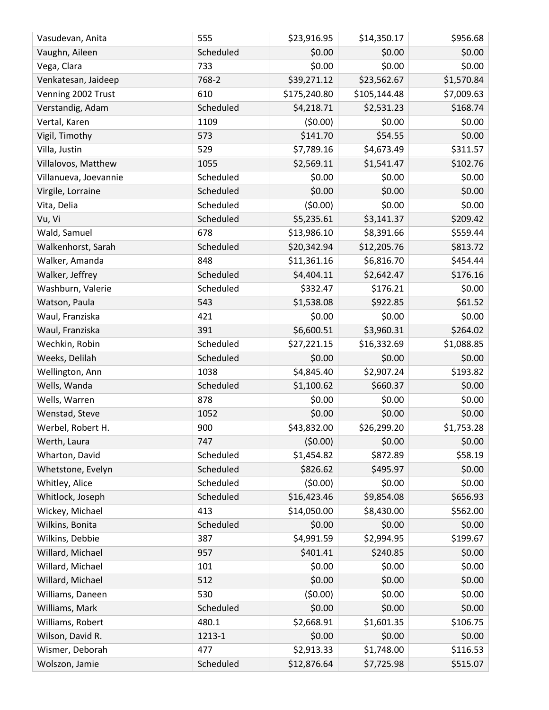| Vasudevan, Anita      | 555       | \$23,916.95  | \$14,350.17  | \$956.68   |
|-----------------------|-----------|--------------|--------------|------------|
| Vaughn, Aileen        | Scheduled | \$0.00       | \$0.00       | \$0.00     |
| Vega, Clara           | 733       | \$0.00       | \$0.00       | \$0.00     |
| Venkatesan, Jaideep   | 768-2     | \$39,271.12  | \$23,562.67  | \$1,570.84 |
| Venning 2002 Trust    | 610       | \$175,240.80 | \$105,144.48 | \$7,009.63 |
| Verstandig, Adam      | Scheduled | \$4,218.71   | \$2,531.23   | \$168.74   |
| Vertal, Karen         | 1109      | (50.00)      | \$0.00       | \$0.00     |
| Vigil, Timothy        | 573       | \$141.70     | \$54.55      | \$0.00     |
| Villa, Justin         | 529       | \$7,789.16   | \$4,673.49   | \$311.57   |
| Villalovos, Matthew   | 1055      | \$2,569.11   | \$1,541.47   | \$102.76   |
| Villanueva, Joevannie | Scheduled | \$0.00       | \$0.00       | \$0.00     |
| Virgile, Lorraine     | Scheduled | \$0.00       | \$0.00       | \$0.00     |
| Vita, Delia           | Scheduled | (50.00)      | \$0.00       | \$0.00     |
| Vu, Vi                | Scheduled | \$5,235.61   | \$3,141.37   | \$209.42   |
| Wald, Samuel          | 678       | \$13,986.10  | \$8,391.66   | \$559.44   |
| Walkenhorst, Sarah    | Scheduled | \$20,342.94  | \$12,205.76  | \$813.72   |
| Walker, Amanda        | 848       | \$11,361.16  | \$6,816.70   | \$454.44   |
| Walker, Jeffrey       | Scheduled | \$4,404.11   | \$2,642.47   | \$176.16   |
| Washburn, Valerie     | Scheduled | \$332.47     | \$176.21     | \$0.00     |
| Watson, Paula         | 543       | \$1,538.08   | \$922.85     | \$61.52    |
| Waul, Franziska       | 421       | \$0.00       | \$0.00       | \$0.00     |
| Waul, Franziska       | 391       | \$6,600.51   | \$3,960.31   | \$264.02   |
| Wechkin, Robin        | Scheduled | \$27,221.15  | \$16,332.69  | \$1,088.85 |
| Weeks, Delilah        | Scheduled | \$0.00       | \$0.00       | \$0.00     |
| Wellington, Ann       | 1038      | \$4,845.40   | \$2,907.24   | \$193.82   |
| Wells, Wanda          | Scheduled | \$1,100.62   | \$660.37     | \$0.00     |
| Wells, Warren         | 878       | \$0.00       | \$0.00       | \$0.00     |
| Wenstad, Steve        | 1052      | \$0.00       | \$0.00       | \$0.00     |
| Werbel, Robert H.     | 900       | \$43,832.00  | \$26,299.20  | \$1,753.28 |
| Werth, Laura          | 747       | (50.00)      | \$0.00       | \$0.00     |
| Wharton, David        | Scheduled | \$1,454.82   | \$872.89     | \$58.19    |
| Whetstone, Evelyn     | Scheduled | \$826.62     | \$495.97     | \$0.00     |
| Whitley, Alice        | Scheduled | (50.00)      | \$0.00       | \$0.00     |
| Whitlock, Joseph      | Scheduled | \$16,423.46  | \$9,854.08   | \$656.93   |
| Wickey, Michael       | 413       | \$14,050.00  | \$8,430.00   | \$562.00   |
| Wilkins, Bonita       | Scheduled | \$0.00       | \$0.00       | \$0.00     |
| Wilkins, Debbie       | 387       | \$4,991.59   | \$2,994.95   | \$199.67   |
| Willard, Michael      | 957       | \$401.41     | \$240.85     | \$0.00     |
| Willard, Michael      | 101       | \$0.00       | \$0.00       | \$0.00     |
| Willard, Michael      | 512       | \$0.00       | \$0.00       | \$0.00     |
| Williams, Daneen      | 530       | (50.00)      | \$0.00       | \$0.00     |
| Williams, Mark        | Scheduled | \$0.00       | \$0.00       | \$0.00     |
| Williams, Robert      | 480.1     | \$2,668.91   | \$1,601.35   | \$106.75   |
| Wilson, David R.      | 1213-1    | \$0.00       | \$0.00       | \$0.00     |
| Wismer, Deborah       | 477       | \$2,913.33   | \$1,748.00   | \$116.53   |
| Wolszon, Jamie        | Scheduled | \$12,876.64  | \$7,725.98   | \$515.07   |